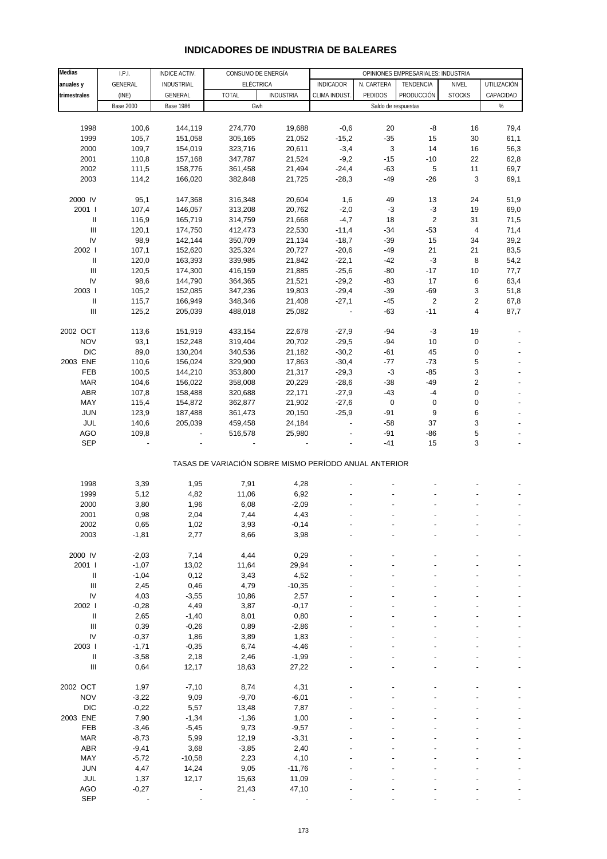| <b>Medias</b>                      | I.P.I.<br>CONSUMO DE ENERGÍA<br>OPINIONES EMPRESARIALES: INDUSTRIA<br>INDICE ACTIV. |                   |                                                       |                  |                  |                     |                         |                         |             |
|------------------------------------|-------------------------------------------------------------------------------------|-------------------|-------------------------------------------------------|------------------|------------------|---------------------|-------------------------|-------------------------|-------------|
|                                    | GENERAL                                                                             | <b>INDUSTRIAL</b> | <b>ELÉCTRICA</b>                                      |                  | <b>INDICADOR</b> | N. CARTERA          | TENDENCIA               | NIVEL                   | UTILIZACIÓN |
| anuales y                          |                                                                                     |                   |                                                       |                  |                  |                     |                         |                         |             |
| trimestrales                       | (INE)                                                                               | GENERAL           | <b>TOTAL</b>                                          | <b>INDUSTRIA</b> | CLIMA INDUST.    | PEDIDOS             | PRODUCCIÓN              | <b>STOCKS</b>           | CAPACIDAD   |
|                                    | <b>Base 2000</b>                                                                    | <b>Base 1986</b>  | Gwh                                                   |                  |                  | Saldo de respuestas |                         |                         | $\%$        |
|                                    |                                                                                     |                   |                                                       |                  |                  |                     |                         |                         |             |
| 1998                               | 100,6                                                                               | 144,119           | 274,770                                               | 19,688           | $-0,6$           | 20                  | -8                      | 16                      | 79,4        |
| 1999                               | 105,7                                                                               | 151,058           | 305,165                                               | 21,052           | $-15,2$          | $-35$               | 15                      | 30                      | 61,1        |
|                                    |                                                                                     |                   |                                                       |                  |                  |                     |                         |                         |             |
| 2000                               | 109,7                                                                               | 154,019           | 323,716                                               | 20,611           | $-3,4$           | 3                   | 14                      | 16                      | 56,3        |
| 2001                               | 110,8                                                                               | 157,168           | 347,787                                               | 21,524           | $-9,2$           | $-15$               | $-10$                   | 22                      | 62,8        |
| 2002                               | 111,5                                                                               | 158,776           | 361,458                                               | 21,494           | $-24,4$          | $-63$               | 5                       | 11                      | 69,7        |
| 2003                               | 114,2                                                                               | 166,020           | 382,848                                               | 21,725           | $-28,3$          | $-49$               | $-26$                   | 3                       | 69,1        |
|                                    |                                                                                     |                   |                                                       |                  |                  |                     |                         |                         |             |
| 2000 IV                            |                                                                                     | 147,368           | 316,348                                               |                  |                  |                     |                         |                         |             |
|                                    | 95,1                                                                                |                   |                                                       | 20,604           | 1,6              | 49                  | 13                      | 24                      | 51,9        |
| 2001 l                             | 107,4                                                                               | 146,057           | 313,208                                               | 20,762           | $-2,0$           | $-3$                | $-3$                    | 19                      | 69,0        |
| Ш                                  | 116,9                                                                               | 165,719           | 314,759                                               | 21,668           | $-4,7$           | 18                  | $\overline{\mathbf{c}}$ | 31                      | 71,5        |
| Ш                                  | 120,1                                                                               | 174,750           | 412,473                                               | 22,530           | $-11,4$          | $-34$               | $-53$                   | $\overline{\mathbf{4}}$ | 71,4        |
| IV                                 | 98,9                                                                                | 142,144           | 350,709                                               | 21,134           | $-18,7$          | $-39$               | 15                      | 34                      | 39,2        |
| 2002                               | 107,1                                                                               | 152,620           | 325,324                                               | 20,727           | $-20,6$          | $-49$               | 21                      | 21                      | 83,5        |
|                                    |                                                                                     |                   |                                                       |                  |                  |                     |                         |                         |             |
| Ш                                  | 120,0                                                                               | 163,393           | 339,985                                               | 21,842           | $-22,1$          | $-42$               | $-3$                    | 8                       | 54,2        |
| Ш                                  | 120,5                                                                               | 174,300           | 416,159                                               | 21,885           | $-25,6$          | $-80$               | $-17$                   | 10                      | 77,7        |
| IV                                 | 98,6                                                                                | 144,790           | 364,365                                               | 21,521           | $-29,2$          | $-83$               | 17                      | 6                       | 63,4        |
| 2003                               | 105,2                                                                               | 152,085           | 347,236                                               | 19,803           | $-29,4$          | $-39$               | $-69$                   | 3                       | 51,8        |
| Ш                                  | 115,7                                                                               | 166,949           | 348,346                                               | 21,408           | $-27,1$          | $-45$               | 2                       | $\overline{\mathbf{c}}$ | 67,8        |
| Ш                                  | 125,2                                                                               | 205,039           | 488,018                                               | 25,082           |                  | $-63$               | $-11$                   | 4                       | 87,7        |
|                                    |                                                                                     |                   |                                                       |                  |                  |                     |                         |                         |             |
|                                    |                                                                                     |                   |                                                       |                  |                  |                     |                         |                         |             |
| 2002 OCT                           | 113,6                                                                               | 151,919           | 433,154                                               | 22,678           | $-27,9$          | $-94$               | $-3$                    | 19                      |             |
| <b>NOV</b>                         | 93,1                                                                                | 152,248           | 319,404                                               | 20,702           | $-29,5$          | $-94$               | 10                      | 0                       |             |
| <b>DIC</b>                         | 89,0                                                                                | 130,204           | 340,536                                               | 21,182           | $-30,2$          | $-61$               | 45                      | 0                       |             |
| 2003 ENE                           | 110,6                                                                               | 156,024           | 329,900                                               | 17,863           | $-30,4$          | $-77$               | $-73$                   | 5                       |             |
| FEB                                | 100,5                                                                               |                   |                                                       |                  | $-29,3$          | $-3$                | $-85$                   | 3                       |             |
|                                    |                                                                                     | 144,210           | 353,800                                               | 21,317           |                  |                     |                         |                         |             |
| <b>MAR</b>                         | 104,6                                                                               | 156,022           | 358,008                                               | 20,229           | $-28,6$          | $-38$               | $-49$                   | 2                       |             |
| <b>ABR</b>                         | 107,8                                                                               | 158,488           | 320,688                                               | 22,171           | $-27,9$          | $-43$               | $-4$                    | 0                       |             |
| MAY                                | 115,4                                                                               | 154,872           | 362,877                                               | 21,902           | $-27,6$          | $\pmb{0}$           | $\pmb{0}$               | 0                       |             |
| <b>JUN</b>                         | 123,9                                                                               | 187,488           | 361,473                                               | 20,150           | $-25,9$          | $-91$               | 9                       | 6                       |             |
| JUL                                | 140,6                                                                               | 205,039           | 459,458                                               | 24,184           | $\overline{a}$   | $-58$               | 37                      | 3                       |             |
|                                    |                                                                                     |                   |                                                       |                  |                  |                     |                         |                         |             |
| AGO                                | 109,8                                                                               |                   | 516,578                                               | 25,980           |                  | $-91$               | $-86$                   | 5                       |             |
| <b>SEP</b>                         |                                                                                     |                   |                                                       |                  |                  | $-41$               | 15                      | 3                       |             |
|                                    |                                                                                     |                   |                                                       |                  |                  |                     |                         |                         |             |
|                                    |                                                                                     |                   | TASAS DE VARIACIÓN SOBRE MISMO PERÍODO ANUAL ANTERIOR |                  |                  |                     |                         |                         |             |
|                                    |                                                                                     |                   |                                                       |                  |                  |                     |                         |                         |             |
| 1998                               | 3,39                                                                                | 1,95              | 7,91                                                  | 4,28             |                  |                     |                         |                         |             |
| 1999                               | 5,12                                                                                | 4,82              | 11,06                                                 | 6,92             |                  |                     |                         |                         |             |
|                                    |                                                                                     |                   |                                                       |                  |                  |                     |                         |                         |             |
| 2000                               | 3,80                                                                                | 1,96              | 6,08                                                  | $-2,09$          |                  |                     |                         |                         |             |
| 2001                               | 0,98                                                                                | 2,04              | 7,44                                                  | 4,43             |                  |                     |                         |                         |             |
| 2002                               | 0,65                                                                                | 1,02              | 3,93                                                  | -0,14            |                  |                     |                         |                         |             |
| 2003                               | $-1,81$                                                                             | 2,77              | 8,66                                                  | 3,98             |                  |                     |                         |                         |             |
|                                    |                                                                                     |                   |                                                       |                  |                  |                     |                         |                         |             |
| 2000 IV                            | $-2,03$                                                                             | 7,14              | 4,44                                                  | 0,29             |                  |                     |                         |                         |             |
|                                    |                                                                                     |                   |                                                       |                  |                  |                     |                         |                         |             |
| 2001 l                             | $-1,07$                                                                             | 13,02             | 11,64                                                 | 29,94            |                  |                     |                         |                         |             |
| $\ensuremath{\mathsf{II}}$         | $-1,04$                                                                             | 0,12              | 3,43                                                  | 4,52             |                  |                     |                         |                         |             |
| $\ensuremath{\mathsf{III}}\xspace$ | 2,45                                                                                | 0,46              | 4,79                                                  | $-10,35$         |                  |                     |                         |                         |             |
| IV                                 | 4,03                                                                                | $-3,55$           | 10,86                                                 | 2,57             |                  |                     |                         |                         |             |
| 2002                               | $-0,28$                                                                             | 4,49              | 3,87                                                  | $-0,17$          |                  |                     |                         |                         |             |
| $\sf II$                           | 2,65                                                                                | $-1,40$           | 8,01                                                  | 0,80             |                  |                     |                         |                         |             |
|                                    |                                                                                     |                   |                                                       |                  |                  |                     |                         |                         |             |
| $\mathbf{III}$                     | 0,39                                                                                | $-0,26$           | 0,89                                                  | $-2,86$          |                  |                     |                         |                         |             |
| IV                                 | $-0,37$                                                                             | 1,86              | 3,89                                                  | 1,83             |                  |                     |                         |                         |             |
| 2003 l                             | $-1,71$                                                                             | $-0,35$           | 6,74                                                  | $-4,46$          |                  |                     |                         |                         |             |
| $\ensuremath{\mathsf{II}}$         | $-3,58$                                                                             | 2,18              | 2,46                                                  | $-1,99$          |                  |                     |                         |                         |             |
| $\ensuremath{\mathsf{III}}\xspace$ | 0,64                                                                                | 12,17             | 18,63                                                 | 27,22            |                  |                     |                         |                         |             |
|                                    |                                                                                     |                   |                                                       |                  |                  |                     |                         |                         |             |
|                                    |                                                                                     |                   |                                                       |                  |                  |                     |                         |                         |             |
| 2002 OCT                           | 1,97                                                                                | $-7,10$           | 8,74                                                  | 4,31             |                  |                     |                         |                         |             |
| <b>NOV</b>                         | $-3,22$                                                                             | 9,09              | $-9,70$                                               | $-6,01$          |                  |                     |                         |                         |             |
| <b>DIC</b>                         | $-0,22$                                                                             | 5,57              | 13,48                                                 | 7,87             |                  |                     |                         |                         |             |
| 2003 ENE                           | 7,90                                                                                | $-1,34$           | $-1,36$                                               | 1,00             |                  |                     |                         |                         |             |
| FEB                                | $-3,46$                                                                             | $-5,45$           | 9,73                                                  | $-9,57$          |                  |                     |                         |                         |             |
|                                    |                                                                                     |                   |                                                       |                  |                  |                     |                         |                         |             |
| <b>MAR</b>                         | $-8,73$                                                                             | 5,99              | 12,19                                                 | $-3,31$          |                  |                     |                         |                         |             |
| ABR                                | $-9,41$                                                                             | 3,68              | $-3,85$                                               | 2,40             |                  |                     |                         |                         |             |
| MAY                                | $-5,72$                                                                             | $-10,58$          | 2,23                                                  | 4,10             |                  |                     |                         |                         |             |
| <b>JUN</b>                         | 4,47                                                                                | 14,24             | 9,05                                                  | $-11,76$         |                  |                     |                         |                         |             |
| JUL                                | 1,37                                                                                | 12,17             | 15,63                                                 | 11,09            |                  |                     |                         |                         |             |
| AGO                                | $-0,27$                                                                             |                   | 21,43                                                 | 47,10            |                  |                     |                         |                         |             |
|                                    |                                                                                     |                   |                                                       |                  |                  |                     |                         |                         |             |

#### **INDICADORES DE INDUSTRIA DE BALEARES**

SEP - - - - - - - - -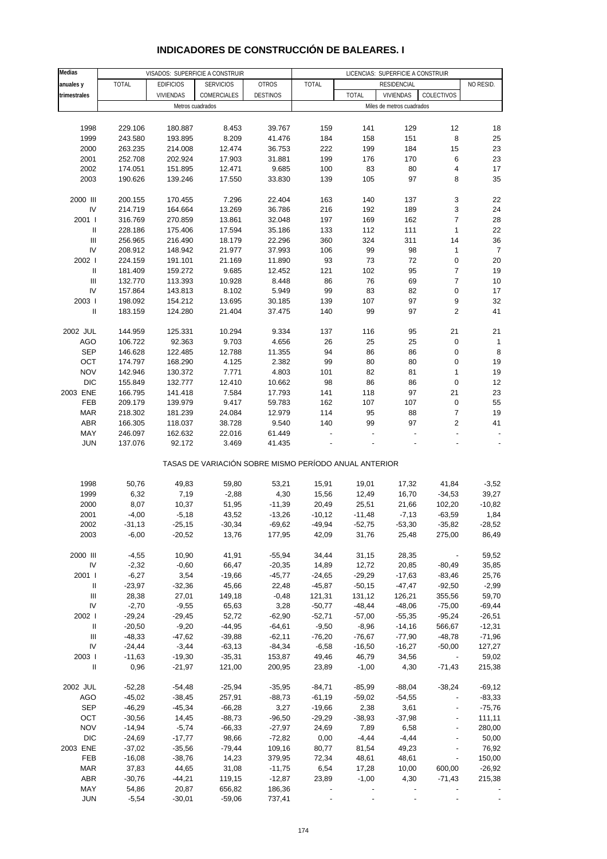#### **Medias anuales y** | TOTAL | EDIFICIOS | SERVICIOS | OTROS | TOTAL | RESIDENCIAL | NO RESID. **trimestrales** VIVIENDAS COMERCIALES DESTINOS TOTAL VIVIENDAS COLECTIVOS 1998 229.106 180.887 8.453 39.767 159 141 129 12 18 1999 243.580 193.895 8.209 41.476 184 158 151 8 25 2000 263.235 214.008 12.474 36.753 222 199 184 15 23 2001 252.708 202.924 17.903 31.881 199 176 170 6 23 2002 174.051 151.895 12.471 9.685 100 83 80 4 17 2003 190.626 139.246 17.550 33.830 139 105 97 8 35 2000 III 200.155 170.455 7.296 22.404 163 140 137 3 22 IV 214.719 164.664 13.269 36.786 216 192 189 3 24 2001 I 316.769 270.859 13.861 32.048 197 169 162 7 28 II 228.186 175.406 17.594 35.186 133 112 111 1 22 III 256.965 216.490 18.179 22.296 360 324 311 14 36 IV 208.912 148.942 21.977 37.993 106 99 98 1 7 2002 I 224.159 191.101 21.169 11.890 93 73 72 0 20 II 181.409 159.272 9.685 12.452 121 102 95 7 19 III 132.770 113.393 10.928 8.448 86 76 69 7 10 IV 157.864 143.813 8.102 5.949 99 83 82 0 17 2003 I 198.092 154.212 13.695 30.185 139 107 97 9 32 II 183.159 124.280 21.404 37.475 140 99 97 2 41 2002 JUL 144.959 125.331 10.294 9.334 137 116 95 21 21 AGO 106.722 92.363 9.703 4.656 26 25 25 0 1 SEP 146.628 122.485 12.788 11.355 94 86 86 0 8 OCT 174.797 168.290 4.125 2.382 99 80 80 0 19 NOV 142.946 130.372 7.771 4.803 101 82 81 1 19 DIC 155.849 132.777 12.410 10.662 98 86 86 0 12 2003 ENE 166.795 141.418 7.584 17.793 141 118 97 21 23 FEB 209.179 139.979 9.417 59.783 162 107 107 0 55 MAR 218.302 181.239 24.084 12.979 114 95 88 7 19 ABR 166.305 118.037 38.728 9.540 140 99 97 2 41 MAY 246.097 162.632 22.016 61.449 - - - - - JUN 137.076 92.172 3.469 41.435 - - - - - TASAS DE VARIACIÓN SOBRE MISMO PERÍODO ANUAL ANTERIOR 1998 50,76 49,83 59,80 53,21 15,91 19,01 17,32 41,84 -3,52 1999 6,32 7,19 -2,88 4,30 15,56 12,49 16,70 -34,53 39,27 2000 8,07 10,37 51,95 -11,39 20,49 25,51 21,66 102,20 -10,82 2001 -4,00 -5,18 43,52 -13,26 -10,12 -11,48 -7,13 -63,59 1,84 2002 -31,13 -25,15 -30,34 -69,62 -49,94 -52,75 -53,30 -35,82 -28,52 2003 -6,00 -20,52 13,76 177,95 42,09 31,76 25,48 275,00 86,49 2000 III -4,55 10,90 41,91 -55,94 34,44 31,15 28,35 - 59,52 IV -2,32 -0,60 66,47 -20,35 14,89 12,72 20,85 -80,49 35,85 2001 I -6,27 3,54 -19,66 -45,77 -24,65 -29,29 -17,63 -83,46 25,76 II -23,97 -32,36 45,66 22,48 -45,87 -50,15 -47,47 -92,50 -2,99 III 28,38 27,01 149,18 -0,48 121,31 131,12 126,21 355,56 59,70 IV -2,70 -9,55 65,63 3,28 -50,77 -48,44 -48,06 -75,00 -69,44 2002 I -29,24 -29,45 52,72 -62,90 -52,71 -57,00 -55,35 -95,24 -26,51 II -20,50 -9,20 -44,95 -64,61 -9,50 -8,96 -14,16 566,67 -12,31 III -48,33 -47,62 -39,88 -62,11 -76,20 -76,67 -77,90 -48,78 -71,96 IV -24,44 -3,44 -63,13 -84,34 -6,58 -16,50 -16,27 -50,00 127,27 2003 I -11,63 -19,30 -35,31 153,87 49,46 46,79 34,56 - 59,02 II 0,96 -21,97 121,00 200,95 23,89 -1,00 4,30 -71,43 215,38 2002 JUL -52,28 -54,48 -25,94 -35,95 -84,71 -85,99 -88,04 -38,24 -69,12 AGO -45,02 -38,45 257,91 -88,73 -61,19 -59,02 -54,55 - -83,33 SEP -46,29 -45,34 -66,28 3,27 -19,66 2,38 3,61 - -75,76 OCT -30,56 14,45 -88,73 -96,50 -29,29 -38,93 -37,98 - 111,11 NOV -14,94 -5,74 -66,33 -27,97 24,69 7,89 6,58 - 280,00 DIC -24,69 -17,77 98,66 -72,82 0,00 -4,44 -4,44 - 50,00 2003 ENE -37,02 -35,56 -79,44 109,16 80,77 81,54 49,23 - 76,92 FEB -16,08 -38,76 14,23 379,95 72,34 48,61 48,61 - 150,00 MAR 37,83 44,65 31,08 -11,75 6,54 17,28 10,00 600,00 -26,92 ABR -30,76 -44,21 119,15 -12,87 23,89 -1,00 4,30 -71,43 215,38 VISADOS: SUPERFICIE A CONSTRUIR LICENCIAS: SUPERFICIE A CONSTRUIR **RESIDENCIAL** Metros cuadrados **Metros** cuadrados **Miles de metros cuadrados Miles de metros cuadrados**

#### **INDICADORES DE CONSTRUCCIÓN DE BALEARES. I**

 MAY 54,86 20,87 656,82 186,36 - - - - - JUN -5,54 -30,01 -59,06 737,41 - - - - -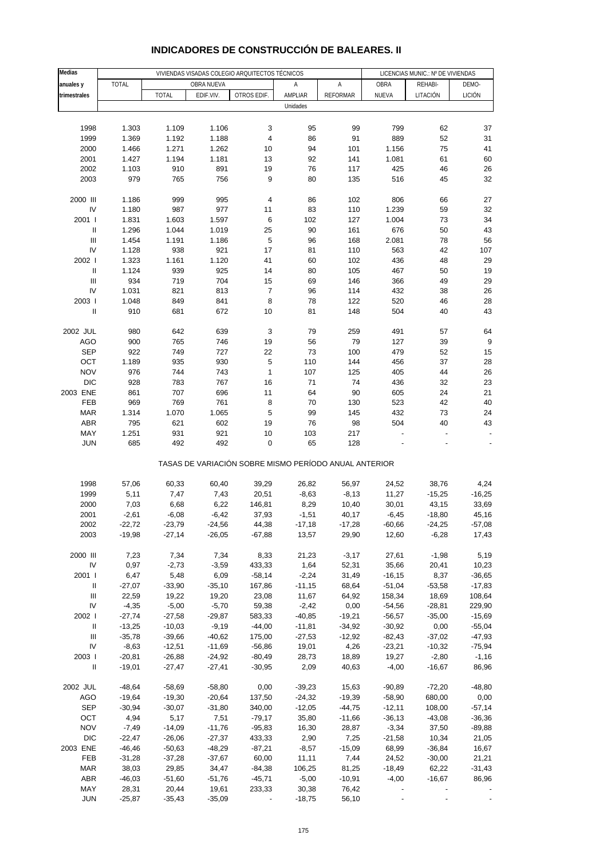| Medias                             |              |              |            | VIVIENDAS VISADAS COLEGIO ARQUITECTOS TÉCNICOS        |          |                 |           | LICENCIAS MUNIC.: Nº DE VIVIENDAS |          |
|------------------------------------|--------------|--------------|------------|-------------------------------------------------------|----------|-----------------|-----------|-----------------------------------|----------|
| anuales y                          | <b>TOTAL</b> |              | OBRA NUEVA |                                                       | Α        | Α               | OBRA      | REHABI-                           | DEMO-    |
|                                    |              |              |            |                                                       |          |                 |           |                                   |          |
| trimestrales                       |              | <b>TOTAL</b> | EDIF.VIV.  | OTROS EDIF.                                           | AMPLIAR  | <b>REFORMAR</b> | NUEVA     | LITACIÓN                          | LICIÓN   |
|                                    |              |              |            |                                                       | Unidades |                 |           |                                   |          |
|                                    |              |              |            |                                                       |          |                 |           |                                   |          |
| 1998                               | 1.303        | 1.109        | 1.106      | 3                                                     | 95       | 99              | 799       | 62                                | 37       |
| 1999                               | 1.369        | 1.192        | 1.188      | 4                                                     | 86       | 91              | 889       | 52                                | 31       |
| 2000                               | 1.466        | 1.271        | 1.262      | 10                                                    | 94       | 101             | 1.156     | 75                                | 41       |
| 2001                               | 1.427        | 1.194        | 1.181      | 13                                                    | 92       | 141             | 1.081     | 61                                | 60       |
| 2002                               | 1.103        | 910          | 891        | 19                                                    | 76       | 117             | 425       | 46                                | 26       |
| 2003                               | 979          | 765          | 756        | 9                                                     | 80       | 135             | 516       | 45                                | 32       |
|                                    |              |              |            |                                                       |          |                 |           |                                   |          |
| 2000 III                           | 1.186        | 999          | 995        | 4                                                     | 86       | 102             | 806       | 66                                | 27       |
| IV                                 | 1.180        | 987          | 977        | 11                                                    | 83       | 110             | 1.239     | 59                                | 32       |
| 2001 l                             | 1.831        | 1.603        | 1.597      | 6                                                     | 102      | 127             | 1.004     | 73                                | 34       |
| $\ensuremath{\mathsf{II}}$         | 1.296        | 1.044        | 1.019      | 25                                                    | 90       | 161             | 676       | 50                                | 43       |
| Ш                                  | 1.454        | 1.191        | 1.186      | 5                                                     | 96       | 168             | 2.081     | 78                                | 56       |
| IV                                 | 1.128        | 938          | 921        | 17                                                    | 81       | 110             | 563       | 42                                | 107      |
| 2002                               |              |              |            | 41                                                    |          |                 | 436       |                                   |          |
|                                    | 1.323        | 1.161        | 1.120      |                                                       | 60       | 102             |           | 48                                | 29       |
| $\mathbf{I}$                       | 1.124        | 939          | 925        | 14                                                    | 80       | 105             | 467       | 50                                | 19       |
| Ш                                  | 934          | 719          | 704        | 15                                                    | 69       | 146             | 366       | 49                                | 29       |
| IV                                 | 1.031        | 821          | 813        | $\boldsymbol{7}$                                      | 96       | 114             | 432       | 38                                | 26       |
| 2003                               | 1.048        | 849          | 841        | 8                                                     | 78       | 122             | 520       | 46                                | 28       |
| Ш                                  | 910          | 681          | 672        | 10                                                    | 81       | 148             | 504       | 40                                | 43       |
|                                    |              |              |            |                                                       |          |                 |           |                                   |          |
| 2002 JUL                           | 980          | 642          | 639        | 3                                                     | 79       | 259             | 491       | 57                                | 64       |
| <b>AGO</b>                         | 900          | 765          | 746        | 19                                                    | 56       | 79              | 127       | 39                                | $9\,$    |
| <b>SEP</b>                         | 922          | 749          | 727        | 22                                                    | 73       | 100             | 479       | 52                                | 15       |
| OCT                                | 1.189        | 935          | 930        | 5                                                     | 110      | 144             | 456       | 37                                | 28       |
| <b>NOV</b>                         | 976          | 744          | 743        | $\mathbf{1}$                                          | 107      | 125             | 405       | 44                                | 26       |
| <b>DIC</b>                         | 928          | 783          | 767        | 16                                                    | 71       | 74              | 436       | 32                                | 23       |
| 2003 ENE                           | 861          | 707          | 696        | 11                                                    | 64       | 90              | 605       | 24                                | 21       |
| FEB                                | 969          | 769          | 761        | 8                                                     | 70       | 130             | 523       | 42                                | 40       |
| <b>MAR</b>                         | 1.314        | 1.070        | 1.065      | 5                                                     | 99       | 145             | 432       | 73                                | 24       |
| <b>ABR</b>                         | 795          | 621          | 602        | 19                                                    | 76       | 98              | 504       | 40                                | 43       |
| MAY                                | 1.251        | 931          | 921        | $10$                                                  | 103      | 217             |           |                                   |          |
| <b>JUN</b>                         | 685          | 492          | 492        | $\pmb{0}$                                             | 65       | 128             |           |                                   |          |
|                                    |              |              |            |                                                       |          |                 |           |                                   |          |
|                                    |              |              |            | TASAS DE VARIACIÓN SOBRE MISMO PERÍODO ANUAL ANTERIOR |          |                 |           |                                   |          |
|                                    |              |              |            |                                                       |          |                 |           |                                   |          |
| 1998                               | 57,06        | 60,33        | 60,40      | 39,29                                                 | 26,82    | 56,97           | 24,52     | 38,76                             | 4,24     |
| 1999                               | 5,11         | 7,47         | 7,43       | 20,51                                                 | $-8,63$  | $-8,13$         | 11,27     | $-15,25$                          | $-16,25$ |
| 2000                               | 7,03         | 6,68         | 6,22       | 146,81                                                | 8,29     | 10,40           | 30,01     | 43,15                             | 33,69    |
| 2001                               | $-2,61$      | $-6,08$      | $-6,42$    | 37,93                                                 | $-1,51$  | 40,17           | $-6,45$   | $-18,80$                          | 45,16    |
| 2002                               | $-22,72$     | $-23,79$     | $-24,56$   | 44,38                                                 | $-17,18$ | $-17,28$        | $-60,66$  | $-24,25$                          | $-57,08$ |
| 2003                               | $-19,98$     | $-27,14$     | $-26,05$   | -67,88                                                | 13,57    | 29,90           | 12,60     | $-6,28$                           | 17,43    |
|                                    |              |              |            |                                                       |          |                 |           |                                   |          |
| 2000 III                           | 7,23         | 7,34         | 7,34       | 8,33                                                  | 21,23    | $-3,17$         | 27,61     | $-1,98$                           | 5,19     |
| $\mathsf{IV}$                      | 0,97         | $-2,73$      | $-3,59$    | 433,33                                                | 1,64     | 52,31           | 35,66     | 20,41                             | 10,23    |
| 2001 l                             | 6,47         | 5,48         | 6,09       | $-58,14$                                              | $-2,24$  | 31,49           | $-16, 15$ | 8,37                              | $-36,65$ |
| Ш                                  | $-27,07$     | $-33,90$     | $-35,10$   | 167,86                                                | $-11,15$ | 68,64           | $-51,04$  | $-53,58$                          | $-17,83$ |
| $\ensuremath{\mathsf{III}}\xspace$ | 22,59        | 19,22        | 19,20      | 23,08                                                 | 11,67    | 64,92           | 158,34    | 18,69                             | 108,64   |
| IV                                 | $-4,35$      | $-5,00$      | $-5,70$    | 59,38                                                 | $-2,42$  | 0,00            | $-54,56$  | $-28,81$                          | 229,90   |
| 2002                               | $-27,74$     | $-27,58$     | $-29,87$   | 583,33                                                | $-40,85$ | $-19,21$        | $-56,57$  | $-35,00$                          | $-15,69$ |
| $\ensuremath{\mathsf{II}}$         | $-13,25$     | $-10,03$     | $-9,19$    | $-44,00$                                              | $-11,81$ | $-34,92$        | $-30,92$  | 0,00                              | $-55,04$ |
| $\ensuremath{\mathsf{III}}\xspace$ | $-35,78$     | $-39,66$     | $-40,62$   | 175,00                                                | $-27,53$ | $-12,92$        | $-82,43$  | $-37,02$                          | $-47,93$ |
| IV                                 | $-8,63$      | $-12,51$     | $-11,69$   | $-56,86$                                              | 19,01    | 4,26            | $-23,21$  | $-10,32$                          | $-75,94$ |
| 2003                               | $-20,81$     | $-26,88$     | $-24,92$   | $-80,49$                                              | 28,73    | 18,89           | 19,27     | $-2,80$                           | $-1,16$  |
| $\ensuremath{\mathsf{II}}$         | $-19,01$     | $-27,47$     | $-27,41$   | $-30,95$                                              | 2,09     | 40,63           | $-4,00$   | $-16,67$                          | 86,96    |
|                                    |              |              |            |                                                       |          |                 |           |                                   |          |
| 2002 JUL                           | $-48,64$     | $-58,69$     | $-58,80$   | 0,00                                                  | $-39,23$ | 15,63           | $-90,89$  | $-72,20$                          | $-48,80$ |
| AGO                                | $-19,64$     | $-19,30$     | $-20,64$   | 137,50                                                | $-24,32$ | $-19,39$        | $-58,90$  | 680,00                            | 0,00     |
| <b>SEP</b>                         | $-30,94$     | $-30,07$     | $-31,80$   | 340,00                                                | $-12,05$ | $-44,75$        | $-12,11$  | 108,00                            | $-57,14$ |
| OCT                                | 4,94         | 5,17         | 7,51       | $-79,17$                                              | 35,80    | $-11,66$        | $-36,13$  | $-43,08$                          | $-36,36$ |
| <b>NOV</b>                         | $-7,49$      | $-14,09$     | $-11,76$   | $-95,83$                                              | 16,30    | 28,87           | $-3,34$   | 37,50                             | $-89,88$ |
| <b>DIC</b>                         | $-22,47$     | $-26,06$     | $-27,37$   | 433,33                                                | 2,90     | 7,25            | $-21,58$  | 10,34                             | 21,05    |
| 2003 ENE                           | $-46, 46$    | $-50,63$     | $-48,29$   | $-87,21$                                              | $-8,57$  | $-15,09$        | 68,99     | $-36,84$                          | 16,67    |
| FEB                                | $-31,28$     | $-37,28$     | $-37,67$   | 60,00                                                 | 11,11    | 7,44            | 24,52     | $-30,00$                          | 21,21    |
| <b>MAR</b>                         | 38,03        | 29,85        | 34,47      | $-84,38$                                              | 106,25   | 81,25           | $-18,49$  | 62,22                             | $-31,43$ |
| ABR                                | $-46,03$     | $-51,60$     | $-51,76$   | $-45,71$                                              | $-5,00$  | $-10,91$        | $-4,00$   | $-16,67$                          | 86,96    |
|                                    |              |              |            |                                                       |          |                 |           |                                   |          |
| MAY                                | 28,31        | 20,44        | 19,61      | 233,33                                                | 30,38    | 76,42           |           |                                   |          |
| JUN                                | $-25,87$     | $-35,43$     | $-35,09$   |                                                       | $-18,75$ | 56,10           |           |                                   |          |

# **INDICADORES DE CONSTRUCCIÓN DE BALEARES. II**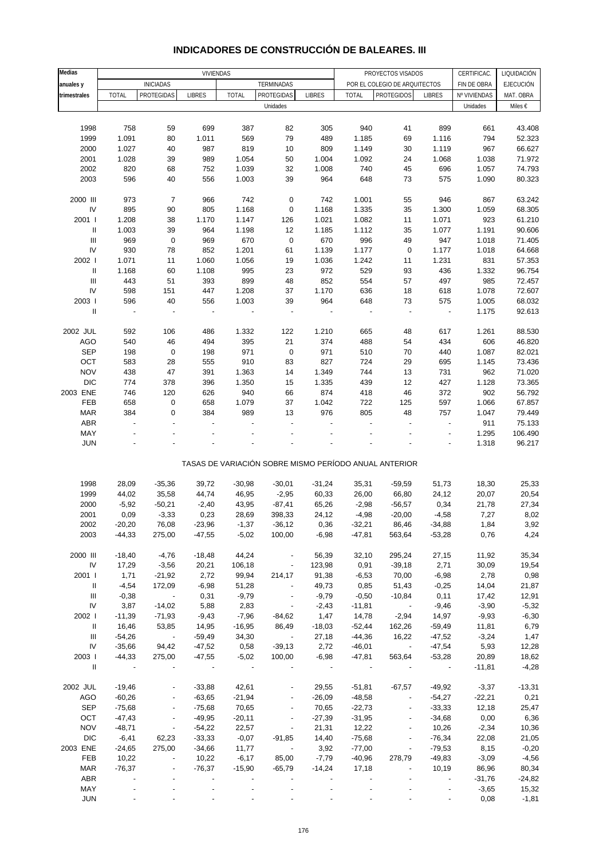| Medias                             |                          |                          | <b>VIVIENDAS</b>         |              |                          |               |                |                                                       |                          |                            | LIQUIDACIÓN      |
|------------------------------------|--------------------------|--------------------------|--------------------------|--------------|--------------------------|---------------|----------------|-------------------------------------------------------|--------------------------|----------------------------|------------------|
|                                    |                          | <b>INICIADAS</b>         |                          |              | TERMINADAS               |               |                | PROYECTOS VISADOS<br>POR EL COLEGIO DE ARQUITECTOS    |                          | CERTIFICAC.<br>FIN DE OBRA | <b>EJECUCIÓN</b> |
| anuales y<br>trimestrales          | <b>TOTAL</b>             | PROTEGIDAS               | <b>LIBRES</b>            | <b>TOTAL</b> | PROTEGIDAS               | <b>LIBRES</b> | <b>TOTAL</b>   | <b>PROTEGIDOS</b>                                     | <b>LIBRES</b>            | Nº VIVIENDAS               | MAT. OBRA        |
|                                    |                          |                          |                          |              | Unidades                 |               |                |                                                       |                          | Unidades                   | Miles €          |
|                                    |                          |                          |                          |              |                          |               |                |                                                       |                          |                            |                  |
|                                    |                          |                          |                          |              |                          |               |                |                                                       |                          |                            |                  |
| 1998<br>1999                       | 758                      | 59                       | 699<br>1.011             | 387<br>569   | 82<br>79                 | 305<br>489    | 940<br>1.185   | 41                                                    | 899<br>1.116             | 661<br>794                 | 43.408<br>52.323 |
|                                    | 1.091                    | 80                       |                          | 819          |                          |               |                | 69                                                    |                          |                            |                  |
| 2000<br>2001                       | 1.027<br>1.028           | 40<br>39                 | 987<br>989               | 1.054        | 10<br>50                 | 809<br>1.004  | 1.149<br>1.092 | 30<br>24                                              | 1.119<br>1.068           | 967<br>1.038               | 66.627<br>71.972 |
| 2002                               | 820                      |                          | 752                      | 1.039        |                          | 1.008         | 740            |                                                       |                          |                            | 74.793           |
|                                    | 596                      | 68                       | 556                      |              | 32                       | 964           | 648            | 45                                                    | 696                      | 1.057                      |                  |
| 2003                               |                          | 40                       |                          | 1.003        | 39                       |               |                | 73                                                    | 575                      | 1.090                      | 80.323           |
| 2000 III                           | 973                      | $\overline{7}$           | 966                      | 742          | $\pmb{0}$                | 742           | 1.001          | 55                                                    | 946                      | 867                        | 63.242           |
| IV                                 | 895                      | 90                       | 805                      | 1.168        | $\pmb{0}$                | 1.168         | 1.335          | 35                                                    | 1.300                    | 1.059                      | 68.305           |
| 2001 l                             | 1.208                    | 38                       | 1.170                    | 1.147        | 126                      | 1.021         | 1.082          | 11                                                    | 1.071                    | 923                        | 61.210           |
| $\, \parallel$                     | 1.003                    | 39                       | 964                      | 1.198        | 12                       | 1.185         | 1.112          | 35                                                    | 1.077                    | 1.191                      | 90.606           |
| $\ensuremath{\mathsf{III}}\xspace$ | 969                      | $\pmb{0}$                | 969                      | 670          | $\pmb{0}$                | 670           | 996            | 49                                                    | 947                      | 1.018                      | 71.405           |
| IV                                 | 930                      | 78                       | 852                      | 1.201        | 61                       | 1.139         | 1.177          | $\pmb{0}$                                             | 1.177                    | 1.018                      | 64.668           |
| 2002                               | 1.071                    | 11                       | 1.060                    | 1.056        | 19                       | 1.036         | 1.242          | 11                                                    | 1.231                    | 831                        | 57.353           |
| $\ensuremath{\mathsf{II}}$         | 1.168                    | 60                       | 1.108                    | 995          | 23                       | 972           | 529            | 93                                                    | 436                      | 1.332                      | 96.754           |
| $\mathbf{III}$                     | 443                      | 51                       | 393                      | 899          | 48                       | 852           | 554            | 57                                                    | 497                      | 985                        | 72.457           |
| IV                                 | 598                      | 151                      | 447                      | 1.208        | 37                       | 1.170         | 636            | 18                                                    | 618                      | 1.078                      | 72.607           |
| 2003 l                             | 596                      | 40                       | 556                      | 1.003        | 39                       | 964           | 648            | 73                                                    | 575                      | 1.005                      | 68.032           |
| $\ensuremath{\mathsf{II}}$         |                          | ÷                        |                          | ÷,           |                          |               |                |                                                       | $\overline{\phantom{a}}$ |                            |                  |
|                                    | $\overline{\phantom{a}}$ |                          | $\overline{\phantom{a}}$ |              | $\overline{\phantom{m}}$ |               | $\overline{a}$ | $\qquad \qquad \blacksquare$                          |                          | 1.175                      | 92.613           |
| 2002 JUL                           | 592                      | 106                      | 486                      | 1.332        | 122                      | 1.210         | 665            | 48                                                    | 617                      | 1.261                      | 88.530           |
|                                    | 540                      | 46                       | 494                      | 395          | 21                       | 374           | 488            |                                                       |                          | 606                        |                  |
| <b>AGO</b><br><b>SEP</b>           |                          |                          |                          | 971          |                          | 971           | 510            | 54                                                    | 434<br>440               |                            | 46.820<br>82.021 |
|                                    | 198                      | $\pmb{0}$                | 198                      |              | $\pmb{0}$                |               |                | 70                                                    |                          | 1.087                      |                  |
| OCT                                | 583                      | 28                       | 555                      | 910          | 83                       | 827           | 724            | 29                                                    | 695                      | 1.145                      | 73.436           |
| <b>NOV</b>                         | 438                      | 47                       | 391                      | 1.363        | 14                       | 1.349         | 744            | 13                                                    | 731                      | 962                        | 71.020           |
| <b>DIC</b>                         | 774                      | 378                      | 396                      | 1.350        | 15                       | 1.335         | 439            | 12                                                    | 427                      | 1.128                      | 73.365           |
| 2003 ENE                           | 746                      | 120                      | 626                      | 940          | 66                       | 874           | 418            | 46                                                    | 372                      | 902                        | 56.792           |
| FEB                                | 658                      | $\pmb{0}$                | 658                      | 1.079        | 37                       | 1.042         | 722            | 125                                                   | 597                      | 1.066                      | 67.857           |
| <b>MAR</b>                         | 384                      | $\mathbf 0$              | 384                      | 989          | 13                       | 976           | 805            | 48                                                    | 757                      | 1.047                      | 79.449           |
| ABR                                | $\overline{a}$           | $\overline{a}$           | ÷                        |              | $\overline{a}$           |               | Ĭ.             | $\overline{a}$                                        | $\overline{a}$           | 911                        | 75.133           |
| MAY                                |                          |                          |                          |              |                          |               |                |                                                       | $\overline{a}$           | 1.295                      | 106.490          |
| <b>JUN</b>                         |                          |                          |                          |              |                          |               |                |                                                       |                          | 1.318                      | 96.217           |
|                                    |                          |                          |                          |              |                          |               |                | TASAS DE VARIACIÓN SOBRE MISMO PERÍODO ANUAL ANTERIOR |                          |                            |                  |
|                                    |                          |                          |                          |              |                          |               |                |                                                       |                          |                            |                  |
| 1998                               | 28,09                    | $-35,36$                 | 39,72                    | $-30,98$     | $-30,01$                 | $-31,24$      | 35,31          | $-59,59$                                              | 51,73                    | 18,30                      | 25,33            |
| 1999                               | 44,02                    | 35,58                    | 44,74                    | 46,95        | $-2,95$                  | 60,33         | 26,00          | 66,80                                                 | 24,12                    | 20,07                      | 20,54            |
| 2000                               | $-5,92$                  | $-50,21$                 | $-2,40$                  | 43,95        | $-87,41$                 | 65,26         | $-2,98$        | $-56,57$                                              | 0,34                     | 21,78                      | 27,34            |
| 2001                               | 0,09                     | $-3,33$                  | 0,23                     | 28,69        | 398,33                   | 24,12         | $-4,98$        | $-20,00$                                              | $-4,58$                  | 7,27                       | 8,02             |
| 2002                               | $-20,20$                 | 76,08                    | $-23,96$                 | $-1,37$      | $-36,12$                 | 0,36          | $-32,21$       | 86,46                                                 | $-34,88$                 | 1,84                       | 3,92             |
| 2003                               | $-44,33$                 | 275,00                   | $-47,55$                 | $-5,02$      | 100,00                   | $-6,98$       | $-47,81$       | 563,64                                                | $-53,28$                 | 0,76                       | 4,24             |
|                                    |                          |                          |                          |              |                          |               |                |                                                       |                          |                            |                  |
| 2000 III                           | $-18,40$                 | $-4,76$                  | $-18,48$                 | 44,24        | $\overline{\phantom{a}}$ | 56,39         | 32,10          | 295,24                                                | 27,15                    | 11,92                      | 35,34            |
| IV                                 | 17,29                    | $-3,56$                  | 20,21                    | 106,18       |                          | 123,98        | 0,91           | $-39,18$                                              | 2,71                     | 30,09                      | 19,54            |
| 2001 l                             | 1,71                     | $-21,92$                 | 2,72                     | 99,94        | 214,17                   | 91,38         | $-6,53$        | 70,00                                                 | $-6,98$                  | 2,78                       | 0,98             |
| Ш                                  | $-4,54$                  | 172,09                   | $-6,98$                  | 51,28        | $\overline{\phantom{a}}$ | 49,73         | 0,85           | 51,43                                                 | $-0,25$                  | 14,04                      | 21,87            |
| Ш                                  | $-0,38$                  | $\sim$                   | 0,31                     | $-9,79$      | $\overline{\phantom{a}}$ | $-9,79$       | $-0,50$        | $-10,84$                                              | 0,11                     | 17,42                      | 12,91            |
| IV                                 | 3,87                     | $-14,02$                 | 5,88                     | 2,83         | $\overline{\phantom{a}}$ | $-2,43$       | $-11,81$       | $\sim$                                                | $-9,46$                  | $-3,90$                    | $-5,32$          |
| 2002                               | $-11,39$                 | $-71,93$                 | $-9,43$                  | $-7,96$      | $-84,62$                 | 1,47          | 14,78          | $-2,94$                                               | 14,97                    | $-9,93$                    | $-6,30$          |
| Ш                                  | 16,46                    | 53,85                    | 14,95                    | $-16,95$     | 86,49                    | $-18,03$      | $-52,44$       | 162,26                                                | $-59,49$                 | 11,81                      | 6,79             |
| Ш                                  | $-54,26$                 | $\sim$ $-$               | $-59,49$                 | 34,30        | $\sim 100$               | 27,18         | $-44,36$       | 16,22                                                 | $-47,52$                 | $-3,24$                    | 1,47             |
| IV                                 | $-35,66$                 | 94,42                    | $-47,52$                 | 0,58         | $-39,13$                 | 2,72          | $-46,01$       | $\sim 100$                                            | $-47,54$                 | 5,93                       | 12,28            |
| 2003                               | $-44,33$                 | 275,00                   | $-47,55$                 | $-5,02$      | 100,00                   | $-6,98$       | $-47,81$       | 563,64                                                | $-53,28$                 | 20,89                      | 18,62            |
| $\mathbf{II}$                      |                          |                          |                          |              |                          |               |                |                                                       | $\overline{\phantom{a}}$ | $-11,81$                   | $-4,28$          |
| 2002 JUL                           | $-19,46$                 |                          | $-33,88$                 | 42,61        |                          | 29,55         | $-51,81$       | $-67,57$                                              | $-49,92$                 | $-3,37$                    | $-13,31$         |
| AGO                                | $-60,26$                 |                          | $-63,65$                 | $-21,94$     |                          | $-26,09$      | $-48,58$       | $\blacksquare$                                        | $-54,27$                 | $-22,21$                   | 0,21             |
| <b>SEP</b>                         | $-75,68$                 | $\overline{\phantom{a}}$ | $-75,68$                 | 70,65        | $\overline{\phantom{a}}$ | 70,65         | $-22,73$       | $\overline{\phantom{a}}$                              | $-33,33$                 | 12,18                      | 25,47            |
| OCT                                | $-47,43$                 | $\blacksquare$           | $-49,95$                 | $-20,11$     |                          | $-27,39$      | $-31,95$       | $\qquad \qquad \blacksquare$                          | $-34,68$                 | 0,00                       | 6,36             |
| <b>NOV</b>                         | $-48,71$                 | $\blacksquare$           | $-54,22$                 | 22,57        | $\overline{\phantom{a}}$ | 21,31         | 12,22          | $\overline{a}$                                        | 10,26                    | $-2,34$                    | 10,36            |
| <b>DIC</b>                         | $-6,41$                  | 62,23                    | $-33,33$                 | $-0,07$      | $-91,85$                 | 14,40         | $-75,68$       | $\overline{\phantom{a}}$                              | $-76,34$                 | 22,08                      | 21,05            |
| 2003 ENE                           | $-24,65$                 | 275,00                   | $-34,66$                 | 11,77        | $\overline{\phantom{a}}$ | 3,92          | $-77,00$       |                                                       | $-79,53$                 | 8,15                       | $-0,20$          |
| FEB                                | 10,22                    | $\blacksquare$           | 10,22                    | $-6,17$      | 85,00                    | $-7,79$       | $-40,96$       | 278,79                                                | $-49,83$                 | $-3,09$                    | $-4,56$          |
| MAR                                | $-76,37$                 | $\overline{\phantom{a}}$ | $-76,37$                 | $-15,90$     | $-65,79$                 | $-14,24$      | 17,18          | $\overline{\phantom{a}}$                              | 10,19                    | 86,96                      | 80,34            |
| ABR                                |                          |                          |                          |              |                          |               |                |                                                       |                          | $-31,76$                   | $-24,82$         |
| MAY                                |                          |                          |                          |              |                          |               |                |                                                       |                          | $-3,65$                    | 15,32            |
| <b>JUN</b>                         |                          |                          |                          |              |                          |               |                |                                                       |                          | 0,08                       | $-1,81$          |

## **INDICADORES DE CONSTRUCCIÓN DE BALEARES. III**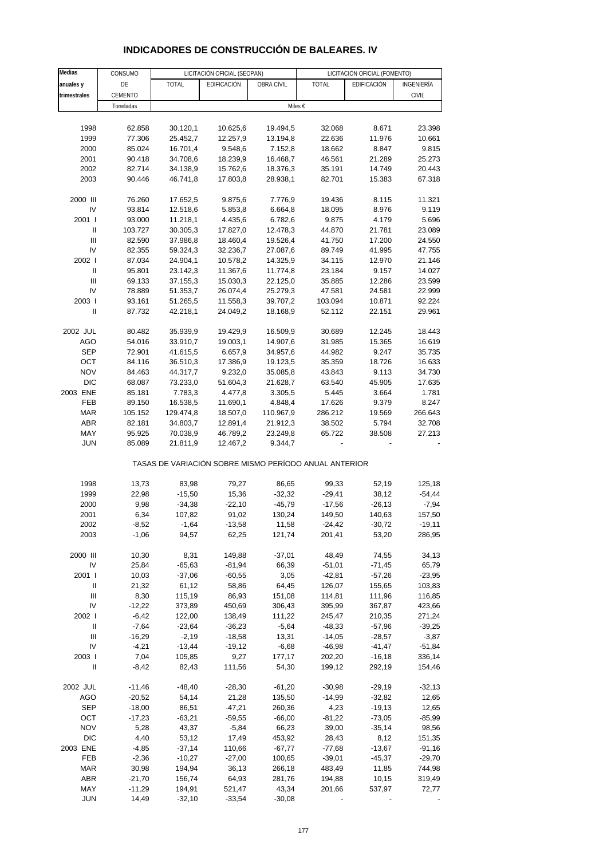| Medias                     | CONSUMO              |                      | LICITACIÓN OFICIAL (SEOPAN)                           |                      |                  | LICITACIÓN OFICIAL (FOMENTO) |                    |
|----------------------------|----------------------|----------------------|-------------------------------------------------------|----------------------|------------------|------------------------------|--------------------|
| anuales y                  | DE                   | <b>TOTAL</b>         | EDIFICACIÓN                                           | OBRA CIVIL           | <b>TOTAL</b>     | EDIFICACIÓN                  | INGENIERÍA         |
| trimestrales               | CEMENTO              |                      |                                                       |                      |                  |                              | <b>CIVIL</b>       |
|                            | Toneladas            |                      |                                                       | Miles €              |                  |                              |                    |
|                            |                      |                      |                                                       |                      |                  |                              |                    |
| 1998                       | 62.858               | 30.120,1             | 10.625,6                                              | 19.494,5             | 32.068           | 8.671                        | 23.398             |
| 1999                       | 77.306               | 25.452,7             | 12.257,9                                              | 13.194,8             | 22.636           | 11.976                       | 10.661             |
| 2000                       | 85.024               | 16.701,4             | 9.548,6                                               | 7.152,8              | 18.662           | 8.847                        | 9.815              |
| 2001                       | 90.418               | 34.708,6             | 18.239,9                                              | 16.468,7             | 46.561           | 21.289                       | 25.273             |
| 2002                       | 82.714               | 34.138,9             | 15.762,6                                              | 18.376,3             | 35.191           | 14.749                       | 20.443             |
| 2003                       | 90.446               | 46.741,8             | 17.803,8                                              | 28.938,1             | 82.701           | 15.383                       | 67.318             |
| 2000 III                   | 76.260               | 17.652,5             | 9.875,6                                               | 7.776,9              | 19.436           | 8.115                        | 11.321             |
| IV                         | 93.814               | 12.518,6             | 5.853,8                                               | 6.664,8              | 18.095           | 8.976                        | 9.119              |
| 2001 l                     | 93.000               | 11.218,1             | 4.435,6                                               | 6.782,6              | 9.875            | 4.179                        | 5.696              |
| Ш                          | 103.727              | 30.305,3             | 17.827,0                                              | 12.478,3             | 44.870           | 21.781                       | 23.089             |
| III                        | 82.590               | 37.986,8             | 18.460,4                                              | 19.526,4             | 41.750           | 17.200                       | 24.550             |
| IV<br>2002                 | 82.355               | 59.324,3             | 32.236,7                                              | 27.087,6             | 89.749           | 41.995                       | 47.755             |
| Ш                          | 87.034<br>95.801     | 24.904,1<br>23.142,3 | 10.578,2<br>11.367,6                                  | 14.325,9<br>11.774,8 | 34.115<br>23.184 | 12.970<br>9.157              | 21.146<br>14.027   |
| $\mathbf{III}$             | 69.133               | 37.155,3             | 15.030,3                                              | 22.125,0             | 35.885           | 12.286                       | 23.599             |
| IV                         | 78.889               | 51.353,7             | 26.074,4                                              | 25.279,3             | 47.581           | 24.581                       | 22.999             |
| 2003                       | 93.161               | 51.265,5             | 11.558,3                                              | 39.707,2             | 103.094          | 10.871                       | 92.224             |
| $\mathbf{I}$               | 87.732               | 42.218,1             | 24.049,2                                              | 18.168,9             | 52.112           | 22.151                       | 29.961             |
| 2002 JUL                   | 80.482               | 35.939,9             | 19.429,9                                              | 16.509,9             | 30.689           | 12.245                       | 18.443             |
| <b>AGO</b>                 | 54.016               | 33.910,7             | 19.003,1                                              | 14.907,6             | 31.985           | 15.365                       | 16.619             |
| <b>SEP</b>                 | 72.901               | 41.615,5             | 6.657,9                                               | 34.957,6             | 44.982           | 9.247                        | 35.735             |
| OCT                        | 84.116               | 36.510,3             | 17.386,9                                              | 19.123,5             | 35.359           | 18.726                       | 16.633             |
| <b>NOV</b>                 | 84.463               | 44.317,7             | 9.232,0                                               | 35.085,8             | 43.843           | 9.113                        | 34.730             |
| <b>DIC</b>                 | 68.087               | 73.233,0             | 51.604,3                                              | 21.628,7             | 63.540           | 45.905                       | 17.635             |
| 2003 ENE                   | 85.181               | 7.783,3              | 4.477,8                                               | 3.305,5              | 5.445            | 3.664                        | 1.781              |
| FEB                        | 89.150               | 16.538,5             | 11.690,1                                              | 4.848,4              | 17.626           | 9.379                        | 8.247              |
| <b>MAR</b>                 | 105.152              | 129.474,8            | 18.507,0                                              | 110.967,9            | 286.212          | 19.569                       | 266.643            |
| ABR                        | 82.181               | 34.803,7             | 12.891,4                                              | 21.912,3             | 38.502           | 5.794                        | 32.708             |
| MAY                        | 95.925               | 70.038,9             | 46.789,2                                              | 23.249,8             | 65.722           | 38.508                       | 27.213             |
| <b>JUN</b>                 | 85.089               | 21.811,9             | 12.467,2                                              | 9.344,7              |                  |                              |                    |
|                            |                      |                      | TASAS DE VARIACIÓN SOBRE MISMO PERÍODO ANUAL ANTERIOR |                      |                  |                              |                    |
| 1998                       | 13,73                | 83,98                | 79,27                                                 | 86,65                | 99,33            | 52,19                        | 125,18             |
| 1999                       | 22,98                | $-15,50$             | 15,36                                                 | $-32,32$             | $-29,41$         | 38,12                        | $-54,44$           |
| 2000                       | 9,98                 | $-34,38$             | $-22,10$                                              | $-45,79$             | $-17,56$         | $-26,13$                     | $-7,94$            |
| 2001                       | 6,34                 | 107,82               | 91,02                                                 | 130,24               | 149,50           | 140,63                       | 157,50             |
| 2002                       | $-8,52$              | $-1,64$              | $-13,58$                                              | 11,58                | $-24,42$         | $-30,72$                     | $-19,11$           |
| 2003                       | $-1,06$              | 94,57                | 62,25                                                 | 121,74               | 201,41           | 53,20                        | 286,95             |
| 2000 III                   | 10,30                | 8,31                 | 149,88                                                | $-37,01$             | 48,49            | 74,55                        | 34,13              |
| IV                         | 25,84                | $-65,63$             | $-81,94$                                              | 66,39                | $-51,01$         | $-71,45$                     | 65,79              |
| 2001 l                     | 10,03                | $-37,06$             | $-60,55$                                              | 3,05                 | $-42,81$         | $-57,26$                     | $-23,95$           |
| Ш                          | 21,32                | 61,12                | 58,86                                                 | 64,45                | 126,07           | 155,65                       | 103,83             |
| Ш                          | 8,30                 | 115,19               | 86,93                                                 | 151,08               | 114,81           | 111,96                       | 116,85             |
| IV                         | $-12,22$             | 373,89               | 450,69                                                | 306,43               | 395,99           | 367,87                       | 423,66             |
| 2002                       | $-6,42$              | 122,00               | 138,49                                                | 111,22               | 245,47           | 210,35                       | 271,24             |
| Ш                          | $-7,64$              | $-23,64$             | $-36,23$                                              | $-5,64$              | $-48,33$         | $-57,96$                     | $-39,25$           |
| Ш                          | $-16,29$             | $-2,19$              | $-18,58$                                              | 13,31                | $-14,05$         | $-28,57$                     | $-3,87$            |
| IV<br>2003                 | $-4,21$<br>7,04      | $-13,44$<br>105,85   | $-19,12$<br>9,27                                      | $-6,68$<br>177,17    | -46,98<br>202,20 | $-41,47$<br>$-16,18$         | $-51,84$<br>336,14 |
| $\ensuremath{\mathsf{II}}$ | $-8,42$              | 82,43                | 111,56                                                | 54,30                | 199,12           | 292,19                       | 154,46             |
|                            |                      |                      |                                                       |                      |                  |                              | $-32,13$           |
| 2002 JUL<br><b>AGO</b>     | $-11,46$<br>$-20,52$ | $-48,40$<br>54,14    | $-28,30$                                              | $-61,20$<br>135,50   | $-30,98$         | $-29,19$<br>$-32,82$         | 12,65              |
| SEP                        | $-18,00$             | 86,51                | 21,28<br>$-47,21$                                     | 260,36               | $-14,99$<br>4,23 | $-19,13$                     | 12,65              |
| OCT                        | $-17,23$             | $-63,21$             | $-59,55$                                              | $-66,00$             | $-81,22$         | $-73,05$                     | $-85,99$           |
| <b>NOV</b>                 | 5,28                 | 43,37                | $-5,84$                                               | 66,23                | 39,00            | $-35,14$                     | 98,56              |
| <b>DIC</b>                 | 4,40                 | 53,12                | 17,49                                                 | 453,92               | 28,43            | 8,12                         | 151,35             |
| 2003 ENE                   | $-4,85$              | $-37,14$             | 110,66                                                | $-67,77$             | $-77,68$         | $-13,67$                     | $-91,16$           |
| FEB                        | $-2,36$              | $-10,27$             | $-27,00$                                              | 100,65               | $-39,01$         | $-45,37$                     | $-29,70$           |
| <b>MAR</b>                 | 30,98                | 194,94               | 36,13                                                 | 266,18               | 483,49           | 11,85                        | 744,98             |

#### **INDICADORES DE CONSTRUCCIÓN DE BALEARES. IV**

ABR -21,70 156,74 64,93 281,76 194,88 10,15 319,49 MAY -11,29 194,91 521,47 43,34 201,66 537,97 72,77 JUN 14,49 -32,10 -33,54 -30,08 - - -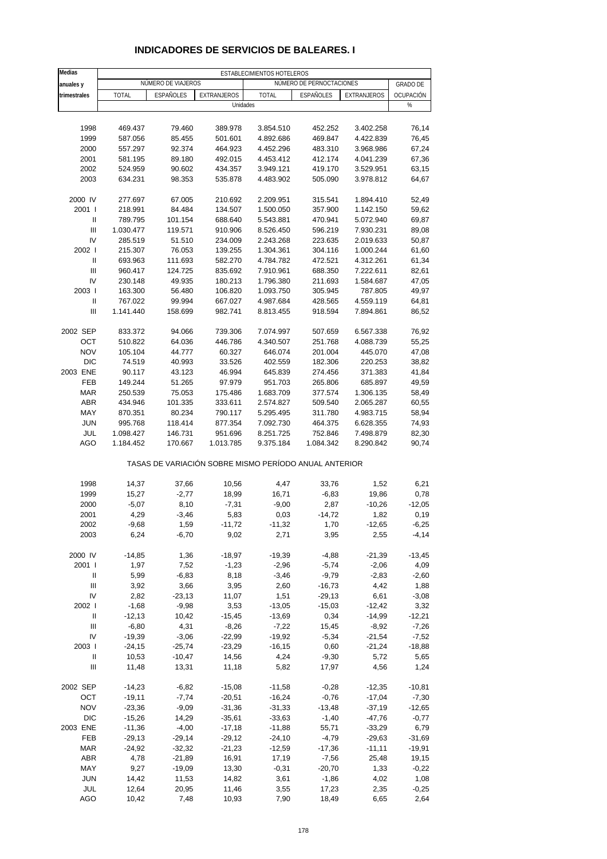| Medias                             | ESTABLECIMIENTOS HOTELEROS |                      |                                                       |                        |                          |                        |                     |  |
|------------------------------------|----------------------------|----------------------|-------------------------------------------------------|------------------------|--------------------------|------------------------|---------------------|--|
| anuales y                          |                            | NÚMERO DE VIAJEROS   |                                                       |                        | NÚMERO DE PERNOCTACIONES |                        | <b>GRADO DE</b>     |  |
| trimestrales                       | <b>TOTAL</b>               | <b>ESPAÑOLES</b>     | <b>EXTRANJEROS</b>                                    | <b>TOTAL</b>           | ESPAÑOLES                | EXTRANJEROS            | OCUPACIÓN           |  |
|                                    |                            |                      | Unidades                                              |                        |                          |                        | $\%$                |  |
|                                    |                            |                      |                                                       |                        |                          |                        |                     |  |
| 1998                               | 469.437                    | 79.460               | 389.978                                               | 3.854.510              | 452.252                  | 3.402.258              | 76,14               |  |
| 1999                               | 587.056                    | 85.455               | 501.601                                               | 4.892.686              | 469.847                  | 4.422.839              | 76,45               |  |
| 2000                               | 557.297                    | 92.374               | 464.923                                               | 4.452.296              | 483.310                  | 3.968.986              | 67,24               |  |
| 2001                               | 581.195                    | 89.180               | 492.015                                               | 4.453.412              | 412.174                  | 4.041.239              | 67,36               |  |
| 2002                               | 524.959                    | 90.602               | 434.357                                               | 3.949.121              | 419.170                  | 3.529.951              | 63,15               |  |
| 2003                               | 634.231                    | 98.353               | 535.878                                               | 4.483.902              | 505.090                  | 3.978.812              | 64,67               |  |
|                                    |                            |                      |                                                       |                        |                          |                        |                     |  |
| 2000 IV                            | 277.697                    | 67.005               | 210.692                                               | 2.209.951              | 315.541                  | 1.894.410              | 52,49               |  |
| 2001 l<br>Ш                        | 218.991                    | 84.484               | 134.507                                               | 1.500.050              | 357.900                  | 1.142.150              | 59,62               |  |
| $\ensuremath{\mathsf{III}}\xspace$ | 789.795<br>1.030.477       | 101.154<br>119.571   | 688.640<br>910.906                                    | 5.543.881<br>8.526.450 | 470.941<br>596.219       | 5.072.940<br>7.930.231 | 69,87<br>89,08      |  |
| IV                                 | 285.519                    | 51.510               | 234.009                                               | 2.243.268              | 223.635                  | 2.019.633              | 50,87               |  |
| 2002                               | 215.307                    | 76.053               | 139.255                                               | 1.304.361              | 304.116                  | 1.000.244              | 61,60               |  |
| Ш                                  | 693.963                    | 111.693              | 582.270                                               | 4.784.782              | 472.521                  | 4.312.261              | 61,34               |  |
| $\mathbf{III}$                     | 960.417                    | 124.725              | 835.692                                               | 7.910.961              | 688.350                  | 7.222.611              | 82,61               |  |
| IV                                 | 230.148                    | 49.935               | 180.213                                               | 1.796.380              | 211.693                  | 1.584.687              | 47,05               |  |
| 2003                               | 163.300                    | 56.480               | 106.820                                               | 1.093.750              | 305.945                  | 787.805                | 49,97               |  |
| $\sf II$                           | 767.022                    | 99.994               | 667.027                                               | 4.987.684              | 428.565                  | 4.559.119              | 64,81               |  |
| Ш                                  | 1.141.440                  | 158.699              | 982.741                                               | 8.813.455              | 918.594                  | 7.894.861              | 86,52               |  |
|                                    |                            |                      |                                                       |                        |                          |                        |                     |  |
| 2002 SEP                           | 833.372                    | 94.066               | 739.306                                               | 7.074.997              | 507.659                  | 6.567.338              | 76,92               |  |
| OCT                                | 510.822                    | 64.036               | 446.786                                               | 4.340.507              | 251.768                  | 4.088.739              | 55,25               |  |
| <b>NOV</b>                         | 105.104                    | 44.777               | 60.327                                                | 646.074                | 201.004                  | 445.070                | 47,08               |  |
| <b>DIC</b><br>2003 ENE             | 74.519                     | 40.993               | 33.526                                                | 402.559                | 182.306                  | 220.253                | 38,82               |  |
| <b>FEB</b>                         | 90.117<br>149.244          | 43.123<br>51.265     | 46.994<br>97.979                                      | 645.839<br>951.703     | 274.456<br>265.806       | 371.383<br>685.897     | 41,84<br>49,59      |  |
| <b>MAR</b>                         | 250.539                    | 75.053               | 175.486                                               | 1.683.709              | 377.574                  | 1.306.135              | 58,49               |  |
| <b>ABR</b>                         | 434.946                    | 101.335              | 333.611                                               | 2.574.827              | 509.540                  | 2.065.287              | 60,55               |  |
| MAY                                | 870.351                    | 80.234               | 790.117                                               | 5.295.495              | 311.780                  | 4.983.715              | 58,94               |  |
| <b>JUN</b>                         | 995.768                    | 118.414              | 877.354                                               | 7.092.730              | 464.375                  | 6.628.355              | 74,93               |  |
| JUL                                | 1.098.427                  | 146.731              | 951.696                                               | 8.251.725              | 752.846                  | 7.498.879              | 82,30               |  |
| AGO                                | 1.184.452                  | 170.667              | 1.013.785                                             | 9.375.184              | 1.084.342                | 8.290.842              | 90,74               |  |
|                                    |                            |                      | TASAS DE VARIACIÓN SOBRE MISMO PERÍODO ANUAL ANTERIOR |                        |                          |                        |                     |  |
| 1998                               | 14,37                      | 37,66                | 10,56                                                 | 4,47                   | 33,76                    | 1,52                   | 6,21                |  |
| 1999                               | 15,27                      | $-2,77$              | 18,99                                                 | 16,71                  | $-6,83$                  | 19,86                  | 0,78                |  |
| 2000                               | $-5,07$                    | 8,10                 | $-7,31$                                               | $-9,00$                | 2,87                     | $-10,26$               | $-12,05$            |  |
| 2001                               | 4,29                       | $-3,46$              | 5,83                                                  | 0,03                   | $-14,72$                 | 1,82                   | 0, 19               |  |
| 2002                               | -9,68                      | 1,59                 | $-11,72$                                              | -11,32                 | 1,70                     | $-12,65$               | $-6,25$             |  |
| 2003                               | 6,24                       | $-6,70$              | 9,02                                                  | 2,71                   | 3,95                     | 2,55                   | $-4, 14$            |  |
|                                    |                            |                      |                                                       |                        |                          |                        |                     |  |
| 2000 IV                            | $-14,85$                   | 1,36                 | $-18,97$                                              | $-19,39$               | $-4,88$                  | $-21,39$               | $-13,45$            |  |
| 2001 l                             | 1,97                       | 7,52                 | $-1,23$                                               | $-2,96$                | $-5,74$                  | $-2,06$                | 4,09                |  |
| Ш                                  | 5,99                       | $-6,83$              | 8,18                                                  | $-3,46$                | $-9,79$                  | $-2,83$                | $-2,60$             |  |
| $\ensuremath{\mathsf{III}}\xspace$ | 3,92                       | 3,66                 | 3,95                                                  | 2,60                   | $-16,73$                 | 4,42                   | 1,88                |  |
| IV                                 | 2,82                       | $-23,13$             | 11,07                                                 | 1,51                   | $-29,13$                 | 6,61                   | $-3,08$             |  |
| 2002 l                             | $-1,68$                    | $-9,98$              | 3,53                                                  | $-13,05$               | $-15,03$                 | $-12,42$               | 3,32                |  |
| Ш<br>$\mathbf{III}$                | $-12,13$<br>$-6,80$        | 10,42<br>4,31        | $-15,45$<br>$-8,26$                                   | $-13,69$<br>$-7,22$    | 0,34<br>15,45            | $-14,99$<br>$-8,92$    | $-12,21$<br>$-7,26$ |  |
| IV                                 | $-19,39$                   | $-3,06$              | $-22,99$                                              | $-19,92$               | $-5,34$                  | $-21,54$               | $-7,52$             |  |
| 2003                               | $-24,15$                   | $-25,74$             | $-23,29$                                              | $-16,15$               | 0,60                     | $-21,24$               | $-18,88$            |  |
| Ш                                  | 10,53                      | $-10,47$             | 14,56                                                 | 4,24                   | $-9,30$                  | 5,72                   | 5,65                |  |
| $\ensuremath{\mathsf{III}}\xspace$ | 11,48                      | 13,31                | 11,18                                                 | 5,82                   | 17,97                    | 4,56                   | 1,24                |  |
| 2002 SEP                           | $-14,23$                   | $-6,82$              | $-15,08$                                              | $-11,58$               | $-0,28$                  | $-12,35$               | $-10,81$            |  |
| OCT                                | $-19,11$                   | $-7,74$              | $-20,51$                                              | $-16,24$               | $-0,76$                  | $-17,04$               | $-7,30$             |  |
| <b>NOV</b>                         | $-23,36$                   | $-9,09$              | $-31,36$                                              | $-31,33$               | $-13,48$                 | $-37,19$               | -12,65              |  |
| <b>DIC</b>                         | $-15,26$                   | 14,29                | $-35,61$                                              | $-33,63$               | $-1,40$                  | $-47,76$               | $-0,77$             |  |
| 2003 ENE                           | $-11,36$                   | $-4,00$              | $-17,18$                                              | $-11,88$               | 55,71                    | $-33,29$               | 6,79                |  |
| FEB                                | $-29,13$                   | $-29,14$             | $-29,12$                                              | $-24,10$               | $-4,79$                  | $-29,63$               | $-31,69$            |  |
| <b>MAR</b>                         | $-24,92$                   | $-32,32$             | $-21,23$                                              | $-12,59$               | $-17,36$                 | $-11,11$               | $-19,91$            |  |
| <b>ABR</b><br>MAY                  | 4,78<br>9,27               | $-21,89$<br>$-19,09$ | 16,91<br>13,30                                        | 17,19<br>$-0,31$       | $-7,56$<br>$-20,70$      | 25,48<br>1,33          | 19,15<br>$-0,22$    |  |
| <b>JUN</b>                         | 14,42                      | 11,53                | 14,82                                                 | 3,61                   | $-1,86$                  | 4,02                   | 1,08                |  |
| JUL                                | 12,64                      | 20,95                | 11,46                                                 | 3,55                   | 17,23                    | 2,35                   | $-0,25$             |  |
| AGO                                | 10,42                      | 7,48                 | 10,93                                                 | 7,90                   | 18,49                    | 6,65                   | 2,64                |  |

#### **INDICADORES DE SERVICIOS DE BALEARES. I**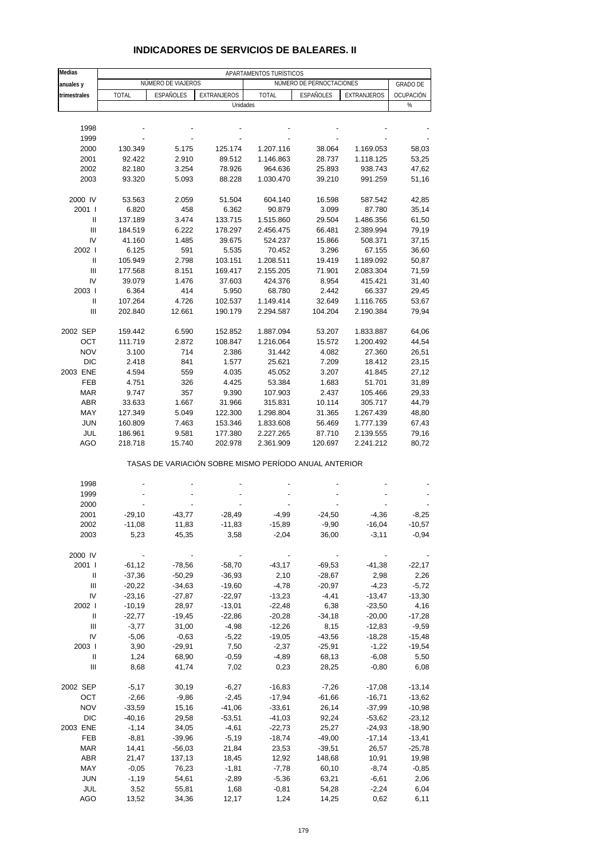| Medias            | APARTAMENTOS TURÍSTICOS |                      |                  |                 |                                                       |                 |                 |  |  |
|-------------------|-------------------------|----------------------|------------------|-----------------|-------------------------------------------------------|-----------------|-----------------|--|--|
| anuales y         |                         | NÚMERO DE VIAJEROS   |                  |                 | NÚMERO DE PERNOCTACIONES                              |                 | <b>GRADO DE</b> |  |  |
| trimestrales      | <b>TOTAL</b>            | ESPAÑOLES            | EXTRANJEROS      | <b>TOTAL</b>    | ESPAÑOLES                                             | EXTRANJEROS     | OCUPACIÓN       |  |  |
|                   |                         |                      | Unidades         |                 |                                                       |                 | $\%$            |  |  |
|                   |                         |                      |                  |                 |                                                       |                 |                 |  |  |
| 1998              |                         |                      |                  |                 |                                                       |                 |                 |  |  |
| 1999              |                         |                      |                  |                 |                                                       |                 |                 |  |  |
| 2000              | 130.349                 | 5.175                | 125.174          | 1.207.116       | 38.064                                                | 1.169.053       | 58,03           |  |  |
| 2001              | 92.422                  | 2.910                | 89.512           | 1.146.863       | 28.737                                                | 1.118.125       | 53,25           |  |  |
| 2002              | 82.180                  | 3.254                | 78.926           | 964.636         | 25.893                                                | 938.743         | 47,62           |  |  |
| 2003              | 93.320                  | 5.093                | 88.228           | 1.030.470       | 39.210                                                | 991.259         | 51,16           |  |  |
|                   |                         |                      |                  |                 |                                                       |                 |                 |  |  |
| 2000 IV           | 53.563                  | 2.059                | 51.504           | 604.140         | 16.598                                                | 587.542         | 42,85           |  |  |
| 2001 l            | 6.820                   | 458                  | 6.362            | 90.879          | 3.099                                                 | 87.780          | 35,14           |  |  |
| Ш                 | 137.189                 | 3.474                | 133.715          | 1.515.860       | 29.504                                                | 1.486.356       | 61,50           |  |  |
| Ш                 | 184.519                 | 6.222                | 178.297          | 2.456.475       | 66.481                                                | 2.389.994       | 79,19           |  |  |
| IV                | 41.160                  | 1.485                | 39.675           | 524.237         | 15.866                                                | 508.371         | 37,15           |  |  |
| 2002 l            | 6.125                   | 591                  | 5.535            | 70.452          | 3.296                                                 | 67.155          | 36,60           |  |  |
| Ш                 | 105.949                 | 2.798                | 103.151          | 1.208.511       | 19.419                                                | 1.189.092       | 50,87           |  |  |
| Ш                 | 177.568                 | 8.151                | 169.417          | 2.155.205       | 71.901                                                | 2.083.304       | 71,59           |  |  |
| IV                | 39.079                  | 1.476                | 37.603           | 424.376         | 8.954                                                 | 415.421         | 31,40           |  |  |
| 2003              | 6.364                   | 414                  | 5.950            | 68.780          | 2.442                                                 | 66.337          | 29,45           |  |  |
| Ш                 | 107.264                 | 4.726                | 102.537          | 1.149.414       | 32.649                                                | 1.116.765       | 53,67           |  |  |
| $\mathbf{III}$    | 202.840                 | 12.661               | 190.179          | 2.294.587       | 104.204                                               | 2.190.384       | 79,94           |  |  |
|                   |                         |                      |                  |                 |                                                       |                 |                 |  |  |
| 2002 SEP          | 159.442                 | 6.590                | 152.852          | 1.887.094       | 53.207                                                | 1.833.887       | 64,06           |  |  |
| OCT               | 111.719                 | 2.872                | 108.847          | 1.216.064       | 15.572                                                | 1.200.492       | 44,54           |  |  |
| <b>NOV</b>        | 3.100                   | 714                  | 2.386            | 31.442          | 4.082                                                 | 27.360          | 26,51           |  |  |
| DIC               | 2.418                   | 841                  | 1.577            | 25.621          | 7.209                                                 | 18.412          | 23,15           |  |  |
| 2003 ENE          | 4.594                   | 559                  | 4.035            | 45.052          | 3.207                                                 | 41.845          | 27,12           |  |  |
| <b>FEB</b>        | 4.751                   | 326                  | 4.425            | 53.384          | 1.683                                                 | 51.701          | 31,89           |  |  |
| <b>MAR</b>        | 9.747                   | 357                  | 9.390            | 107.903         | 2.437                                                 | 105.466         | 29,33           |  |  |
| <b>ABR</b>        | 33.633                  | 1.667                | 31.966           | 315.831         | 10.114                                                | 305.717         | 44,79           |  |  |
| MAY               | 127.349                 | 5.049                | 122.300          | 1.298.804       | 31.365                                                | 1.267.439       | 48,80           |  |  |
| <b>JUN</b>        | 160.809                 | 7.463                | 153.346          | 1.833.608       | 56.469                                                | 1.777.139       | 67,43           |  |  |
| JUL               | 186.961                 | 9.581                | 177.380          | 2.227.265       | 87.710                                                | 2.139.555       | 79,16           |  |  |
| <b>AGO</b>        | 218.718                 | 15.740               | 202.978          | 2.361.909       | 120.697                                               | 2.241.212       | 80,72           |  |  |
|                   |                         |                      |                  |                 | TASAS DE VARIACIÓN SOBRE MISMO PERÍODO ANUAL ANTERIOR |                 |                 |  |  |
|                   |                         |                      |                  |                 |                                                       |                 |                 |  |  |
| 1998              |                         |                      |                  |                 |                                                       |                 |                 |  |  |
| 1999              |                         |                      |                  |                 |                                                       |                 |                 |  |  |
| 2000              |                         |                      |                  |                 |                                                       |                 |                 |  |  |
| 2001              | $-29,10$                | $-43,77$             | $-28,49$         | $-4,99$         | $-24,50$                                              | $-4,36$         | $-8,25$         |  |  |
| 2002              | $-11,08$                | 11,83                | $-11,83$         | $-15,89$        | $-9,90$                                               | $-16,04$        | $-10,57$        |  |  |
| 2003              | 5,23                    | 45,35                | 3,58             | $-2,04$         | 36,00                                                 | $-3,11$         | $-0,94$         |  |  |
|                   |                         |                      |                  |                 |                                                       |                 |                 |  |  |
| 2000 IV<br>2001 l |                         | $-78,56$             | $-58,70$         | $-43,17$        | $-69,53$                                              | $-41,38$        | $-22,17$        |  |  |
|                   | $-61,12$                |                      | $-36,93$         |                 |                                                       |                 |                 |  |  |
| Ш<br>Ш            | $-37,36$<br>$-20,22$    | $-50,29$<br>$-34,63$ | $-19,60$         | 2,10<br>$-4,78$ | $-28,67$<br>$-20,97$                                  | 2,98<br>$-4,23$ | 2,26<br>$-5,72$ |  |  |
|                   | $-23,16$                |                      |                  | $-13,23$        |                                                       |                 |                 |  |  |
| IV                |                         | $-27,87$             | $-22,97$         |                 | $-4,41$                                               | $-13,47$        | $-13,30$        |  |  |
| 2002              | $-10,19$                | 28,97                | $-13,01$         | $-22,48$        | 6,38                                                  | $-23,50$        | 4,16            |  |  |
| Ш                 | $-22,77$                | $-19,45$             | $-22,86$         | $-20,28$        | $-34,18$                                              | $-20,00$        | $-17,28$        |  |  |
| Ш                 | $-3,77$                 | 31,00                | $-4,98$          | $-12,26$        | 8,15                                                  | $-12,83$        | $-9,59$         |  |  |
| IV                | $-5,06$                 | $-0,63$              | $-5,22$          | $-19,05$        | $-43,56$                                              | $-18,28$        | $-15,48$        |  |  |
| 2003              | 3,90                    | $-29,91$             | 7,50             | $-2,37$         | $-25,91$                                              | $-1,22$         | $-19,54$        |  |  |
| Ш                 | 1,24                    | 68,90                | $-0,59$          | $-4,89$         | 68,13                                                 | $-6,08$         | 5,50            |  |  |
| Ш                 | 8,68                    | 41,74                | 7,02             | 0,23            | 28,25                                                 | $-0,80$         | 6,08            |  |  |
| 2002 SEP          | $-5,17$                 | 30,19                | $-6,27$          | $-16,83$        | $-7,26$                                               | $-17,08$        | $-13,14$        |  |  |
| OCT               | $-2,66$                 | $-9,86$              | $-2,45$          | $-17,94$        | $-61,66$                                              | $-16,71$        | $-13,62$        |  |  |
| <b>NOV</b>        | $-33,59$                | 15,16                | $-41,06$         | $-33,61$        | 26,14                                                 | $-37,99$        | $-10,98$        |  |  |
| DIC               | $-40,16$                | 29,58                | $-53,51$         | $-41,03$        | 92,24                                                 | $-53,62$        | $-23,12$        |  |  |
| 2003 ENE          | $-1,14$                 | 34,05                | $-4,61$          | $-22,73$        | 25,27                                                 | $-24,93$        | $-18,90$        |  |  |
| FEB               | $-8,81$                 | $-39,96$             | $-5,19$          | $-18,74$        | $-49,00$                                              | $-17,14$        | $-13,41$        |  |  |
| <b>MAR</b>        | 14,41                   |                      | 21,84            | 23,53           | $-39,51$                                              | 26,57           | $-25,78$        |  |  |
| ABR               | 21,47                   | $-56,03$<br>137,13   |                  | 12,92           | 148,68                                                | 10,91           | 19,98           |  |  |
| MAY               | $-0,05$                 | 76,23                | 18,45<br>$-1,81$ | $-7,78$         | 60,10                                                 | $-8,74$         | $-0,85$         |  |  |
| <b>JUN</b>        | $-1,19$                 | 54,61                | $-2,89$          | $-5,36$         | 63,21                                                 | $-6,61$         | 2,06            |  |  |
|                   |                         |                      |                  |                 |                                                       |                 |                 |  |  |

#### **INDICADORES DE SERVICIOS DE BALEARES. II**

 JUL 3,52 55,81 1,68 -0,81 54,28 -2,24 6,04 AGO 13,52 34,36 12,17 1,24 14,25 0,62 6,11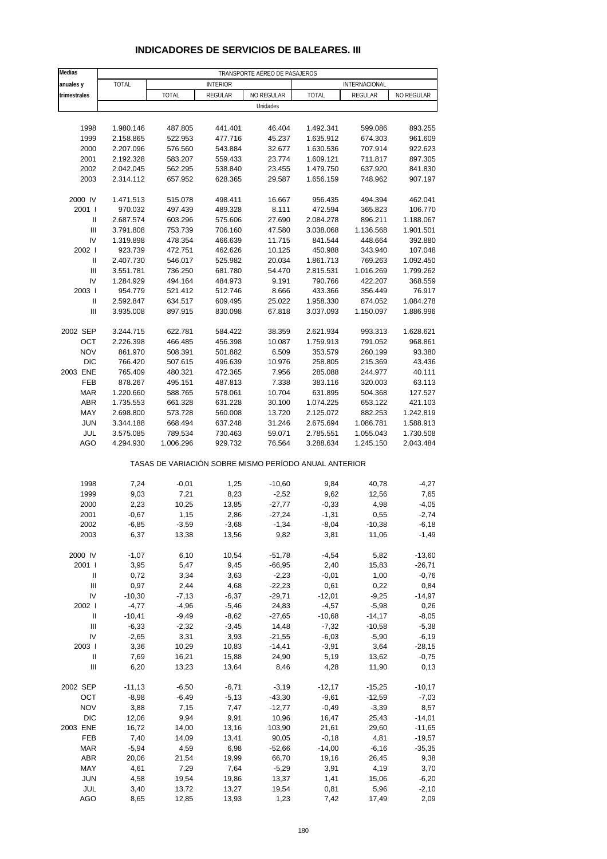| <b>Medias</b>                      |           |                                                       |                 | TRANSPORTE AÉREO DE PASAJEROS |              |                    |                    |
|------------------------------------|-----------|-------------------------------------------------------|-----------------|-------------------------------|--------------|--------------------|--------------------|
| anuales y                          | TOTAL     |                                                       | <b>INTERIOR</b> |                               |              | INTERNACIONAL      |                    |
| trimestrales                       |           | <b>TOTAL</b>                                          | REGULAR         | NO REGULAR                    | <b>TOTAL</b> | REGULAR            | NO REGULAR         |
|                                    |           |                                                       |                 | Unidades                      |              |                    |                    |
| 1998                               |           |                                                       | 441.401         | 46.404                        | 1.492.341    |                    |                    |
| 1999                               | 1.980.146 | 487.805<br>522.953                                    | 477.716         | 45.237                        | 1.635.912    | 599.086<br>674.303 | 893.255<br>961.609 |
|                                    | 2.158.865 |                                                       |                 |                               |              |                    | 922.623            |
| 2000                               | 2.207.096 | 576.560                                               | 543.884         | 32.677                        | 1.630.536    | 707.914            |                    |
| 2001                               | 2.192.328 | 583.207                                               | 559.433         | 23.774                        | 1.609.121    | 711.817            | 897.305            |
| 2002                               | 2.042.045 | 562.295                                               | 538.840         | 23.455                        | 1.479.750    | 637.920            | 841.830            |
| 2003                               | 2.314.112 | 657.952                                               | 628.365         | 29.587                        | 1.656.159    | 748.962            | 907.197            |
| 2000 IV                            | 1.471.513 | 515.078                                               | 498.411         | 16.667                        | 956.435      | 494.394            | 462.041            |
| 2001 l                             | 970.032   | 497.439                                               | 489.328         | 8.111                         | 472.594      | 365.823            | 106.770            |
| Ш                                  | 2.687.574 | 603.296                                               | 575.606         | 27.690                        | 2.084.278    | 896.211            | 1.188.067          |
| $\ensuremath{\mathsf{III}}\xspace$ | 3.791.808 | 753.739                                               | 706.160         | 47.580                        | 3.038.068    | 1.136.568          | 1.901.501          |
| IV                                 | 1.319.898 | 478.354                                               | 466.639         | 11.715                        | 841.544      | 448.664            | 392.880            |
| 2002                               | 923.739   | 472.751                                               | 462.626         | 10.125                        | 450.988      | 343.940            | 107.048            |
| Ш                                  | 2.407.730 | 546.017                                               | 525.982         | 20.034                        | 1.861.713    | 769.263            | 1.092.450          |
| $\ensuremath{\mathsf{III}}\xspace$ | 3.551.781 | 736.250                                               | 681.780         | 54.470                        | 2.815.531    | 1.016.269          | 1.799.262          |
| IV                                 | 1.284.929 | 494.164                                               | 484.973         | 9.191                         | 790.766      | 422.207            | 368.559            |
| 2003                               | 954.779   | 521.412                                               | 512.746         | 8.666                         | 433.366      | 356.449            | 76.917             |
| Ш                                  | 2.592.847 | 634.517                                               | 609.495         | 25.022                        | 1.958.330    | 874.052            | 1.084.278          |
| Ш                                  | 3.935.008 | 897.915                                               | 830.098         | 67.818                        | 3.037.093    | 1.150.097          | 1.886.996          |
|                                    |           |                                                       |                 |                               |              |                    |                    |
| 2002 SEP                           | 3.244.715 | 622.781                                               | 584.422         | 38.359                        | 2.621.934    | 993.313            | 1.628.621          |
| OCT                                | 2.226.398 | 466.485                                               | 456.398         | 10.087                        | 1.759.913    | 791.052            | 968.861            |
| <b>NOV</b>                         | 861.970   | 508.391                                               | 501.882         | 6.509                         | 353.579      | 260.199            | 93.380             |
| <b>DIC</b>                         | 766.420   | 507.615                                               | 496.639         | 10.976                        | 258.805      | 215.369            | 43.436             |
| 2003 ENE                           | 765.409   | 480.321                                               | 472.365         | 7.956                         | 285.088      | 244.977            | 40.111             |
| FEB                                | 878.267   | 495.151                                               | 487.813         | 7.338                         | 383.116      | 320.003            | 63.113             |
| <b>MAR</b>                         | 1.220.660 | 588.765                                               | 578.061         | 10.704                        | 631.895      | 504.368            | 127.527            |
| ABR                                | 1.735.553 | 661.328                                               | 631.228         | 30.100                        | 1.074.225    | 653.122            | 421.103            |
| MAY                                | 2.698.800 | 573.728                                               | 560.008         | 13.720                        | 2.125.072    | 882.253            | 1.242.819          |
| <b>JUN</b>                         | 3.344.188 | 668.494                                               | 637.248         | 31.246                        | 2.675.694    | 1.086.781          | 1.588.913          |
| JUL                                | 3.575.085 | 789.534                                               | 730.463         | 59.071                        | 2.785.551    | 1.055.043          | 1.730.508          |
| AGO                                | 4.294.930 | 1.006.296                                             | 929.732         | 76.564                        | 3.288.634    | 1.245.150          | 2.043.484          |
|                                    |           | TASAS DE VARIACIÓN SOBRE MISMO PERÍODO ANUAL ANTERIOR |                 |                               |              |                    |                    |
| 1998                               | 7,24      | $-0,01$                                               | 1,25            | $-10,60$                      | 9,84         | 40,78              | -4,27              |
| 1999                               | 9,03      | 7,21                                                  | 8,23            | $-2,52$                       | 9,62         | 12,56              | 7,65               |
| 2000                               | 2,23      | 10,25                                                 | 13,85           | $-27,77$                      | $-0,33$      | 4,98               | $-4,05$            |
| 2001                               | $-0,67$   | 1,15                                                  | 2,86            | $-27,24$                      | $-1,31$      | 0,55               | $-2,74$            |
| 2002                               | -6,85     | $-3,59$                                               | $-3,68$         | -1,34                         | $-8,04$      | $-10,38$           | -6,18              |
| 2003                               | 6,37      | 13,38                                                 | 13,56           | 9,82                          | 3,81         | 11,06              | $-1,49$            |
|                                    |           |                                                       |                 |                               |              |                    |                    |
| 2000 IV                            | $-1,07$   | 6,10                                                  | 10,54           | $-51,78$                      | $-4,54$      | 5,82               | $-13,60$           |
| 2001 l                             | 3,95      | 5,47                                                  | 9,45            | $-66,95$                      | 2,40         | 15,83              | $-26,71$           |
| Ш                                  | 0,72      | 3,34                                                  | 3,63            | $-2,23$                       | $-0,01$      | 1,00               | $-0,76$            |
| $\ensuremath{\mathsf{III}}\xspace$ | 0,97      | 2,44                                                  | 4,68            | $-22,23$                      | 0,61         | 0,22               | 0,84               |
| IV                                 | $-10,30$  | $-7,13$                                               | $-6,37$         | $-29,71$                      | $-12,01$     | $-9,25$            | $-14,97$           |
| 2002 l                             | $-4,77$   | $-4,96$                                               | $-5,46$         | 24,83                         | $-4,57$      | $-5,98$            | 0,26               |
| Ш                                  | $-10,41$  | $-9,49$                                               | $-8,62$         | $-27,65$                      | $-10,68$     | $-14,17$           | $-8,05$            |
| III                                | $-6,33$   | $-2,32$                                               | $-3,45$         | 14,48                         | $-7,32$      | $-10,58$           | $-5,38$            |
| IV                                 | $-2,65$   | 3,31                                                  | 3,93            | $-21,55$                      | $-6,03$      | $-5,90$            | $-6,19$            |
| 2003                               | 3,36      | 10,29                                                 | 10,83           | $-14,41$                      | $-3,91$      | 3,64               | $-28,15$           |
| Ш                                  | 7,69      | 16,21                                                 | 15,88           | 24,90                         | 5,19         | 13,62              | $-0,75$            |
| $\ensuremath{\mathsf{III}}\xspace$ | 6,20      | 13,23                                                 | 13,64           | 8,46                          | 4,28         | 11,90              | 0, 13              |
| 2002 SEP                           | $-11,13$  | $-6,50$                                               | $-6,71$         | $-3,19$                       | $-12,17$     | $-15,25$           | $-10,17$           |
| OCT                                | $-8,98$   | $-6,49$                                               | $-5,13$         | $-43,30$                      | $-9,61$      | $-12,59$           | $-7,03$            |
|                                    |           |                                                       |                 |                               |              |                    |                    |
| <b>NOV</b>                         | 3,88      | 7,15                                                  | 7,47            | $-12,77$                      | $-0,49$      | $-3,39$            | 8,57               |
| <b>DIC</b>                         | 12,06     | 9,94                                                  | 9,91            | 10,96                         | 16,47        | 25,43              | $-14,01$           |
| 2003 ENE                           | 16,72     | 14,00                                                 | 13,16           | 103,90                        | 21,61        | 29,60              | -11,65             |
| FEB                                | 7,40      | 14,09                                                 | 13,41           | 90,05                         | $-0,18$      | 4,81               | $-19,57$           |
| <b>MAR</b>                         | $-5,94$   | 4,59                                                  | 6,98            | $-52,66$                      | $-14,00$     | $-6,16$            | $-35,35$           |
| ABR                                | 20,06     | 21,54                                                 | 19,99           | 66,70                         | 19,16        | 26,45              | 9,38               |
| MAY                                | 4,61      | 7,29                                                  | 7,64            | $-5,29$                       | 3,91         | 4,19               | 3,70               |
| <b>JUN</b>                         | 4,58      | 19,54                                                 | 19,86           | 13,37                         | 1,41         | 15,06              | $-6,20$            |

#### **INDICADORES DE SERVICIOS DE BALEARES. III**

 JUL 3,40 13,72 13,27 19,54 0,81 5,96 -2,10 AGO 8,65 12,85 13,93 1,23 7,42 17,49 2,09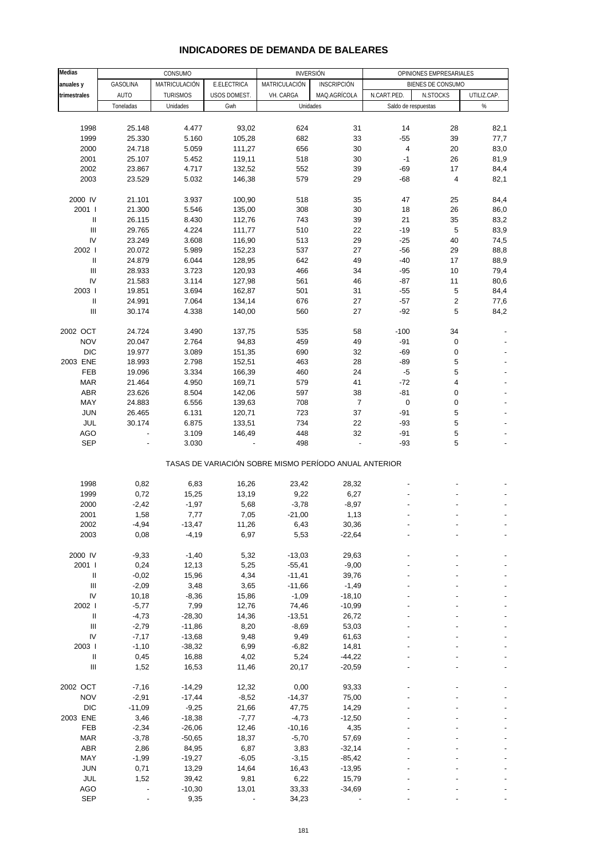| Medias                             |             | CONSUMO         |              | <b>INVERSIÓN</b>                                      |                    |                     | OPINIONES EMPRESARIALES |             |
|------------------------------------|-------------|-----------------|--------------|-------------------------------------------------------|--------------------|---------------------|-------------------------|-------------|
| anuales y                          | GASOLINA    | MATRICULACIÓN   | E.ELECTRICA  | MATRICULACIÓN                                         | <b>INSCRIPCIÓN</b> |                     | BIENES DE CONSUMO       |             |
| trimestrales                       | <b>AUTO</b> | <b>TURISMOS</b> | USOS DOMEST. | VH. CARGA                                             | MAQ.AGRÍCOLA       | N.CART.PED.         | N.STOCKS                | UTILIZ.CAP. |
|                                    | Toneladas   | Unidades        | Gwh          | Unidades                                              |                    | Saldo de respuestas |                         | $\%$        |
|                                    |             |                 |              |                                                       |                    |                     |                         |             |
| 1998                               | 25.148      | 4.477           | 93,02        | 624                                                   | 31                 | 14                  | 28                      | 82,1        |
| 1999                               | 25.330      | 5.160           | 105,28       | 682                                                   | 33                 | $-55$               | 39                      | 77,7        |
| 2000                               | 24.718      | 5.059           | 111,27       | 656                                                   | 30                 | 4                   | 20                      | 83,0        |
| 2001                               | 25.107      | 5.452           | 119,11       | 518                                                   | 30                 | $-1$                | 26                      | 81,9        |
| 2002                               | 23.867      | 4.717           | 132,52       | 552                                                   | 39                 | $-69$               | 17                      | 84,4        |
| 2003                               | 23.529      | 5.032           | 146,38       | 579                                                   | 29                 | $-68$               | 4                       | 82,1        |
| 2000 IV                            | 21.101      | 3.937           | 100,90       | 518                                                   | 35                 | 47                  | 25                      | 84,4        |
| 2001 l                             | 21.300      | 5.546           | 135,00       | 308                                                   | 30                 | 18                  | 26                      | 86,0        |
| Ш                                  | 26.115      | 8.430           | 112,76       | 743                                                   | 39                 | 21                  | 35                      | 83,2        |
| Ш                                  | 29.765      | 4.224           | 111,77       | 510                                                   | 22                 | $-19$               | 5                       | 83,9        |
| IV                                 | 23.249      | 3.608           | 116,90       | 513                                                   | 29                 | $-25$               | 40                      | 74,5        |
| 2002 l                             | 20.072      | 5.989           | 152,23       | 537                                                   | 27                 | $-56$               | 29                      | 88,8        |
| Ш                                  | 24.879      | 6.044           | 128,95       | 642                                                   | 49                 | $-40$               | 17                      | 88,9        |
| $\ensuremath{\mathsf{III}}\xspace$ | 28.933      | 3.723           | 120,93       | 466                                                   | 34                 | $-95$               | 10                      | 79,4        |
| IV                                 | 21.583      | 3.114           | 127,98       | 561                                                   | 46                 | -87                 | 11                      | 80,6        |
| 2003                               | 19.851      | 3.694           | 162,87       | 501                                                   | 31                 | $-55$               | 5                       | 84,4        |
| Ш                                  | 24.991      | 7.064           | 134,14       | 676                                                   | 27                 | -57                 | $\sqrt{2}$              | 77,6        |
| $\ensuremath{\mathsf{III}}\xspace$ | 30.174      | 4.338           | 140,00       | 560                                                   | 27                 | $-92$               | 5                       | 84,2        |
|                                    |             |                 |              |                                                       |                    |                     |                         |             |
| 2002 OCT                           | 24.724      | 3.490           | 137,75       | 535                                                   | 58                 | $-100$              | 34                      |             |
| <b>NOV</b>                         | 20.047      | 2.764           | 94,83        | 459                                                   | 49                 | -91                 | 0                       |             |
| <b>DIC</b>                         | 19.977      | 3.089           | 151,35       | 690                                                   | 32                 | -69                 | 0                       |             |
| 2003 ENE                           | 18.993      | 2.798           | 152,51       | 463                                                   | 28                 | $-89$               | 5                       |             |
| FEB                                | 19.096      | 3.334           | 166,39       | 460                                                   | 24                 | $-5$                | 5                       |             |
| <b>MAR</b>                         | 21.464      | 4.950           | 169,71       | 579                                                   | 41                 | $-72$               | 4                       |             |
| <b>ABR</b>                         | 23.626      | 8.504           | 142,06       | 597                                                   | 38                 | $-81$               | 0                       |             |
| MAY                                | 24.883      | 6.556           | 139,63       | 708                                                   | $\overline{7}$     | 0                   | 0                       |             |
| <b>JUN</b>                         | 26.465      | 6.131           | 120,71       | 723                                                   | 37                 | $-91$               | 5                       |             |
| JUL                                | 30.174      | 6.875           | 133,51       | 734                                                   | 22                 | $-93$               | 5                       |             |
| <b>AGO</b>                         |             | 3.109           | 146,49       | 448                                                   | 32                 | -91                 | 5                       |             |
| <b>SEP</b>                         |             | 3.030           |              | 498                                                   |                    | -93                 | 5                       |             |
|                                    |             |                 |              | TASAS DE VARIACIÓN SOBRE MISMO PERÍODO ANUAL ANTERIOR |                    |                     |                         |             |
| 1998                               | 0,82        | 6,83            | 16,26        | 23,42                                                 | 28,32              |                     |                         |             |
| 1999                               | 0,72        | 15,25           | 13,19        | 9,22                                                  | 6,27               |                     |                         |             |
| 2000                               | $-2,42$     | $-1,97$         | 5,68         | $-3,78$                                               | $-8,97$            |                     |                         |             |
| 2001                               | 1,58        | 7,77            | 7,05         | $-21,00$                                              | 1,13               |                     |                         |             |
| 2002                               | $-4,94$     | $-13,47$        | 11,26        | 6,43                                                  | 30,36              |                     |                         |             |
| 2003                               | 0,08        | $-4,19$         | 6,97         | 5,53                                                  | $-22,64$           |                     |                         |             |
| 2000 IV                            | $-9,33$     | $-1,40$         | 5,32         | $-13,03$                                              | 29,63              |                     |                         |             |
| 2001 l                             | 0,24        | 12,13           | 5,25         | $-55,41$                                              | $-9,00$            |                     |                         |             |
| Ш                                  | $-0,02$     | 15,96           | 4,34         | $-11,41$                                              | 39,76              |                     |                         |             |
| $\ensuremath{\mathsf{III}}\xspace$ | $-2,09$     | 3,48            | 3,65         | $-11,66$                                              | $-1,49$            |                     |                         |             |
| IV                                 |             |                 |              |                                                       |                    |                     |                         |             |
|                                    | 10,18       | $-8,36$         | 15,86        | $-1,09$                                               | $-18,10$           |                     |                         |             |
| 2002 l                             | $-5,77$     | 7,99            | 12,76        | 74,46                                                 | $-10,99$           |                     |                         |             |
| $\, \parallel$                     | $-4,73$     | $-28,30$        | 14,36        | $-13,51$                                              | 26,72              |                     |                         |             |
| $\ensuremath{\mathsf{III}}\xspace$ | $-2,79$     | $-11,86$        | 8,20         | $-8,69$                                               | 53,03              |                     |                         |             |
| IV                                 | $-7,17$     | $-13,68$        | 9,48         | 9,49                                                  | 61,63              |                     |                         |             |
| 2003                               | $-1,10$     | $-38,32$        | 6,99         | $-6,82$                                               | 14,81              |                     |                         |             |
| $\, \parallel$                     | 0,45        | 16,88           | 4,02         | 5,24                                                  | $-44,22$           |                     |                         |             |
| $\ensuremath{\mathsf{III}}\xspace$ | 1,52        | 16,53           | 11,46        | 20,17                                                 | $-20,59$           |                     |                         |             |
| 2002 OCT                           | $-7,16$     | $-14,29$        | 12,32        | 0,00                                                  | 93,33              |                     |                         |             |
| <b>NOV</b>                         | $-2,91$     | $-17,44$        | $-8,52$      | $-14,37$                                              | 75,00              |                     |                         |             |

#### **INDICADORES DE DEMANDA DE BALEARES**

 DIC -11,09 -9,25 21,66 47,75 14,29 - - - 2003 ENE 3,46 -18,38 -7,77 -4,73 -12,50 - - - FEB -2,34 -26,06 12,46 -10,16 4,35 - - - MAR -3,78 -50,65 18,37 -5,70 57,69 - - - ABR 2,86 84,95 6,87 3,83 -32,14 - - - - -MAY -1,99 -19,27 -6,05 -3,15 -85,42 - - - - - JUN 0,71 13,29 14,64 16,43 -13,95 - - - JUL 1,52 39,42 9,81 6,22 15,79 - - - AGO - -10,30 13,01 33,33 -34,69 - - - SEP - 9,35 - 34,23 - - - -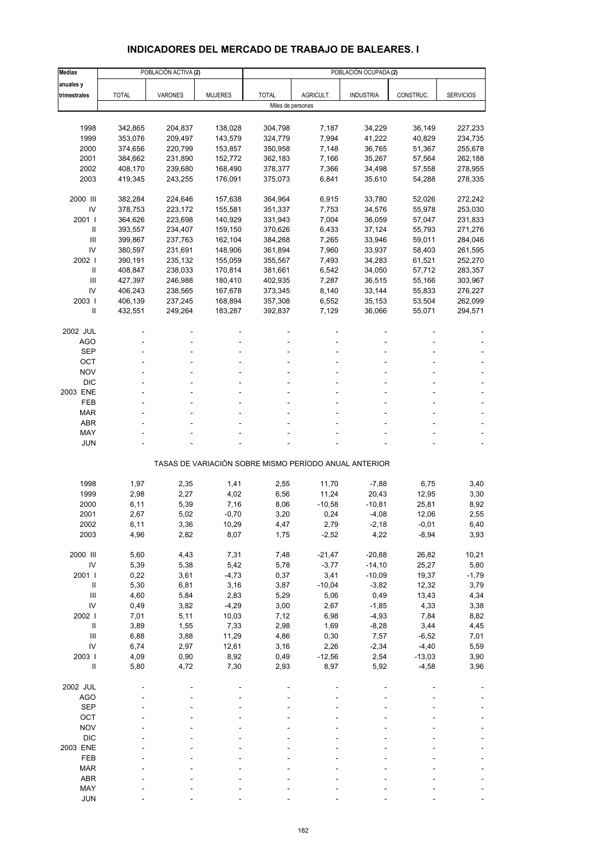# **INDICADORES DEL MERCADO DE TRABAJO DE BALEARES. I**

| <b>Medias</b>            |                    | POBLACIÓN ACTIVA (2) |                    |                    |                  | POBLACIÓN OCUPADA (2)                                 |                     |                    |
|--------------------------|--------------------|----------------------|--------------------|--------------------|------------------|-------------------------------------------------------|---------------------|--------------------|
| anuales y                |                    |                      |                    |                    |                  |                                                       |                     |                    |
| trimestrales             | <b>TOTAL</b>       | VARONES              | <b>MUJERES</b>     | <b>TOTAL</b>       | AGRICULT.        | <b>INDUSTRIA</b>                                      | CONSTRUC.           | <b>SERVICIOS</b>   |
|                          |                    |                      |                    | Miles de personas  |                  |                                                       |                     |                    |
|                          |                    |                      |                    |                    |                  |                                                       |                     |                    |
| 1998                     | 342,865            | 204,837              | 138,028            | 304,798            | 7,187            | 34,229                                                | 36,149              | 227,233            |
| 1999                     | 353,076            | 209,497              | 143,579            | 324,779            | 7,994            | 41,222                                                | 40,829              | 234,735            |
| 2000                     | 374,656            | 220,799              | 153,857            | 350,958            | 7,148            | 36,765                                                | 51,367              | 255,678            |
| 2001                     | 384,662            | 231,890              | 152,772            | 362,183            | 7,166            | 35,267                                                | 57,564              | 262,188            |
| 2002                     | 408,170            | 239,680              | 168,490            | 378,377            | 7,366            | 34,498                                                | 57,558              | 278,955            |
| 2003                     | 419,345            | 243,255              | 176,091            | 375,073            | 6,841            | 35,610                                                | 54,288              | 278,335            |
|                          |                    |                      |                    |                    |                  |                                                       |                     |                    |
| 2000 III<br>IV           | 382,284            | 224,646              | 157,638            | 364,964            | 6,915            | 33,780                                                | 52,026              | 272,242            |
| 2001 l                   | 378,753<br>364,626 | 223,172<br>223,698   | 155,581<br>140,929 | 351,337<br>331,943 | 7,753<br>7,004   | 34,576<br>36,059                                      | 55,978<br>57,047    | 253,030<br>231,833 |
| Ш                        | 393,557            | 234,407              | 159,150            | 370,626            | 6,433            | 37,124                                                | 55,793              | 271,276            |
| Ш                        | 399,867            | 237,763              | 162,104            | 384,268            | 7,265            | 33,946                                                | 59,011              | 284,046            |
| IV                       | 380,597            | 231,691              | 148,906            | 361,894            | 7,960            | 33,937                                                | 58,403              | 261,595            |
| 2002                     | 390,191            | 235,132              | 155,059            | 355,567            | 7,493            | 34,283                                                | 61,521              | 252,270            |
| $\mathbf{II}$            | 408,847            | 238,033              | 170,814            | 381,661            | 6,542            | 34,050                                                | 57,712              | 283,357            |
| Ш                        | 427,397            | 246,988              | 180,410            | 402,935            | 7,287            | 36,515                                                | 55,166              | 303,967            |
| IV                       | 406,243            | 238,565              | 167,678            | 373,345            | 8,140            | 33,144                                                | 55,833              | 276,227            |
| 2003                     | 406,139            | 237,245              | 168,894            | 357,308            | 6,552            | 35,153                                                | 53,504              | 262,099            |
| Ш                        | 432,551            | 249,264              | 183,287            | 392,837            | 7,129            | 36,066                                                | 55,071              | 294,571            |
|                          |                    |                      |                    |                    |                  |                                                       |                     |                    |
| 2002 JUL                 |                    |                      |                    |                    |                  |                                                       |                     |                    |
| <b>AGO</b>               |                    |                      |                    |                    |                  |                                                       |                     |                    |
| <b>SEP</b>               |                    |                      |                    |                    |                  |                                                       |                     |                    |
| OCT                      |                    |                      |                    |                    |                  |                                                       |                     |                    |
| <b>NOV</b><br><b>DIC</b> |                    |                      |                    |                    |                  |                                                       |                     |                    |
| 2003 ENE                 |                    |                      |                    |                    |                  |                                                       |                     |                    |
| FEB                      |                    |                      |                    |                    |                  |                                                       |                     |                    |
| <b>MAR</b>               |                    |                      |                    |                    |                  |                                                       |                     |                    |
| <b>ABR</b>               |                    |                      |                    |                    |                  |                                                       |                     |                    |
| MAY                      |                    |                      |                    |                    |                  |                                                       |                     |                    |
| <b>JUN</b>               |                    |                      |                    |                    |                  |                                                       |                     |                    |
|                          |                    |                      |                    |                    |                  |                                                       |                     |                    |
|                          |                    |                      |                    |                    |                  | TASAS DE VARIACIÓN SOBRE MISMO PERÍODO ANUAL ANTERIOR |                     |                    |
| 1998                     | 1,97               | 2,35                 | 1,41               | 2,55               | 11,70            | $-7,88$                                               | 6,75                | 3,40               |
| 1999                     | 2,98               | 2,27                 | 4,02               | 6,56               | 11,24            | 20,43                                                 | 12,95               | 3,30               |
| 2000                     | 6,11               | 5,39                 | 7,16               | 8,06               | $-10,58$         | $-10,81$                                              | 25,81               | 8,92               |
| 2001                     | 2,67               | 5,02                 | $-0,70$            | 3,20               | 0,24             | $-4,08$                                               | 12,06               | 2,55               |
| 2002                     | 6,11               | 3,36                 | 10,29              | 4,47               | 2,79             | -2,18                                                 | $-0,01$             | 6,40               |
| 2003                     | 4,96               | 2,82                 | 8,07               | 1,75               | $-2,52$          | 4,22                                                  | $-8,94$             | 3,93               |
|                          |                    |                      |                    |                    |                  |                                                       |                     |                    |
| 2000 III                 | 5,60               | 4,43                 | 7,31               | 7,48               | $-21,47$         | $-20,88$                                              | 26,82               | 10,21              |
| IV                       | 5,39               | 5,38                 | 5,42               | 5,78               | $-3,77$          | $-14,10$                                              | 25,27               | 5,80               |
| 2001 l                   | 0,22               | 3,61                 | $-4,73$            | 0,37               | 3,41             | $-10,09$                                              | 19,37               | $-1,79$            |
| $\, \parallel$           | 5,30               | 6,81                 | 3,16               | 3,87               | $-10,04$         | $-3,82$                                               | 12,32               | 3,79               |
| Ш                        | 4,60               | 5,84                 | 2,83               | 5,29               | 5,06             | 0,49                                                  | 13,43               | 4,34               |
| IV                       | 0,49               | 3,82                 | $-4,29$            | 3,00               | 2,67             | $-1,85$                                               | 4,33                | 3,38               |
| 2002                     | 7,01               | 5,11                 | 10,03              | 7,12               | 6,98             | $-4,93$                                               | 7,84                | 8,82               |
| $\, \parallel$           | 3,89               | 1,55                 | 7,33               | 2,98               | 1,69             | $-8,28$                                               | 3,44                | 4,45               |
| III<br>IV                | 6,88               | 3,88                 | 11,29              | 4,86               | 0,30             | 7,57                                                  | $-6,52$             | 7,01               |
| 2003                     | 6,74               | 2,97                 | 12,61              | 3,16               | 2,26             | $-2,34$                                               | $-4,40$             | 5,59               |
| $\sf II$                 | 4,09<br>5,80       | 0,90<br>4,72         | 8,92<br>7,30       | 0,49<br>2,93       | $-12,56$<br>8,97 | 2,54<br>5,92                                          | $-13,03$<br>$-4,58$ | 3,90<br>3,96       |
|                          |                    |                      |                    |                    |                  |                                                       |                     |                    |
| 2002 JUL                 |                    |                      |                    |                    |                  |                                                       |                     |                    |
| <b>AGO</b>               |                    |                      |                    |                    |                  |                                                       |                     |                    |
| <b>SEP</b>               |                    |                      |                    |                    |                  |                                                       |                     |                    |
| OCT                      |                    |                      |                    |                    |                  |                                                       |                     |                    |
| <b>NOV</b>               |                    |                      |                    |                    |                  |                                                       |                     |                    |
| <b>DIC</b>               |                    |                      |                    |                    |                  |                                                       |                     |                    |
| 2003 ENE                 |                    |                      |                    |                    |                  |                                                       |                     |                    |
| FEB                      |                    |                      |                    |                    |                  |                                                       |                     |                    |
| <b>MAR</b>               |                    |                      |                    |                    |                  |                                                       |                     |                    |
| <b>ABR</b>               |                    |                      |                    |                    |                  |                                                       |                     |                    |
| MAY                      |                    |                      |                    |                    |                  |                                                       |                     |                    |
| <b>JUN</b>               |                    |                      |                    |                    |                  |                                                       |                     |                    |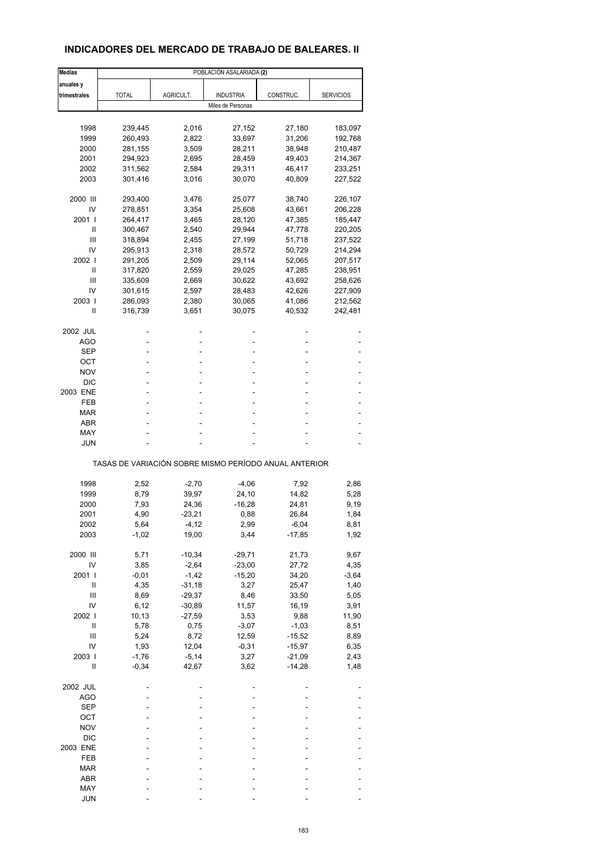# **INDICADORES DEL MERCADO DE TRABAJO DE BALEARES. II**

| <b>Medias</b> |                                                       |           | POBLACIÓN ASALARIADA (2) |           |                  |
|---------------|-------------------------------------------------------|-----------|--------------------------|-----------|------------------|
| anuales y     |                                                       |           |                          |           |                  |
| trimestrales  | <b>TOTAL</b>                                          | AGRICULT. | <b>INDUSTRIA</b>         | CONSTRUC. | <b>SERVICIOS</b> |
|               |                                                       |           | Miles de Personas        |           |                  |
|               |                                                       |           |                          |           |                  |
| 1998          | 239,445                                               | 2,016     | 27,152                   | 27,180    | 183,097          |
| 1999          | 260,493                                               | 2,822     | 33,697                   | 31,206    | 192,768          |
| 2000          | 281,155                                               | 3,509     | 28,211                   |           |                  |
|               |                                                       |           |                          | 38,948    | 210,487          |
| 2001          | 294,923                                               | 2,695     | 28,459                   | 49,403    | 214,367          |
| 2002          | 311,562                                               | 2,584     | 29,311                   | 46,417    | 233,251          |
| 2003          | 301,416                                               | 3,016     | 30,070                   | 40,809    | 227,522          |
| 2000 III      | 293,400                                               | 3,476     | 25,077                   | 38,740    | 226,107          |
| IV            | 278,851                                               | 3,354     | 25,608                   | 43,661    | 206,228          |
| 2001 l        | 264,417                                               | 3,465     | 28,120                   | 47,385    | 185,447          |
| Ш             | 300,467                                               | 2,540     | 29,944                   | 47,778    | 220,205          |
| Ш             | 318,894                                               | 2,455     | 27,199                   | 51,718    | 237,522          |
| IV            | 295,913                                               | 2,318     | 28,572                   | 50,729    | 214,294          |
| 2002 l        | 291,205                                               | 2,509     | 29,114                   | 52,065    | 207,517          |
| Ш             | 317,820                                               | 2,559     | 29,025                   | 47,285    | 238,951          |
| Ш             | 335,609                                               |           | 30,622                   | 43,692    |                  |
| IV            |                                                       | 2,669     |                          |           | 258,626          |
|               | 301,615                                               | 2,597     | 28,483                   | 42,626    | 227,909          |
| 2003          | 286,093                                               | 2,380     | 30,065                   | 41,086    | 212,562          |
| Ш             | 316,739                                               | 3,651     | 30,075                   | 40,532    | 242,481          |
| 2002 JUL      |                                                       |           |                          |           |                  |
| AGO           |                                                       |           | ٠                        |           |                  |
| SEP           |                                                       |           |                          |           |                  |
| OCT           |                                                       |           | ٠                        |           |                  |
| NOV           |                                                       |           |                          |           |                  |
| <b>DIC</b>    |                                                       |           |                          |           |                  |
| 2003 ENE      |                                                       |           | ٠                        |           |                  |
| FEB           |                                                       |           | ä,                       |           |                  |
| MAR           |                                                       |           |                          |           |                  |
| ABR           |                                                       |           |                          |           |                  |
|               |                                                       |           |                          |           |                  |
| MAY           |                                                       |           |                          |           |                  |
| JUN           |                                                       |           |                          |           |                  |
|               | TASAS DE VARIACIÓN SOBRE MISMO PERÍODO ANUAL ANTERIOR |           |                          |           |                  |
|               |                                                       |           |                          |           |                  |
| 1998          | 2,52                                                  | $-2,70$   | $-4,06$                  | 7,92      | 2,86             |
| 1999          | 8,79                                                  | 39,97     | 24,10                    | 14,82     | 5,28             |
| 2000          | 7,93                                                  | 24,36     | $-16,28$                 | 24,81     | 9,19             |
| 2001          | 4,90                                                  | $-23,21$  | 0,88                     | 26,84     | 1,84             |
| 2002          | 5,64                                                  | -4,12     | 2,99                     | -6,04     | 8,81             |
| 2003          | $-1,02$                                               | 19,00     | 3,44                     | $-17,85$  | 1,92             |
| 2000 III      | 5,71                                                  | $-10,34$  | $-29,71$                 | 21,73     | 9,67             |
|               |                                                       |           |                          |           |                  |
| IV            | 3,85                                                  | $-2,64$   | $-23,00$                 | 27,72     | 4,35             |
| 2001 l        | $-0,01$                                               | $-1,42$   | $-15,20$                 | 34,20     | $-3,64$          |
| Ш             | 4,35                                                  | $-31,18$  | 3,27                     | 25,47     | 1,40             |
| Ш             | 8,69                                                  | $-29,37$  | 8,46                     | 33,50     | 5,05             |
| IV            | 6, 12                                                 | $-30,89$  | 11,57                    | 16,19     | 3,91             |
| 2002 l        | 10, 13                                                | $-27,59$  | 3,53                     | 9,88      | 11,90            |
| $\sf II$      | 5,78                                                  | 0,75      | $-3,07$                  | $-1,03$   | 8,51             |
| Ш             | 5,24                                                  | 8,72      | 12,59                    | $-15,52$  | 8,89             |
| IV            | 1,93                                                  | 12,04     | $-0,31$                  | $-15,97$  | 6,35             |
| 2003          | $-1,76$                                               | $-5,14$   | 3,27                     | $-21,09$  | 2,43             |
| Ш             | $-0,34$                                               | 42,67     | 3,62                     | $-14,28$  | 1,48             |
| 2002 JUL      |                                                       |           |                          |           |                  |
|               |                                                       |           |                          |           |                  |
| <b>AGO</b>    |                                                       |           |                          |           |                  |
| <b>SEP</b>    |                                                       |           |                          |           |                  |
| OCT           |                                                       |           |                          |           |                  |
| <b>NOV</b>    |                                                       |           |                          |           |                  |
| <b>DIC</b>    |                                                       |           |                          |           |                  |
| 2003 ENE      |                                                       |           |                          |           |                  |
| FEB           |                                                       |           |                          |           |                  |
| MAR           |                                                       |           |                          |           |                  |
| ABR           |                                                       |           |                          |           |                  |
| MAY           |                                                       |           |                          |           |                  |
| <b>JUN</b>    |                                                       |           |                          |           |                  |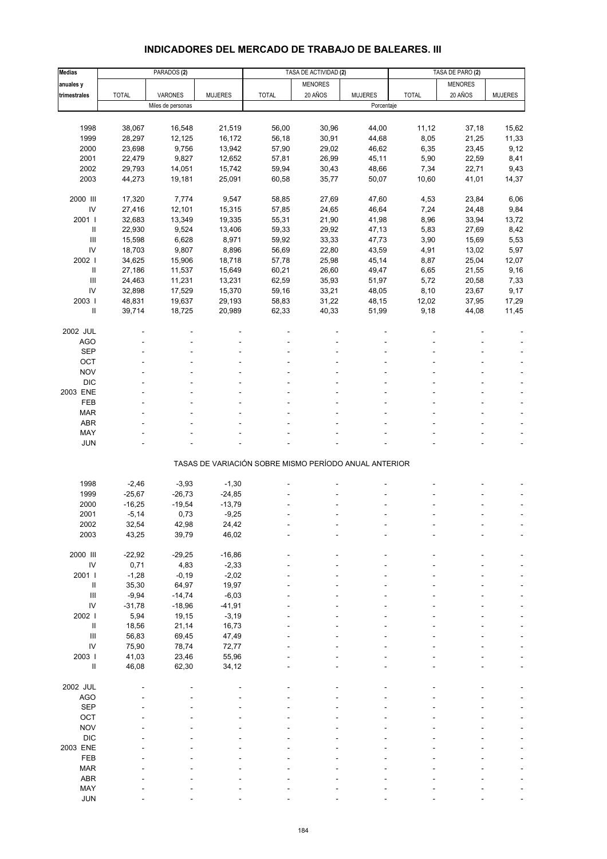# **INDICADORES DEL MERCADO DE TRABAJO DE BALEARES. III**

| <b>Medias</b>                            |                | PARADOS <sub>(2)</sub> |                |                                                       | TASA DE ACTIVIDAD (2) |                |              | TASA DE PARO (2) |                |
|------------------------------------------|----------------|------------------------|----------------|-------------------------------------------------------|-----------------------|----------------|--------------|------------------|----------------|
| anuales y                                |                |                        |                |                                                       | <b>MENORES</b>        |                |              | <b>MENORES</b>   |                |
| trimestrales                             | <b>TOTAL</b>   | <b>VARONES</b>         | <b>MUJERES</b> | <b>TOTAL</b>                                          | 20 AÑOS               | <b>MUJERES</b> | <b>TOTAL</b> | 20 AÑOS          | <b>MUJERES</b> |
|                                          |                | Miles de personas      |                |                                                       |                       | Porcentaje     |              |                  |                |
|                                          |                |                        |                |                                                       |                       |                |              |                  |                |
| 1998                                     | 38,067         | 16,548                 | 21,519         | 56,00                                                 | 30,96                 | 44,00          | 11,12        | 37,18            | 15,62          |
| 1999                                     | 28,297         | 12,125                 | 16,172         | 56,18                                                 | 30,91                 | 44,68          | 8,05         | 21,25            | 11,33          |
| 2000                                     | 23,698         | 9,756                  | 13,942         | 57,90                                                 | 29,02                 | 46,62          | 6,35         | 23,45            | 9,12           |
| 2001                                     | 22,479         | 9,827                  | 12,652         | 57,81                                                 | 26,99                 | 45,11          | 5,90         | 22,59            | 8,41           |
| 2002                                     | 29,793         | 14,051                 | 15,742         | 59,94                                                 | 30,43                 | 48,66          | 7,34         | 22,71            | 9,43           |
| 2003                                     | 44,273         | 19,181                 | 25,091         | 60,58                                                 | 35,77                 | 50,07          | 10,60        | 41,01            | 14,37          |
|                                          |                |                        |                |                                                       |                       |                |              |                  |                |
| 2000 III                                 | 17,320         | 7,774                  | 9,547          | 58,85                                                 | 27,69                 | 47,60          | 4,53         | 23,84            | 6,06           |
| $\mathsf{IV}$                            | 27,416         | 12,101                 | 15,315         | 57,85                                                 | 24,65                 | 46,64          | 7,24         | 24,48            | 9,84           |
| 2001 l                                   | 32,683         | 13,349                 | 19,335         | 55,31                                                 | 21,90                 | 41,98          | 8,96         | 33,94            | 13,72          |
| Ш                                        | 22,930         | 9,524                  | 13,406         | 59,33                                                 | 29,92                 | 47,13          | 5,83         | 27,69            | 8,42           |
| $\ensuremath{\mathsf{III}}\xspace$       | 15,598         | 6,628                  | 8,971          | 59,92                                                 | 33,33                 | 47,73          | 3,90         | 15,69            | 5,53           |
| IV                                       | 18,703         | 9,807                  | 8,896          | 56,69                                                 | 22,80                 | 43,59          | 4,91         | 13,02            | 5,97           |
| 2002                                     | 34,625         | 15,906                 | 18,718         | 57,78                                                 | 25,98                 | 45,14          | 8,87         | 25,04            | 12,07          |
| Ш                                        | 27,186         | 11,537                 | 15,649         | 60,21                                                 | 26,60                 | 49,47          | 6,65         | 21,55            | 9,16           |
| $\mathbf{III}$                           | 24,463         | 11,231                 | 13,231         | 62,59                                                 | 35,93                 | 51,97          | 5,72         | 20,58            | 7,33           |
| IV                                       | 32,898         | 17,529                 | 15,370         | 59,16                                                 | 33,21                 | 48,05          | 8,10         | 23,67            | 9,17           |
| 2003                                     | 48,831         | 19,637                 | 29,193         | 58,83                                                 | 31,22                 | 48,15          | 12,02        | 37,95            | 17,29          |
| $\mathbf{II}$                            | 39,714         | 18,725                 | 20,989         | 62,33                                                 | 40,33                 | 51,99          | 9,18         | 44,08            | 11,45          |
|                                          |                |                        |                |                                                       |                       |                |              |                  |                |
| 2002 JUL                                 |                |                        |                |                                                       |                       |                |              |                  |                |
| AGO                                      |                |                        |                |                                                       |                       |                |              |                  |                |
| <b>SEP</b>                               |                |                        |                |                                                       |                       |                |              |                  |                |
| OCT                                      |                |                        |                |                                                       |                       |                |              |                  |                |
| <b>NOV</b>                               |                |                        |                |                                                       |                       |                |              |                  |                |
| <b>DIC</b>                               |                |                        |                |                                                       |                       |                |              |                  |                |
| 2003 ENE                                 |                |                        |                |                                                       |                       |                |              |                  |                |
| FEB                                      |                |                        |                |                                                       |                       |                |              |                  |                |
| <b>MAR</b>                               |                |                        |                |                                                       |                       |                |              |                  |                |
| <b>ABR</b>                               |                |                        |                |                                                       |                       |                |              |                  |                |
| MAY                                      |                |                        |                |                                                       |                       |                |              |                  |                |
| <b>JUN</b>                               |                |                        |                |                                                       |                       |                |              |                  |                |
|                                          |                |                        |                | TASAS DE VARIACIÓN SOBRE MISMO PERÍODO ANUAL ANTERIOR |                       |                |              |                  |                |
|                                          |                |                        |                |                                                       |                       |                |              |                  |                |
| 1998                                     | $-2,46$        | $-3,93$                | $-1,30$        |                                                       |                       |                |              |                  |                |
| 1999                                     | $-25,67$       | $-26,73$               | $-24,85$       |                                                       |                       |                |              |                  |                |
| 2000                                     | $-16,25$       | $-19,54$               | $-13,79$       |                                                       |                       |                |              |                  |                |
| 2001                                     | $-5,14$        | 0,73                   | $-9,25$        |                                                       |                       |                |              |                  |                |
| 2002                                     | 32,54          | 42,98                  | 24,42          |                                                       |                       |                |              |                  |                |
| 2003                                     | 43,25          | 39,79                  | 46,02          |                                                       |                       |                |              |                  |                |
|                                          |                |                        |                |                                                       |                       |                |              |                  |                |
| 2000 III                                 | $-22,92$       | $-29,25$               | $-16,86$       |                                                       |                       |                |              |                  |                |
| ${\sf IV}$                               | 0,71           | 4,83                   | $-2,33$        |                                                       |                       |                |              |                  |                |
| 2001 l                                   | $-1,28$        | $-0,19$                | $-2,02$        |                                                       |                       |                |              |                  |                |
| $\mathbf{II}$                            | 35,30          | 64,97                  | 19,97          |                                                       |                       |                |              |                  |                |
| $\ensuremath{\mathsf{III}}\xspace$       | $-9,94$        | $-14,74$               | $-6,03$        |                                                       |                       |                |              |                  |                |
| IV                                       | $-31,78$       | $-18,96$               | $-41,91$       |                                                       |                       |                |              |                  |                |
| 2002 l                                   | 5,94           | 19,15                  | $-3,19$        |                                                       |                       |                |              |                  |                |
| $\rm H$                                  | 18,56          | 21,14                  | 16,73          |                                                       |                       |                |              |                  |                |
| $\ensuremath{\mathsf{III}}\xspace$<br>IV | 56,83          | 69,45                  | 47,49          |                                                       |                       |                |              |                  |                |
|                                          | 75,90          | 78,74                  | 72,77          |                                                       |                       |                |              |                  |                |
| 2003 l<br>Ш                              | 41,03<br>46,08 | 23,46<br>62,30         | 55,96<br>34,12 |                                                       |                       |                |              |                  |                |
|                                          |                |                        |                |                                                       |                       |                |              |                  |                |
| 2002 JUL                                 |                |                        |                |                                                       |                       |                |              |                  |                |
| AGO                                      |                |                        |                |                                                       |                       |                |              |                  |                |
| <b>SEP</b>                               |                |                        |                |                                                       |                       |                |              |                  |                |
| OCT                                      |                |                        |                |                                                       |                       |                |              |                  |                |
| <b>NOV</b>                               |                |                        |                |                                                       |                       |                |              |                  |                |
| <b>DIC</b>                               |                |                        |                |                                                       |                       |                |              |                  |                |
| 2003 ENE                                 |                |                        |                |                                                       |                       |                |              |                  |                |
| FEB                                      |                |                        |                |                                                       |                       |                |              |                  |                |
| <b>MAR</b>                               |                |                        |                |                                                       |                       |                |              |                  |                |
| ABR                                      |                |                        |                |                                                       |                       |                |              |                  |                |
| MAY                                      |                |                        |                |                                                       |                       |                |              |                  |                |
| <b>JUN</b>                               |                |                        |                |                                                       |                       |                |              |                  |                |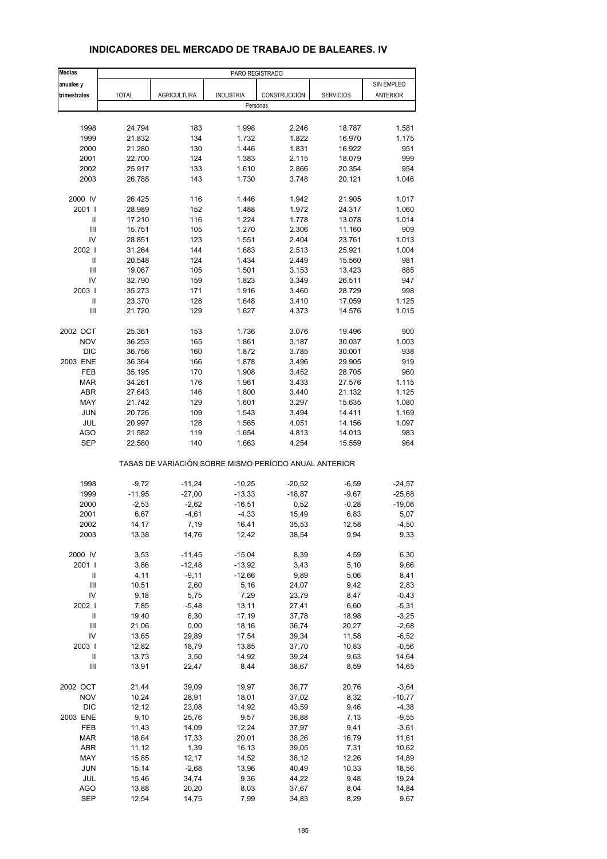| <b>Medias</b>                      |                |                                                       | PARO REGISTRADO  |                |                  |            |
|------------------------------------|----------------|-------------------------------------------------------|------------------|----------------|------------------|------------|
| anuales y                          |                |                                                       |                  |                |                  | SIN EMPLEO |
| trimestrales                       | <b>TOTAL</b>   | <b>AGRICULTURA</b>                                    | <b>INDUSTRIA</b> | CONSTRUCCIÓN   | <b>SERVICIOS</b> | ANTERIOR   |
|                                    |                |                                                       | Personas         |                |                  |            |
|                                    |                |                                                       |                  |                |                  |            |
| 1998                               | 24.794         | 183                                                   | 1.998            | 2.246          | 18.787           | 1.581      |
| 1999                               | 21.832         | 134                                                   | 1.732            | 1.822          | 16.970           | 1.175      |
| 2000                               | 21.280         | 130                                                   | 1.446            | 1.831          | 16.922           | 951        |
| 2001                               | 22.700         | 124                                                   | 1.383            | 2.115          | 18.079           | 999        |
| 2002                               | 25.917         | 133                                                   | 1.610            | 2.866          | 20.354           | 954        |
| 2003                               | 26.788         | 143                                                   | 1.730            | 3.748          | 20.121           | 1.046      |
| 2000 IV                            | 26.425         | 116                                                   | 1.446            | 1.942          | 21.905           | 1.017      |
| 2001 l                             | 28.989         | 152                                                   | 1.488            | 1.972          | 24.317           | 1.060      |
| Ш                                  | 17.210         | 116                                                   | 1.224            | 1.778          | 13.078           | 1.014      |
| $\ensuremath{\mathsf{III}}\xspace$ | 15.751         | 105                                                   | 1.270            | 2.306          | 11.160           | 909        |
| IV                                 | 28.851         | 123                                                   | 1.551            | 2.404          | 23.761           | 1.013      |
| 2002                               | 31.264         | 144                                                   | 1.683            | 2.513          | 25.921           | 1.004      |
| $\mathbf{II}$                      | 20.548         | 124                                                   | 1.434            | 2.449          | 15.560           | 981        |
| Ш                                  | 19.067         | 105                                                   | 1.501            | 3.153          | 13.423           | 885        |
| IV                                 | 32.790         | 159                                                   | 1.823            | 3.349          | 26.511           | 947        |
| 2003                               | 35.273         | 171                                                   | 1.916            | 3.460          | 28.729           | 998        |
| $\ensuremath{\mathsf{II}}$         | 23.370         | 128                                                   | 1.648            | 3.410          | 17.059           | 1.125      |
| Ш                                  | 21.720         | 129                                                   | 1.627            | 4.373          | 14.576           | 1.015      |
|                                    |                |                                                       |                  |                |                  |            |
| 2002 OCT                           | 25.361         | 153                                                   | 1.736            | 3.076          | 19.496           | 900        |
| <b>NOV</b>                         | 36.253         | 165                                                   | 1.861            | 3.187          | 30.037           | 1.003      |
| <b>DIC</b>                         | 36.756         | 160                                                   | 1.872            | 3.785          | 30.001           | 938        |
| 2003 ENE                           | 36.364         | 166                                                   | 1.878            | 3.496          | 29.905           | 919        |
| FEB                                | 35.195         | 170                                                   | 1.908            | 3.452          | 28.705           | 960        |
| <b>MAR</b>                         | 34.261         | 176                                                   | 1.961            | 3.433          | 27.576           | 1.115      |
| <b>ABR</b>                         | 27.643         | 146                                                   | 1.800            | 3.440          | 21.132           | 1.125      |
| MAY                                | 21.742         | 129                                                   | 1.601            | 3.297          | 15.635           | 1.080      |
| <b>JUN</b>                         | 20.726         | 109                                                   | 1.543            | 3.494          | 14.411           | 1.169      |
| JUL                                | 20.997         | 128                                                   | 1.565            | 4.051          | 14.156           | 1.097      |
| <b>AGO</b>                         | 21.582         | 119                                                   | 1.654            | 4.813          | 14.013           | 983        |
| <b>SEP</b>                         | 22.580         | 140                                                   | 1.663            | 4.254          | 15.559           | 964        |
|                                    |                | TASAS DE VARIACIÓN SOBRE MISMO PERÍODO ANUAL ANTERIOR |                  |                |                  |            |
| 1998                               | $-9,72$        | $-11,24$                                              | $-10,25$         | $-20,52$       | $-6,59$          | $-24,57$   |
| 1999                               | $-11,95$       | $-27,00$                                              | $-13,33$         | $-18,87$       | $-9,67$          | $-25,68$   |
| 2000                               | $-2,53$        | $-2,62$                                               | $-16,51$         | 0,52           | $-0,28$          | $-19,06$   |
| 2001                               | 6,67           | $-4,61$                                               | $-4,33$          | 15,49          | 6,83             | 5,07       |
|                                    |                |                                                       | 16,41            |                |                  | -4,50      |
| 2002<br>2003                       | 14,17<br>13,38 | 7,19<br>14,76                                         | 12,42            | 35,53<br>38,54 | 12,58<br>9,94    | 9,33       |
|                                    |                |                                                       |                  |                |                  |            |
| 2000 IV                            | 3,53           | $-11,45$                                              | $-15,04$         | 8,39           | 4,59             | 6,30       |
| 2001                               | 3,86           | $-12,48$                                              | $-13,92$         | 3,43           | 5,10             | 9,66       |
| Ш                                  | 4,11           | $-9,11$                                               | $-12,66$         | 9,89           | 5,06             | 8,41       |
| Ш                                  | 10,51          | 2,60                                                  | 5,16             | 24,07          | 9,42             | 2,83       |
| IV                                 | 9,18           | 5,75                                                  | 7,29             | 23,79          | 8,47             | $-0,43$    |
| 2002                               | 7,85           | $-5,48$                                               | 13,11            | 27,41          | 6,60             | $-5,31$    |
| $\sf II$                           | 19,40          | 6,30                                                  | 17,19            | 37,78          | 18,98            | $-3,25$    |
| Ш                                  | 21,06          | 0,00                                                  | 18,16            | 36,74          | 20,27            | $-2,68$    |
| IV                                 | 13,65          | 29,89                                                 | 17,54            | 39,34          | 11,58            | $-6,52$    |
| 2003                               | 12,82          | 18,79                                                 | 13,85            | 37,70          | 10,83            | $-0,56$    |
| Ш                                  | 13,73          | 3,50                                                  | 14,92            | 39,24          | 9,63             | 14,64      |
| Ш                                  | 13,91          | 22,47                                                 | 8,44             | 38,67          | 8,59             | 14,65      |
| 2002 OCT                           | 21,44          | 39,09                                                 | 19,97            | 36,77          | 20,76            | $-3,64$    |
| <b>NOV</b>                         | 10,24          | 28,91                                                 | 18,01            | 37,02          | 8,32             | $-10,77$   |
| <b>DIC</b>                         | 12,12          | 23,08                                                 | 14,92            | 43,59          | 9,46             | $-4,38$    |
| 2003 ENE                           | 9,10           | 25,76                                                 | 9,57             | 36,88          | 7,13             | $-9,55$    |
| FEB                                | 11,43          | 14,09                                                 | 12,24            | 37,97          | 9,41             | $-3,61$    |
| <b>MAR</b>                         | 18,64          | 17,33                                                 | 20,01            | 38,26          | 16,79            | 11,61      |
| <b>ABR</b>                         | 11,12          | 1,39                                                  | 16,13            | 39,05          | 7,31             | 10,62      |
| MAY                                | 15,85          | 12,17                                                 | 14,52            | 38,12          | 12,26            | 14,89      |
| JUN                                |                |                                                       |                  |                |                  | 18,56      |
| JUL                                | 15,14          | $-2,68$                                               | 13,96            | 40,49          | 10,33            | 19,24      |
|                                    | 15,46          | 34,74                                                 | 9,36             | 44,22          | 9,48             |            |
| <b>AGO</b>                         | 13,88          | 20,20                                                 | 8,03             | 37,67          | 8,04             | 14,84      |
| <b>SEP</b>                         | 12,54          | 14,75                                                 | 7,99             | 34,83          | 8,29             | 9,67       |

## **INDICADORES DEL MERCADO DE TRABAJO DE BALEARES. IV**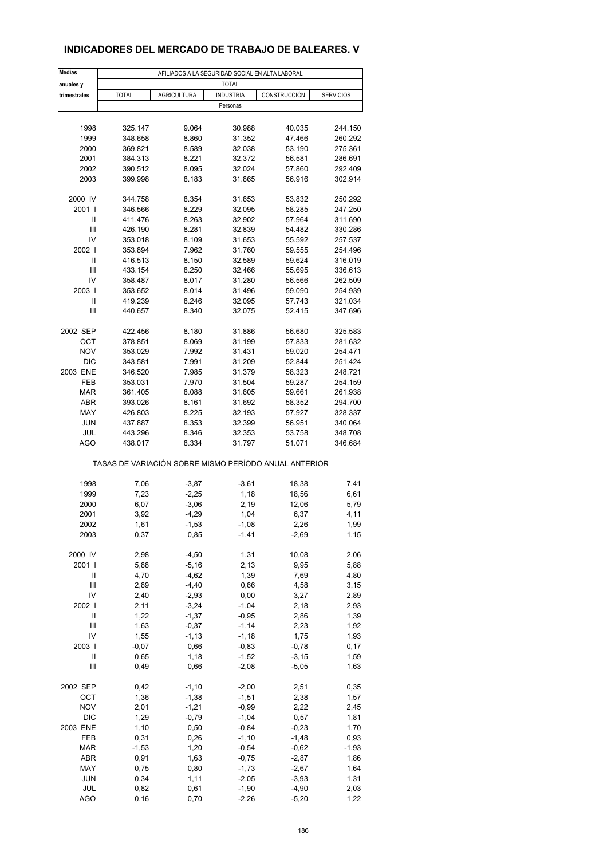# **INDICADORES DEL MERCADO DE TRABAJO DE BALEARES. V**

| <b>Medias</b>            | AFILIADOS A LA SEGURIDAD SOCIAL EN ALTA LABORAL       |                    |                    |                    |                    |  |  |  |  |
|--------------------------|-------------------------------------------------------|--------------------|--------------------|--------------------|--------------------|--|--|--|--|
| anuales y                |                                                       |                    | <b>TOTAL</b>       |                    |                    |  |  |  |  |
| trimestrales             | <b>TOTAL</b>                                          | <b>AGRICULTURA</b> | <b>INDUSTRIA</b>   | CONSTRUCCIÓN       | <b>SERVICIOS</b>   |  |  |  |  |
|                          |                                                       |                    | Personas           |                    |                    |  |  |  |  |
|                          |                                                       |                    |                    |                    |                    |  |  |  |  |
| 1998                     | 325.147                                               | 9.064              | 30.988             | 40.035             | 244.150            |  |  |  |  |
| 1999                     | 348.658                                               | 8.860              | 31.352             | 47.466             | 260.292            |  |  |  |  |
| 2000                     | 369.821                                               | 8.589              | 32.038             | 53.190             | 275.361            |  |  |  |  |
| 2001                     | 384.313                                               | 8.221              | 32.372             | 56.581             | 286.691            |  |  |  |  |
| 2002                     | 390.512                                               | 8.095              | 32.024             | 57.860             | 292.409            |  |  |  |  |
| 2003                     | 399.998                                               | 8.183              | 31.865             | 56.916             | 302.914            |  |  |  |  |
| 2000 IV                  | 344.758                                               | 8.354              | 31.653             | 53.832             | 250.292            |  |  |  |  |
| 2001                     | 346.566                                               | 8.229              | 32.095             | 58.285             | 247.250            |  |  |  |  |
| Ш                        | 411.476                                               | 8.263              | 32.902             | 57.964             | 311.690            |  |  |  |  |
| Ш                        | 426.190                                               | 8.281              | 32.839             | 54.482             | 330.286            |  |  |  |  |
| IV                       | 353.018                                               | 8.109              | 31.653             | 55.592             | 257.537            |  |  |  |  |
| 2002                     | 353.894                                               | 7.962              | 31.760             | 59.555             | 254.496            |  |  |  |  |
| Ш                        | 416.513                                               | 8.150              | 32.589             | 59.624             | 316.019            |  |  |  |  |
| Ш                        | 433.154                                               | 8.250              | 32.466             | 55.695             | 336.613            |  |  |  |  |
| IV                       | 358.487                                               | 8.017              | 31.280             | 56.566             | 262.509            |  |  |  |  |
| 2003                     | 353.652                                               | 8.014              | 31.496             | 59.090             | 254.939            |  |  |  |  |
| Ш                        | 419.239                                               | 8.246              | 32.095             | 57.743             | 321.034            |  |  |  |  |
| Ш                        | 440.657                                               | 8.340              | 32.075             | 52.415             | 347.696            |  |  |  |  |
|                          |                                                       |                    |                    |                    |                    |  |  |  |  |
| 2002 SEP                 | 422.456                                               | 8.180              | 31.886             | 56.680             | 325.583            |  |  |  |  |
| ОСТ                      | 378.851                                               | 8.069              | 31.199             | 57.833             | 281.632            |  |  |  |  |
| <b>NOV</b><br><b>DIC</b> | 353.029                                               | 7.992<br>7.991     | 31.431             | 59.020             | 254.471<br>251.424 |  |  |  |  |
| 2003 ENE                 | 343.581<br>346.520                                    | 7.985              | 31.209<br>31.379   | 52.844<br>58.323   | 248.721            |  |  |  |  |
| FEB                      | 353.031                                               | 7.970              | 31.504             | 59.287             | 254.159            |  |  |  |  |
| <b>MAR</b>               | 361.405                                               | 8.088              | 31.605             | 59.661             | 261.938            |  |  |  |  |
| <b>ABR</b>               | 393.026                                               | 8.161              | 31.692             | 58.352             | 294.700            |  |  |  |  |
| MAY                      | 426.803                                               | 8.225              | 32.193             | 57.927             | 328.337            |  |  |  |  |
| <b>JUN</b>               | 437.887                                               | 8.353              | 32.399             | 56.951             | 340.064            |  |  |  |  |
| JUL                      | 443.296                                               | 8.346              | 32.353             | 53.758             | 348.708            |  |  |  |  |
| <b>AGO</b>               | 438.017                                               | 8.334              | 31.797             | 51.071             | 346.684            |  |  |  |  |
|                          | TASAS DE VARIACIÓN SOBRE MISMO PERÍODO ANUAL ANTERIOR |                    |                    |                    |                    |  |  |  |  |
| 1998                     |                                                       |                    |                    |                    |                    |  |  |  |  |
| 1999                     | 7,06<br>7,23                                          | $-3,87$<br>$-2,25$ | $-3,61$<br>1,18    | 18,38<br>18,56     | 7,41<br>6,61       |  |  |  |  |
| 2000                     | 6,07                                                  | $-3,06$            | 2,19               | 12,06              | 5,79               |  |  |  |  |
| 2001                     | 3,92                                                  | $-4,29$            | 1,04               | 6,37               | 4,11               |  |  |  |  |
| 2002                     | 1,61                                                  | $-1,53$            | -1,08              | 2,26               | 1,99               |  |  |  |  |
| 2003                     | 0,37                                                  | 0,85               | $-1,41$            | $-2,69$            | 1,15               |  |  |  |  |
|                          |                                                       |                    |                    |                    |                    |  |  |  |  |
| 2000 IV                  | 2,98                                                  | $-4,50$            | 1,31               | 10,08              | 2,06               |  |  |  |  |
| 2001 l                   | 5,88                                                  | $-5,16$            | 2,13               | 9,95               | 5,88               |  |  |  |  |
| Ш                        | 4,70                                                  | $-4,62$            | 1,39               | 7,69               | 4,80               |  |  |  |  |
| Ш                        | 2,89                                                  | $-4,40$            | 0,66               | 4,58               | 3,15               |  |  |  |  |
| IV                       | 2,40                                                  | $-2,93$            | 0,00               | 3,27               | 2,89               |  |  |  |  |
| 2002                     | 2,11                                                  | $-3,24$            | $-1,04$            | 2,18               | 2,93               |  |  |  |  |
| $\sf II$                 | 1,22                                                  | $-1,37$            | $-0,95$            | 2,86               | 1,39               |  |  |  |  |
| Ш                        | 1,63                                                  | $-0,37$            | $-1,14$            | 2,23               | 1,92               |  |  |  |  |
| IV<br>2003               | 1,55<br>$-0,07$                                       | $-1, 13$<br>0,66   | $-1,18$<br>$-0,83$ | 1,75<br>$-0,78$    | 1,93<br>0,17       |  |  |  |  |
| $\mathsf{I}$             | 0,65                                                  | 1,18               | $-1,52$            | $-3,15$            | 1,59               |  |  |  |  |
| Ш                        | 0,49                                                  | 0,66               | $-2,08$            | $-5,05$            | 1,63               |  |  |  |  |
|                          |                                                       |                    |                    |                    |                    |  |  |  |  |
| 2002 SEP                 | 0,42                                                  | $-1,10$            | $-2,00$            | 2,51               | 0,35               |  |  |  |  |
| OCT                      | 1,36                                                  | $-1,38$            | $-1,51$            | 2,38               | 1,57               |  |  |  |  |
| <b>NOV</b>               | 2,01                                                  | $-1,21$            | $-0,99$            | 2,22               | 2,45               |  |  |  |  |
| DIC                      | 1,29                                                  | $-0,79$            | $-1,04$            | 0,57               | 1,81               |  |  |  |  |
| 2003 ENE                 | 1,10                                                  | 0,50               | $-0,84$            | $-0,23$            | 1,70               |  |  |  |  |
| FEB                      | 0,31                                                  | 0,26               | $-1,10$            | $-1,48$            | 0,93               |  |  |  |  |
| <b>MAR</b>               | $-1,53$                                               | 1,20               | $-0,54$            | $-0,62$            | $-1,93$            |  |  |  |  |
| ABR                      | 0,91                                                  | 1,63               | $-0,75$            | $-2,87$            | 1,86               |  |  |  |  |
| MAY                      | 0,75                                                  | 0,80               | $-1,73$            | $-2,67$            | 1,64               |  |  |  |  |
| <b>JUN</b>               | 0,34                                                  | 1,11               | $-2,05$            | $-3,93$            | 1,31               |  |  |  |  |
| JUL<br><b>AGO</b>        | 0,82                                                  | 0,61               | $-1,90$<br>$-2,26$ | $-4,90$<br>$-5,20$ | 2,03<br>1,22       |  |  |  |  |
|                          | 0, 16                                                 | 0,70               |                    |                    |                    |  |  |  |  |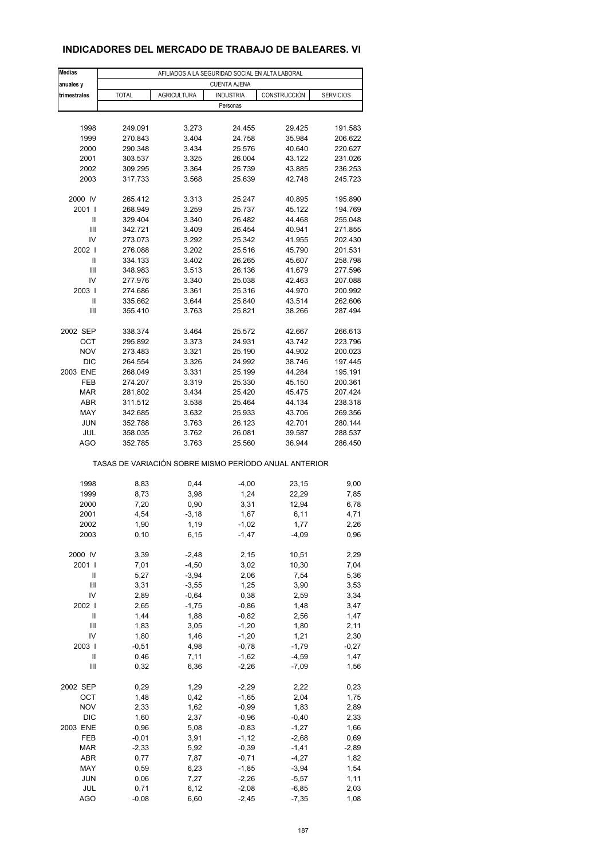## **INDICADORES DEL MERCADO DE TRABAJO DE BALEARES. VI**

| <b>Medias</b>                      |                     | AFILIADOS A LA SEGURIDAD SOCIAL EN ALTA LABORAL       |                                  |                  |                 |  |  |
|------------------------------------|---------------------|-------------------------------------------------------|----------------------------------|------------------|-----------------|--|--|
| anuales y                          | <b>CUENTA AJENA</b> |                                                       |                                  |                  |                 |  |  |
| trimestrales                       | <b>TOTAL</b>        | <b>AGRICULTURA</b>                                    | <b>INDUSTRIA</b><br>CONSTRUCCIÓN | <b>SERVICIOS</b> |                 |  |  |
|                                    |                     |                                                       | Personas                         |                  |                 |  |  |
|                                    |                     |                                                       |                                  |                  |                 |  |  |
| 1998                               | 249.091             | 3.273                                                 | 24.455                           | 29.425           | 191.583         |  |  |
| 1999                               | 270.843             | 3.404                                                 | 24.758                           | 35.984           | 206.622         |  |  |
| 2000                               | 290.348             | 3.434                                                 | 25.576                           | 40.640           | 220.627         |  |  |
| 2001                               | 303.537             | 3.325                                                 | 26.004                           | 43.122           | 231.026         |  |  |
| 2002                               | 309.295             | 3.364                                                 | 25.739                           | 43.885           | 236.253         |  |  |
| 2003                               | 317.733             | 3.568                                                 | 25.639                           | 42.748           | 245.723         |  |  |
| 2000 IV                            | 265.412             | 3.313                                                 | 25.247                           | 40.895           | 195.890         |  |  |
| 2001 l                             | 268.949             | 3.259                                                 | 25.737                           | 45.122           | 194.769         |  |  |
| Ш                                  | 329.404             | 3.340                                                 | 26.482                           | 44.468           | 255.048         |  |  |
| $\ensuremath{\mathsf{III}}\xspace$ | 342.721             | 3.409                                                 | 26.454                           | 40.941           | 271.855         |  |  |
| IV                                 | 273.073             | 3.292                                                 | 25.342                           | 41.955           | 202.430         |  |  |
| 2002                               | 276.088             | 3.202                                                 | 25.516                           | 45.790           | 201.531         |  |  |
| Ш                                  | 334.133             | 3.402                                                 | 26.265                           | 45.607           | 258.798         |  |  |
| Ш                                  | 348.983             | 3.513                                                 | 26.136                           | 41.679           | 277.596         |  |  |
| IV                                 | 277.976             | 3.340                                                 | 25.038                           | 42.463           | 207.088         |  |  |
| 2003                               | 274.686             | 3.361                                                 | 25.316                           | 44.970           | 200.992         |  |  |
| Ш                                  | 335.662             | 3.644                                                 | 25.840                           | 43.514           | 262.606         |  |  |
| Ш                                  | 355.410             | 3.763                                                 | 25.821                           | 38.266           | 287.494         |  |  |
| 2002 SEP                           | 338.374             | 3.464                                                 | 25.572                           | 42.667           | 266.613         |  |  |
| OCT                                | 295.892             | 3.373                                                 | 24.931                           | 43.742           | 223.796         |  |  |
| <b>NOV</b>                         | 273.483             | 3.321                                                 | 25.190                           | 44.902           | 200.023         |  |  |
| <b>DIC</b>                         | 264.554             | 3.326                                                 | 24.992                           | 38.746           | 197.445         |  |  |
| 2003 ENE                           | 268.049             | 3.331                                                 | 25.199                           | 44.284           | 195.191         |  |  |
| FEB                                | 274.207             | 3.319                                                 | 25.330                           | 45.150           | 200.361         |  |  |
| <b>MAR</b>                         | 281.802             | 3.434                                                 | 25.420                           | 45.475           | 207.424         |  |  |
| <b>ABR</b>                         | 311.512             | 3.538                                                 | 25.464                           | 44.134           | 238.318         |  |  |
| MAY                                | 342.685             | 3.632                                                 | 25.933                           | 43.706           | 269.356         |  |  |
| <b>JUN</b>                         | 352.788             | 3.763                                                 | 26.123                           | 42.701           | 280.144         |  |  |
| JUL                                | 358.035             | 3.762                                                 | 26.081                           | 39.587           | 288.537         |  |  |
| AGO                                | 352.785             | 3.763                                                 | 25.560                           | 36.944           | 286.450         |  |  |
|                                    |                     | TASAS DE VARIACIÓN SOBRE MISMO PERÍODO ANUAL ANTERIOR |                                  |                  |                 |  |  |
| 1998                               | 8,83                | 0,44                                                  | $-4,00$                          | 23,15            | 9,00            |  |  |
| 1999                               | 8,73                | 3,98                                                  | 1,24                             | 22,29            | 7,85            |  |  |
| 2000                               | 7,20                | 0,90                                                  | 3,31                             | 12,94            | 6,78            |  |  |
| 2001                               | 4,54                | $-3,18$                                               | 1,67                             | 6,11             | 4,71            |  |  |
| 2002                               | 1,90                | 1,19                                                  | -1,02                            | 1,77             | 2,26            |  |  |
| 2003                               | 0, 10               | 6, 15                                                 | $-1,47$                          | $-4,09$          | 0,96            |  |  |
|                                    |                     |                                                       |                                  |                  |                 |  |  |
| 2000 IV<br>2001 l                  | 3,39                | $-2,48$                                               | 2,15                             | 10,51            | 2,29            |  |  |
|                                    | 7,01                | $-4,50$                                               | 3,02<br>2,06                     | 10,30            | 7,04<br>5,36    |  |  |
| Ш                                  | 5,27                | $-3,94$                                               |                                  | 7,54             |                 |  |  |
| Ш<br>IV                            | 3,31<br>2,89        | $-3,55$<br>$-0,64$                                    | 1,25<br>0,38                     | 3,90<br>2,59     | 3,53<br>3,34    |  |  |
| 2002                               |                     | $-1,75$                                               | $-0,86$                          | 1,48             |                 |  |  |
| $\sf II$                           | 2,65<br>1,44        |                                                       |                                  |                  | 3,47            |  |  |
| Ш                                  | 1,83                | 1,88<br>3,05                                          | $-0,82$<br>$-1,20$               | 2,56<br>1,80     | 1,47<br>2,11    |  |  |
| IV                                 |                     |                                                       |                                  |                  |                 |  |  |
| 2003                               | 1,80<br>$-0,51$     | 1,46<br>4,98                                          | $-1,20$<br>$-0,78$               | 1,21<br>$-1,79$  | 2,30<br>$-0,27$ |  |  |
| Ш                                  | 0,46                | 7,11                                                  | $-1,62$                          | $-4,59$          | 1,47            |  |  |
| $\ensuremath{\mathsf{III}}\xspace$ | 0,32                | 6,36                                                  | $-2,26$                          | $-7,09$          | 1,56            |  |  |
|                                    |                     |                                                       |                                  |                  |                 |  |  |
| 2002 SEP                           | 0,29                | 1,29                                                  | $-2,29$                          | 2,22             | 0,23            |  |  |
| OCT                                | 1,48                | 0,42                                                  | $-1,65$                          | 2,04             | 1,75            |  |  |
| <b>NOV</b>                         | 2,33                | 1,62                                                  | $-0,99$                          | 1,83             | 2,89            |  |  |
| <b>DIC</b>                         | 1,60                | 2,37                                                  | $-0,96$                          | $-0,40$          | 2,33            |  |  |
| 2003 ENE                           | 0,96                | 5,08                                                  | $-0,83$                          | $-1,27$          | 1,66            |  |  |
| FEB                                | $-0,01$             | 3,91                                                  | $-1, 12$                         | $-2,68$          | 0,69            |  |  |
| <b>MAR</b>                         | $-2,33$             | 5,92                                                  | $-0,39$                          | $-1,41$          | $-2,89$         |  |  |
| ABR                                | 0,77                | 7,87                                                  | $-0,71$                          | $-4,27$          | 1,82            |  |  |
| MAY                                | 0,59                | 6,23                                                  | $-1,85$                          | $-3,94$          | 1,54            |  |  |
| <b>JUN</b>                         | 0,06                | 7,27                                                  | $-2,26$                          | $-5,57$          | 1,11            |  |  |
| JUL                                | 0,71                | 6, 12                                                 | $-2,08$                          | $-6,85$          | 2,03            |  |  |
| <b>AGO</b>                         | $-0,08$             | 6,60                                                  | $-2,45$                          | $-7,35$          | 1,08            |  |  |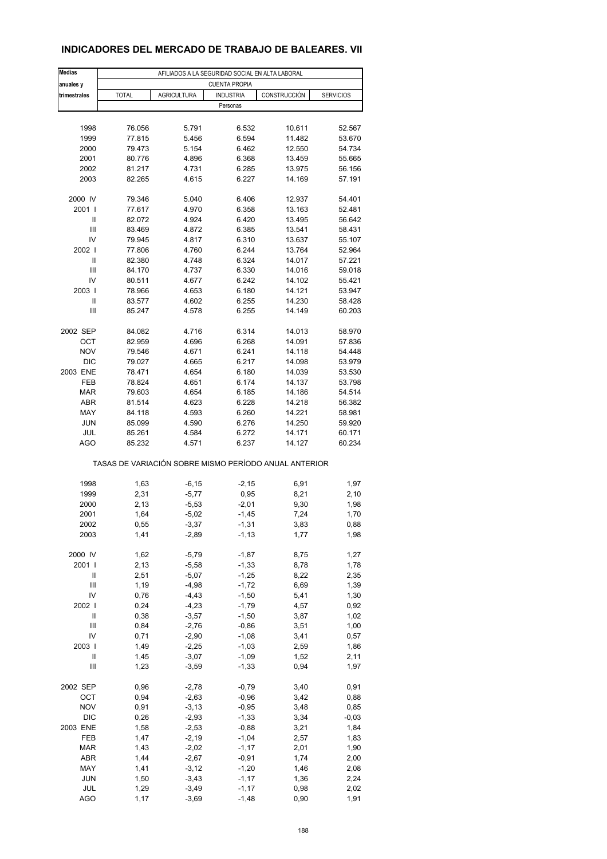## **INDICADORES DEL MERCADO DE TRABAJO DE BALEARES. VII**

| <b>Medias</b>     | AFILIADOS A LA SEGURIDAD SOCIAL EN ALTA LABORAL       |                    |                      |                  |                  |  |  |  |
|-------------------|-------------------------------------------------------|--------------------|----------------------|------------------|------------------|--|--|--|
| anuales y         |                                                       |                    | <b>CUENTA PROPIA</b> |                  |                  |  |  |  |
| trimestrales      | <b>TOTAL</b>                                          | <b>AGRICULTURA</b> | <b>INDUSTRIA</b>     | CONSTRUCCIÓN     | <b>SERVICIOS</b> |  |  |  |
|                   |                                                       |                    | Personas             |                  |                  |  |  |  |
|                   |                                                       |                    |                      |                  |                  |  |  |  |
| 1998              | 76.056                                                | 5.791              | 6.532                | 10.611           | 52.567           |  |  |  |
| 1999<br>2000      | 77.815<br>79.473                                      | 5.456<br>5.154     | 6.594<br>6.462       | 11.482<br>12.550 | 53.670<br>54.734 |  |  |  |
| 2001              | 80.776                                                | 4.896              | 6.368                | 13.459           | 55.665           |  |  |  |
| 2002              | 81.217                                                | 4.731              | 6.285                | 13.975           | 56.156           |  |  |  |
| 2003              | 82.265                                                | 4.615              | 6.227                | 14.169           | 57.191           |  |  |  |
|                   |                                                       |                    |                      |                  |                  |  |  |  |
| 2000 IV           | 79.346                                                | 5.040              | 6.406                | 12.937           | 54.401           |  |  |  |
| 2001 l            | 77.617                                                | 4.970              | 6.358                | 13.163           | 52.481           |  |  |  |
| Ш                 | 82.072                                                | 4.924              | 6.420                | 13.495           | 56.642           |  |  |  |
| Ш                 | 83.469                                                | 4.872              | 6.385                | 13.541           | 58.431           |  |  |  |
| IV                | 79.945                                                | 4.817              | 6.310                | 13.637           | 55.107           |  |  |  |
| 2002              | 77.806                                                | 4.760              | 6.244                | 13.764           | 52.964           |  |  |  |
| Ш                 | 82.380                                                | 4.748              | 6.324                | 14.017           | 57.221           |  |  |  |
| Ш                 | 84.170                                                | 4.737              | 6.330                | 14.016           | 59.018           |  |  |  |
| IV                | 80.511                                                | 4.677              | 6.242                | 14.102           | 55.421           |  |  |  |
| 2003  <br>Ш       | 78.966<br>83.577                                      | 4.653<br>4.602     | 6.180<br>6.255       | 14.121<br>14.230 | 53.947<br>58.428 |  |  |  |
| Ш                 | 85.247                                                | 4.578              | 6.255                | 14.149           | 60.203           |  |  |  |
|                   |                                                       |                    |                      |                  |                  |  |  |  |
| 2002 SEP          | 84.082                                                | 4.716              | 6.314                | 14.013           | 58.970           |  |  |  |
| OCT               | 82.959                                                | 4.696              | 6.268                | 14.091           | 57.836           |  |  |  |
| <b>NOV</b>        | 79.546                                                | 4.671              | 6.241                | 14.118           | 54.448           |  |  |  |
| <b>DIC</b>        | 79.027                                                | 4.665              | 6.217                | 14.098           | 53.979           |  |  |  |
| 2003 ENE          | 78.471                                                | 4.654              | 6.180                | 14.039           | 53.530           |  |  |  |
| FEB               | 78.824                                                | 4.651              | 6.174                | 14.137           | 53.798           |  |  |  |
| <b>MAR</b>        | 79.603                                                | 4.654              | 6.185                | 14.186           | 54.514           |  |  |  |
| <b>ABR</b>        | 81.514                                                | 4.623              | 6.228                | 14.218           | 56.382           |  |  |  |
| MAY               | 84.118                                                | 4.593              | 6.260                | 14.221           | 58.981           |  |  |  |
| <b>JUN</b>        | 85.099                                                | 4.590              | 6.276                | 14.250           | 59.920           |  |  |  |
| JUL<br><b>AGO</b> | 85.261<br>85.232                                      | 4.584<br>4.571     | 6.272<br>6.237       | 14.171<br>14.127 | 60.171<br>60.234 |  |  |  |
|                   |                                                       |                    |                      |                  |                  |  |  |  |
|                   | TASAS DE VARIACIÓN SOBRE MISMO PERÍODO ANUAL ANTERIOR |                    |                      |                  |                  |  |  |  |
|                   |                                                       |                    |                      |                  |                  |  |  |  |
| 1998              | 1,63                                                  | $-6, 15$           | $-2,15$              | 6,91             | 1,97             |  |  |  |
| 1999              | 2,31                                                  | $-5,77$            | 0,95                 | 8,21             | 2,10             |  |  |  |
| 2000              | 2,13                                                  | $-5,53$            | $-2,01$              | 9,30             | 1,98             |  |  |  |
| 2001              | 1,64                                                  | $-5,02$            | $-1,45$              | 7,24             | 1,70             |  |  |  |
| 2002              | 0,55                                                  | -3,37              | -1,31                | 3,83             | 0,88             |  |  |  |
| 2003              | 1,41                                                  | $-2,89$            | $-1, 13$             | 1,77             | 1,98             |  |  |  |
| 2000 IV           | 1,62                                                  | $-5,79$            | $-1,87$              | 8,75             | 1,27             |  |  |  |
| 2001 l            | 2,13                                                  | $-5,58$            | $-1,33$              | 8,78             | 1,78             |  |  |  |
| Ш                 | 2,51                                                  | $-5,07$            | $-1,25$              | 8,22             | 2,35             |  |  |  |
| Ш                 | 1,19                                                  | $-4,98$            | $-1,72$              | 6,69             | 1,39             |  |  |  |
| IV                | 0,76                                                  | $-4,43$            | $-1,50$              | 5,41             | 1,30             |  |  |  |
| 2002              | 0,24                                                  | $-4,23$            | $-1,79$              | 4,57             | 0,92             |  |  |  |
| $\sf II$          | 0,38                                                  | $-3,57$            | $-1,50$              | 3,87             | 1,02             |  |  |  |
| Ш                 | 0,84                                                  | $-2,76$            | $-0,86$              | 3,51             | 1,00             |  |  |  |
| IV                | 0,71                                                  | $-2,90$            | $-1,08$              | 3,41             | 0,57             |  |  |  |
| 2003              | 1,49                                                  | $-2,25$            | $-1,03$              | 2,59             | 1,86             |  |  |  |
| Ш                 | 1,45                                                  | $-3,07$            | $-1,09$              | 1,52             | 2,11             |  |  |  |
| Ш                 | 1,23                                                  | $-3,59$            | $-1,33$              | 0,94             | 1,97             |  |  |  |
| 2002 SEP          | 0,96                                                  | $-2,78$            | $-0,79$              | 3,40             | 0,91             |  |  |  |
| OCT               | 0,94                                                  | $-2,63$            | $-0,96$              | 3,42             | 0,88             |  |  |  |
| <b>NOV</b>        | 0,91                                                  | $-3, 13$           | $-0,95$              | 3,48             | 0,85             |  |  |  |
| <b>DIC</b>        | 0,26                                                  | $-2,93$            | $-1,33$              | 3,34             | $-0,03$          |  |  |  |
| 2003 ENE          | 1,58                                                  | $-2,53$            | $-0,88$              | 3,21             | 1,84             |  |  |  |
| FEB               | 1,47                                                  | $-2,19$            | $-1,04$              | 2,57             | 1,83             |  |  |  |
| <b>MAR</b>        | 1,43                                                  | $-2,02$            | $-1, 17$             | 2,01             | 1,90             |  |  |  |
| ABR               | 1,44                                                  | $-2,67$            | $-0,91$              | 1,74             | 2,00             |  |  |  |
| MAY               | 1,41                                                  | $-3, 12$           | $-1,20$              | 1,46             | 2,08             |  |  |  |
| <b>JUN</b>        | 1,50                                                  | $-3,43$            | $-1,17$              | 1,36             | 2,24             |  |  |  |
| JUL               | 1,29                                                  | $-3,49$            | $-1,17$              | 0,98             | 2,02             |  |  |  |
| <b>AGO</b>        | 1,17                                                  | $-3,69$            | $-1,48$              | 0,90             | 1,91             |  |  |  |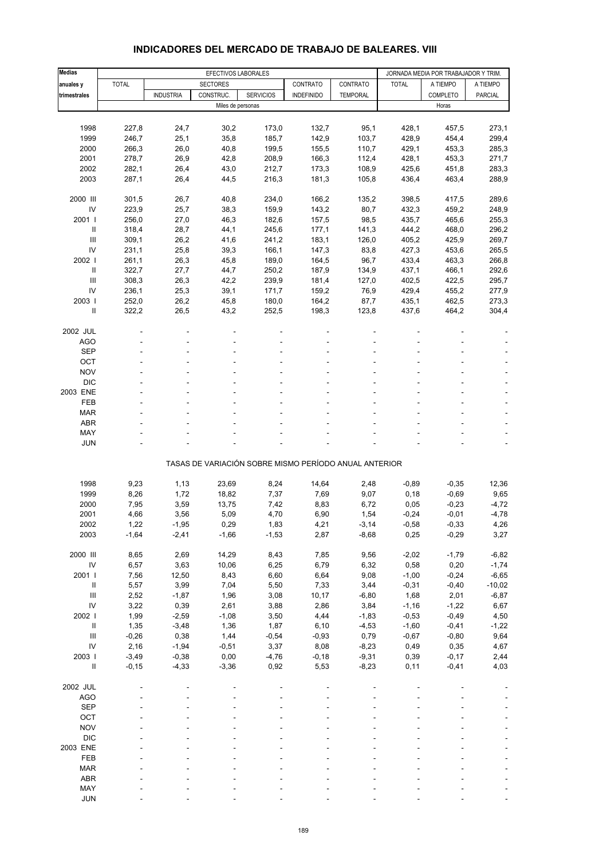| <b>Medias</b>                      | EFECTIVOS LABORALES |                    |                   |                                                       |                   | JORNADA MEDIA POR TRABAJADOR Y TRIM. |              |                    |                |
|------------------------------------|---------------------|--------------------|-------------------|-------------------------------------------------------|-------------------|--------------------------------------|--------------|--------------------|----------------|
| anuales y                          | <b>TOTAL</b>        |                    | <b>SECTORES</b>   |                                                       | CONTRATO          | CONTRATO                             | <b>TOTAL</b> | A TIEMPO           | A TIEMPO       |
|                                    |                     | <b>INDUSTRIA</b>   | CONSTRUC.         | <b>SERVICIOS</b>                                      |                   |                                      |              |                    | <b>PARCIAL</b> |
| trimestrales                       |                     |                    |                   |                                                       | <b>INDEFINIDO</b> | <b>TEMPORAL</b>                      |              | COMPLETO<br>Horas  |                |
|                                    |                     |                    | Miles de personas |                                                       |                   |                                      |              |                    |                |
|                                    |                     |                    |                   |                                                       |                   |                                      |              |                    |                |
| 1998                               | 227,8               | 24,7               | 30,2              | 173,0                                                 | 132,7             | 95,1                                 | 428,1        | 457,5              | 273,1          |
| 1999                               | 246,7               | 25,1               | 35,8              | 185,7                                                 | 142,9             | 103,7                                | 428,9        | 454,4              | 299,4          |
| 2000                               | 266,3               | 26,0               | 40,8              | 199,5                                                 | 155,5             | 110,7                                | 429,1        | 453,3              | 285,3          |
| 2001                               | 278,7               | 26,9               | 42,8              | 208,9                                                 | 166,3             | 112,4                                | 428,1        | 453,3              | 271,7          |
| 2002                               | 282,1               | 26,4               | 43,0              | 212,7                                                 | 173,3             | 108,9                                | 425,6        | 451,8              | 283,3          |
| 2003                               | 287,1               | 26,4               | 44,5              | 216,3                                                 | 181,3             | 105,8                                | 436,4        | 463,4              | 288,9          |
| 2000 III                           | 301,5               | 26,7               | 40,8              | 234,0                                                 | 166,2             | 135,2                                | 398,5        | 417,5              | 289,6          |
| IV                                 | 223,9               | 25,7               | 38,3              | 159,9                                                 | 143,2             | 80,7                                 | 432,3        | 459,2              | 248,9          |
| 2001 l                             | 256,0               | 27,0               | 46,3              | 182,6                                                 | 157,5             | 98,5                                 | 435,7        | 465,6              | 255,3          |
| $\ensuremath{\mathsf{II}}$         | 318,4               | 28,7               | 44,1              | 245,6                                                 | 177,1             | 141,3                                | 444,2        | 468,0              | 296,2          |
| Ш                                  | 309,1               | 26,2               | 41,6              | 241,2                                                 | 183,1             | 126,0                                | 405,2        | 425,9              | 269,7          |
| IV                                 | 231,1               | 25,8               | 39,3              | 166,1                                                 | 147,3             | 83,8                                 | 427,3        | 453,6              | 265,5          |
|                                    |                     |                    |                   |                                                       |                   |                                      |              |                    |                |
| 2002                               | 261,1               | 26,3               | 45,8              | 189,0                                                 | 164,5             | 96,7                                 | 433,4        | 463,3              | 266,8          |
| Ш                                  | 322,7               | 27,7               | 44,7              | 250,2                                                 | 187,9             | 134,9                                | 437,1        | 466,1              | 292,6          |
| Ш                                  | 308,3               | 26,3               | 42,2              | 239,9                                                 | 181,4             | 127,0                                | 402,5        | 422,5              | 295,7          |
| IV                                 | 236,1               | 25,3               | 39,1              | 171,7                                                 | 159,2             | 76,9                                 | 429,4        | 455,2              | 277,9          |
| 2003                               | 252,0               | 26,2               | 45,8              | 180,0                                                 | 164,2             | 87,7                                 | 435,1        | 462,5              | 273,3          |
| $\mathbf{II}$                      | 322,2               | 26,5               | 43,2              | 252,5                                                 | 198,3             | 123,8                                | 437,6        | 464,2              | 304,4          |
| 2002 JUL                           |                     |                    |                   |                                                       |                   |                                      |              |                    |                |
| <b>AGO</b>                         |                     |                    |                   |                                                       |                   |                                      |              |                    |                |
| <b>SEP</b>                         |                     |                    |                   |                                                       |                   |                                      |              |                    |                |
| OCT                                |                     |                    |                   |                                                       |                   |                                      |              |                    |                |
| <b>NOV</b>                         |                     |                    |                   |                                                       |                   |                                      |              |                    |                |
| <b>DIC</b>                         |                     |                    |                   |                                                       |                   |                                      |              |                    |                |
| 2003 ENE                           |                     |                    |                   |                                                       |                   |                                      |              |                    |                |
| <b>FEB</b>                         |                     |                    |                   |                                                       |                   |                                      |              |                    |                |
| <b>MAR</b>                         |                     |                    |                   |                                                       |                   |                                      |              |                    |                |
| <b>ABR</b>                         |                     |                    |                   |                                                       |                   |                                      |              |                    |                |
|                                    |                     |                    |                   |                                                       |                   |                                      |              |                    |                |
| MAY                                |                     |                    |                   |                                                       |                   |                                      |              |                    |                |
| <b>JUN</b>                         |                     |                    |                   |                                                       |                   |                                      |              |                    |                |
|                                    |                     |                    |                   | TASAS DE VARIACIÓN SOBRE MISMO PERÍODO ANUAL ANTERIOR |                   |                                      |              |                    |                |
| 1998                               | 9,23                | 1,13               | 23,69             | 8,24                                                  | 14,64             | 2,48                                 | $-0,89$      | $-0,35$            | 12,36          |
| 1999                               | 8,26                |                    | 18,82             | 7,37                                                  |                   | 9,07                                 |              | $-0,69$            |                |
|                                    |                     | 1,72               |                   |                                                       | 7,69              |                                      | 0, 18        |                    | 9,65           |
| 2000                               | 7,95                | 3,59               | 13,75             | 7,42                                                  | 8,83              | 6,72                                 | 0,05         | $-0,23$            | $-4,72$        |
| 2001                               | 4,66                | 3,56               | 5,09              | 4,70                                                  | 6,90              | 1,54                                 | $-0,24$      | $-0,01$            | $-4,78$        |
| 2002                               | 1,22                | $-1,95$            | 0,29              | 1,83                                                  | 4,21              | $-3,14$                              | $-0,58$      | $-0,33$            | 4,26           |
| 2003                               | $-1,64$             | $-2,41$            | $-1,66$           | $-1,53$                                               | 2,87              | $-8,68$                              | 0,25         | $-0,29$            | 3,27           |
| 2000 III                           | 8,65                | 2,69               | 14,29             | 8,43                                                  | 7,85              | 9,56                                 | $-2,02$      | $-1,79$            | $-6,82$        |
| ${\sf IV}$                         | 6,57                | 3,63               | 10,06             | 6,25                                                  | 6,79              | 6,32                                 | 0,58         | 0,20               | $-1,74$        |
| 2001                               | 7,56                | 12,50              | 8,43              | 6,60                                                  | 6,64              | 9,08                                 | $-1,00$      | $-0,24$            | $-6,65$        |
| $\ensuremath{\mathsf{II}}$         | 5,57                | 3,99               | 7,04              | 5,50                                                  | 7,33              | 3,44                                 | $-0,31$      | $-0,40$            | $-10,02$       |
| $\ensuremath{\mathsf{III}}\xspace$ | 2,52                | $-1,87$            | 1,96              | 3,08                                                  | 10,17             | $-6,80$                              | 1,68         | 2,01               | $-6,87$        |
| ${\sf IV}$                         | 3,22                | 0,39               | 2,61              | 3,88                                                  | 2,86              | 3,84                                 | $-1,16$      | $-1,22$            | 6,67           |
| 2002 l                             | 1,99                | $-2,59$            | $-1,08$           | 3,50                                                  | 4,44              | $-1,83$                              | $-0,53$      | $-0,49$            | 4,50           |
| $\ensuremath{\mathsf{II}}$         | 1,35                | $-3,48$            | 1,36              | 1,87                                                  | 6,10              | $-4,53$                              | $-1,60$      | $-0,41$            | $-1,22$        |
| $\ensuremath{\mathsf{III}}\xspace$ | $-0,26$             | 0,38               | 1,44              | $-0,54$                                               | $-0,93$           | 0,79                                 | $-0,67$      | $-0,80$            | 9,64           |
| ${\sf IV}$                         | 2,16                | $-1,94$            | $-0,51$           | 3,37                                                  | 8,08              | $-8,23$                              | 0,49         | 0,35               | 4,67           |
|                                    |                     |                    |                   |                                                       |                   |                                      |              |                    |                |
| 2003 l<br>$\sf II$                 | $-3,49$<br>$-0,15$  | $-0,38$<br>$-4,33$ | 0,00<br>$-3,36$   | $-4,76$<br>0,92                                       | $-0,18$<br>5,53   | $-9,31$<br>$-8,23$                   | 0,39<br>0,11 | $-0,17$<br>$-0,41$ | 2,44<br>4,03   |
|                                    |                     |                    |                   |                                                       |                   |                                      |              |                    |                |
| 2002 JUL                           |                     |                    |                   |                                                       |                   |                                      |              |                    |                |
| <b>AGO</b>                         |                     |                    |                   |                                                       |                   |                                      |              |                    |                |
| <b>SEP</b>                         |                     |                    |                   |                                                       |                   |                                      |              |                    |                |
| OCT                                |                     |                    |                   |                                                       |                   |                                      |              |                    |                |
| <b>NOV</b>                         |                     |                    |                   |                                                       |                   |                                      |              |                    |                |
| <b>DIC</b>                         |                     |                    |                   |                                                       |                   |                                      |              |                    |                |
| 2003 ENE                           |                     |                    |                   |                                                       |                   |                                      |              |                    |                |
| FEB                                |                     |                    |                   |                                                       |                   |                                      |              |                    |                |
| <b>MAR</b>                         |                     |                    |                   |                                                       |                   |                                      |              |                    |                |
| ABR                                |                     |                    |                   |                                                       |                   |                                      |              |                    |                |
| MAY                                |                     |                    |                   |                                                       |                   |                                      |              |                    |                |

### **INDICADORES DEL MERCADO DE TRABAJO DE BALEARES. VIII**

JUN - - - - - ----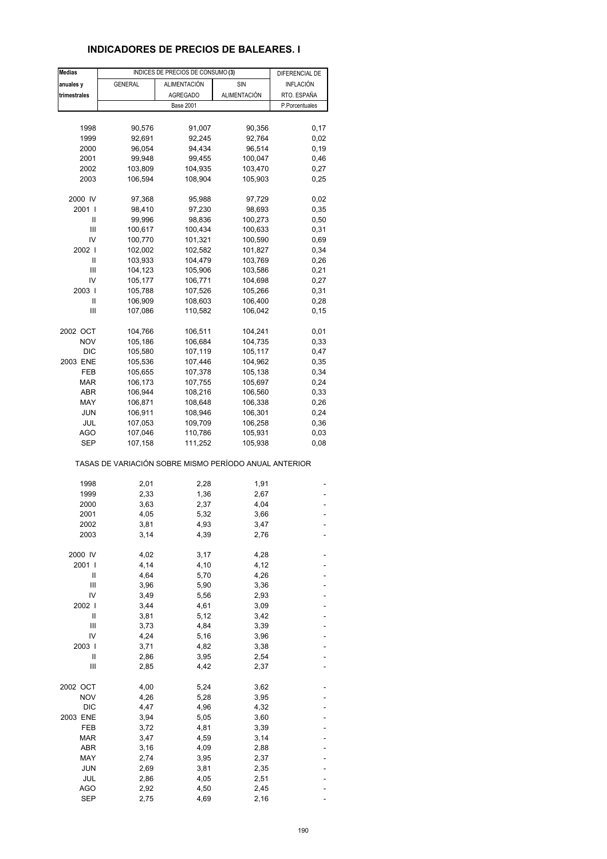# **INDICADORES DE PRECIOS DE BALEARES. I**

| <b>Medias</b> |                                                       | INDICES DE PRECIOS DE CONSUMO (3) |                     | DIFERENCIAL DE   |
|---------------|-------------------------------------------------------|-----------------------------------|---------------------|------------------|
| anuales y     | <b>GENERAL</b>                                        | <b>ALIMENTACIÓN</b>               | SIN                 | <b>INFLACIÓN</b> |
| trimestrales  |                                                       | <b>AGREGADO</b>                   | <b>ALIMENTACIÓN</b> | RTO. ESPAÑA      |
|               |                                                       | <b>Base 2001</b>                  |                     | P.Porcentuales   |
|               |                                                       |                                   |                     |                  |
|               |                                                       |                                   |                     |                  |
| 1998          | 90,576                                                | 91,007                            | 90,356              | 0,17             |
| 1999          | 92,691                                                | 92,245                            | 92,764              | 0,02             |
| 2000          | 96,054                                                | 94,434                            | 96,514              | 0, 19            |
| 2001          | 99,948                                                | 99,455                            | 100,047             | 0,46             |
| 2002          | 103,809                                               | 104,935                           | 103,470             | 0,27             |
| 2003          | 106,594                                               | 108,904                           | 105,903             | 0,25             |
| 2000 IV       | 97,368                                                | 95,988                            | 97,729              | 0,02             |
| 2001 l        | 98,410                                                | 97,230                            | 98,693              | 0,35             |
| Ш             | 99,996                                                | 98,836                            | 100,273             | 0,50             |
| Ш             | 100,617                                               | 100,434                           | 100,633             | 0,31             |
| IV            | 100,770                                               | 101,321                           | 100,590             | 0,69             |
| 2002 l        |                                                       |                                   |                     | 0,34             |
|               | 102,002                                               | 102,582                           | 101,827             |                  |
| Ш             | 103,933                                               | 104,479                           | 103,769             | 0,26             |
| Ш             | 104,123                                               | 105,906                           | 103,586             | 0,21             |
| IV            | 105,177                                               | 106,771                           | 104,698             | 0,27             |
| 2003          | 105,788                                               | 107,526                           | 105,266             | 0,31             |
| Ш             | 106,909                                               | 108,603                           | 106,400             | 0,28             |
| Ш             | 107,086                                               | 110,582                           | 106,042             | 0, 15            |
| 2002 OCT      | 104,766                                               | 106,511                           | 104,241             | 0,01             |
| <b>NOV</b>    | 105,186                                               | 106,684                           | 104,735             | 0,33             |
| <b>DIC</b>    |                                                       |                                   | 105,117             |                  |
|               | 105,580                                               | 107,119                           |                     | 0,47             |
| 2003 ENE      | 105,536                                               | 107,446                           | 104,962             | 0,35             |
| FEB           | 105,655                                               | 107,378                           | 105,138             | 0,34             |
| MAR           | 106,173                                               | 107,755                           | 105,697             | 0,24             |
| ABR           | 106,944                                               | 108,216                           | 106,560             | 0,33             |
| MAY           | 106,871                                               | 108,648                           | 106,338             | 0,26             |
| <b>JUN</b>    | 106,911                                               | 108,946                           | 106,301             | 0,24             |
| JUL           | 107,053                                               | 109,709                           | 106,258             | 0,36             |
| AGO           | 107,046                                               | 110,786                           | 105,931             | 0,03             |
| SEP           | 107,158                                               | 111,252                           | 105,938             | 0,08             |
|               | TASAS DE VARIACIÓN SOBRE MISMO PERÍODO ANUAL ANTERIOR |                                   |                     |                  |
| 1998          | 2,01                                                  | 2,28                              | 1,91                |                  |
| 1999          | 2,33                                                  | 1,36                              | 2,67                |                  |
|               |                                                       |                                   |                     |                  |
| 2000          | 3,63                                                  | 2,37                              | 4,04                |                  |
| 2001          | 4,05                                                  | 5,32                              | 3,66                |                  |
| 2002          | 3,81                                                  | 4,93                              | 3,47                |                  |
| 2003          | 3,14                                                  | 4,39                              | 2,76                |                  |
| 2000 IV       | 4,02                                                  | 3,17                              | 4,28                |                  |
| 2001 l        | 4,14                                                  | 4,10                              | 4,12                |                  |
| Ш             | 4,64                                                  | 5,70                              | 4,26                |                  |
| Ш             | 3,96                                                  | 5,90                              | 3,36                |                  |
| IV            | 3,49                                                  | 5,56                              | 2,93                |                  |
| 2002          | 3,44                                                  | 4,61                              | 3,09                |                  |
| Ш             | 3,81                                                  | 5,12                              | 3,42                |                  |
| Ш             | 3,73                                                  | 4,84                              | 3,39                |                  |
|               |                                                       |                                   |                     |                  |
| IV            | 4,24                                                  | 5,16                              | 3,96                |                  |
| 2003          | 3,71                                                  | 4,82                              | 3,38                |                  |
| Ш             | 2,86                                                  | 3,95                              | 2,54                |                  |
| Ш             | 2,85                                                  | 4,42                              | 2,37                |                  |
| 2002 OCT      | 4,00                                                  | 5,24                              | 3,62                |                  |
| <b>NOV</b>    | 4,26                                                  | 5,28                              | 3,95                |                  |
| <b>DIC</b>    | 4,47                                                  | 4,96                              | 4,32                |                  |
| 2003 ENE      | 3,94                                                  | 5,05                              | 3,60                |                  |
| FEB           | 3,72                                                  | 4,81                              | 3,39                |                  |
| <b>MAR</b>    | 3,47                                                  | 4,59                              | 3,14                |                  |
| ABR           | 3,16                                                  | 4,09                              | 2,88                |                  |
| MAY           | 2,74                                                  |                                   |                     |                  |
|               |                                                       | 3,95                              | 2,37                |                  |
| <b>JUN</b>    | 2,69                                                  | 3,81                              | 2,35                |                  |
| <b>JUL</b>    | 2,86                                                  | 4,05                              | 2,51                |                  |
| AGO           | 2,92                                                  | 4,50                              | 2,45                |                  |
| <b>SEP</b>    | 2,75                                                  | 4,69                              | 2,16                |                  |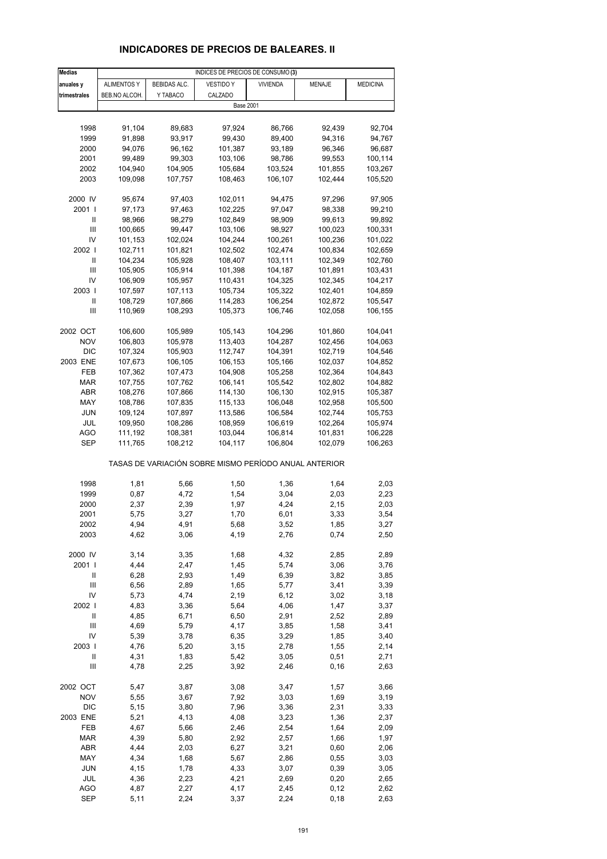# **INDICADORES DE PRECIOS DE BALEARES. II**

| <b>Medias</b>  | INDICES DE PRECIOS DE CONSUMO (3) |                    |                                                       |                    |                    |                 |  |  |
|----------------|-----------------------------------|--------------------|-------------------------------------------------------|--------------------|--------------------|-----------------|--|--|
| anuales y      | <b>ALIMENTOS Y</b>                | BEBIDAS ALC.       | VESTIDO Y                                             | <b>VIVIENDA</b>    | MENAJE             | <b>MEDICINA</b> |  |  |
| trimestrales   | BEB.NO ALCOH.                     | Y TABACO           | CALZADO                                               |                    |                    |                 |  |  |
|                |                                   |                    | <b>Base 2001</b>                                      |                    |                    |                 |  |  |
|                |                                   |                    |                                                       |                    |                    |                 |  |  |
| 1998           | 91,104                            | 89,683             | 97,924                                                | 86,766             | 92,439             | 92,704          |  |  |
| 1999           | 91,898                            | 93,917             | 99,430                                                | 89,400             | 94,316             | 94,767          |  |  |
| 2000           | 94,076                            | 96,162             | 101,387                                               | 93,189             | 96,346             | 96,687          |  |  |
| 2001           | 99,489                            | 99,303             | 103,106                                               | 98,786             | 99,553             | 100,114         |  |  |
| 2002           | 104,940                           | 104,905            | 105,684                                               | 103,524            | 101,855            | 103,267         |  |  |
| 2003           | 109,098                           | 107,757            | 108,463                                               | 106,107            | 102,444            | 105,520         |  |  |
|                |                                   |                    |                                                       |                    |                    |                 |  |  |
| 2000 IV        | 95,674                            | 97,403             | 102,011                                               | 94,475             | 97,296             | 97,905          |  |  |
| 2001 l         | 97,173                            | 97,463             | 102,225                                               | 97,047             | 98,338             | 99,210          |  |  |
| Ш              | 98,966                            | 98,279             | 102,849                                               | 98,909             | 99,613             | 99,892          |  |  |
| $\mathbf{III}$ | 100,665                           | 99,447             | 103,106                                               | 98,927             | 100,023            | 100,331         |  |  |
| IV             | 101,153                           | 102,024            | 104,244                                               | 100,261            | 100,236            | 101,022         |  |  |
| 2002           | 102,711                           | 101,821            | 102,502                                               | 102,474            | 100,834            | 102,659         |  |  |
| Ш              | 104,234                           | 105,928            | 108,407                                               | 103,111            | 102,349            | 102,760         |  |  |
| $\mathbf{III}$ | 105,905                           | 105,914            | 101,398                                               | 104,187            | 101,891            | 103,431         |  |  |
| IV             |                                   |                    |                                                       |                    |                    |                 |  |  |
| 2003           | 106,909                           | 105,957<br>107,113 | 110,431                                               | 104,325            | 102,345<br>102,401 | 104,217         |  |  |
|                | 107,597                           | 107,866            | 105,734                                               | 105,322            |                    | 104,859         |  |  |
| Ш<br>Ш         | 108,729                           |                    | 114,283                                               | 106,254            | 102,872            | 105,547         |  |  |
|                | 110,969                           | 108,293            | 105,373                                               | 106,746            | 102,058            | 106,155         |  |  |
| 2002 OCT       |                                   |                    |                                                       |                    |                    |                 |  |  |
| <b>NOV</b>     | 106,600<br>106,803                | 105,989            | 105,143                                               | 104,296<br>104,287 | 101,860            | 104,041         |  |  |
|                |                                   | 105,978            | 113,403                                               |                    | 102,456            | 104,063         |  |  |
| <b>DIC</b>     | 107,324                           | 105,903            | 112,747                                               | 104,391            | 102,719            | 104,546         |  |  |
| 2003 ENE       | 107,673                           | 106,105            | 106,153                                               | 105,166            | 102,037            | 104,852         |  |  |
| FEB            | 107,362                           | 107,473            | 104,908                                               | 105,258            | 102,364            | 104,843         |  |  |
| <b>MAR</b>     | 107,755                           | 107,762            | 106,141                                               | 105,542            | 102,802            | 104,882         |  |  |
| ABR            | 108,276                           | 107,866            | 114,130                                               | 106,130            | 102,915            | 105,387         |  |  |
| MAY            | 108,786                           | 107,835            | 115,133                                               | 106,048            | 102,958            | 105,500         |  |  |
| JUN            | 109,124                           | 107,897            | 113,586                                               | 106,584            | 102,744            | 105,753         |  |  |
| JUL            | 109,950                           | 108,286            | 108,959                                               | 106,619            | 102,264            | 105,974         |  |  |
| AGO            | 111,192                           | 108,381            | 103,044                                               | 106,814            | 101,831            | 106,228         |  |  |
| SEP            | 111,765                           | 108,212            | 104,117                                               | 106,804            | 102,079            | 106,263         |  |  |
|                |                                   |                    | TASAS DE VARIACIÓN SOBRE MISMO PERÍODO ANUAL ANTERIOR |                    |                    |                 |  |  |
| 1998           | 1,81                              | 5,66               | 1,50                                                  | 1,36               | 1,64               | 2,03            |  |  |
| 1999           | 0,87                              | 4,72               | 1,54                                                  | 3,04               | 2,03               | 2,23            |  |  |
| 2000           | 2,37                              | 2,39               | 1,97                                                  | 4,24               | 2,15               | 2,03            |  |  |
| 2001           | 5,75                              | 3,27               | 1,70                                                  | 6,01               | 3,33               | 3,54            |  |  |
| 2002           | 4,94                              | 4,91               | 5,68                                                  | 3,52               | 1,85               | 3,27            |  |  |
| 2003           | 4,62                              | 3,06               | 4,19                                                  | 2,76               | 0,74               | 2,50            |  |  |
|                |                                   |                    |                                                       |                    |                    |                 |  |  |
| 2000 IV        | 3,14                              | 3,35               | 1,68                                                  | 4,32               | 2,85               | 2,89            |  |  |
| 2001 l         | 4,44                              | 2,47               | 1,45                                                  | 5,74               | 3,06               | 3,76            |  |  |
| Ш              | 6,28                              | 2,93               | 1,49                                                  | 6,39               | 3,82               | 3,85            |  |  |
| $\mathsf{III}$ | 6,56                              | 2,89               | 1,65                                                  | 5,77               | 3,41               | 3,39            |  |  |
| IV             | 5,73                              | 4,74               | 2,19                                                  | 6,12               | 3,02               | 3,18            |  |  |
| 2002 l         | 4,83                              | 3,36               | 5,64                                                  | 4,06               | 1,47               | 3,37            |  |  |
| $\sf II$       | 4,85                              | 6,71               | 6,50                                                  | 2,91               | 2,52               | 2,89            |  |  |
| $\mathsf{III}$ | 4,69                              | 5,79               | 4,17                                                  | 3,85               | 1,58               | 3,41            |  |  |
| IV             | 5,39                              | 3,78               | 6,35                                                  | 3,29               | 1,85               | 3,40            |  |  |
| 2003           | 4,76                              | 5,20               | 3,15                                                  | 2,78               | 1,55               | 2,14            |  |  |
| $\sf II$       | 4,31                              | 1,83               | 5,42                                                  | 3,05               | 0,51               | 2,71            |  |  |
| Ш              | 4,78                              | 2,25               | 3,92                                                  | 2,46               | 0, 16              | 2,63            |  |  |
| 2002 OCT       | 5,47                              | 3,87               | 3,08                                                  | 3,47               | 1,57               | 3,66            |  |  |
| <b>NOV</b>     | 5,55                              | 3,67               | 7,92                                                  | 3,03               | 1,69               | 3,19            |  |  |
| <b>DIC</b>     | 5,15                              | 3,80               | 7,96                                                  | 3,36               | 2,31               | 3,33            |  |  |
| 2003 ENE       | 5,21                              | 4,13               | 4,08                                                  | 3,23               | 1,36               | 2,37            |  |  |
| FEB            | 4,67                              | 5,66               | 2,46                                                  | 2,54               | 1,64               | 2,09            |  |  |
| <b>MAR</b>     | 4,39                              | 5,80               | 2,92                                                  | 2,57               | 1,66               | 1,97            |  |  |
| ABR            | 4,44                              | 2,03               | 6,27                                                  | 3,21               | 0,60               | 2,06            |  |  |
| MAY            | 4,34                              | 1,68               | 5,67                                                  | 2,86               | 0,55               | 3,03            |  |  |
| JUN            | 4,15                              | 1,78               | 4,33                                                  | 3,07               | 0,39               | 3,05            |  |  |
| JUL            | 4,36                              | 2,23               | 4,21                                                  | 2,69               | 0,20               | 2,65            |  |  |
| <b>AGO</b>     | 4,87                              | 2,27               | 4,17                                                  | 2,45               | 0,12               | 2,62            |  |  |
| <b>SEP</b>     | 5,11                              | 2,24               | 3,37                                                  | 2,24               | 0, 18              | 2,63            |  |  |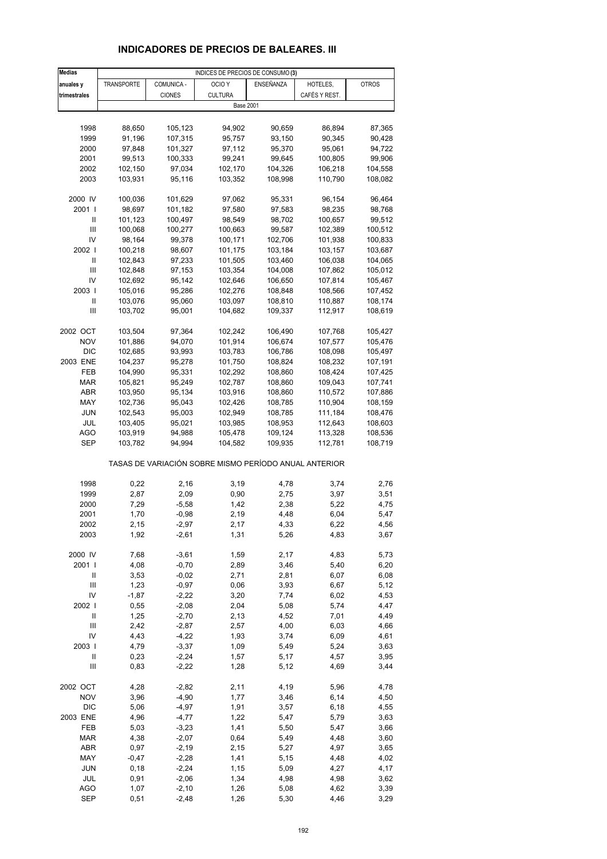# **INDICADORES DE PRECIOS DE BALEARES. III**

| <b>Medias</b>              |                    |                    | INDICES DE PRECIOS DE CONSUMO (3)                     |                    |                    |                    |
|----------------------------|--------------------|--------------------|-------------------------------------------------------|--------------------|--------------------|--------------------|
| anuales y                  | TRANSPORTE         | COMUNICA -         | OCIO <sub>Y</sub>                                     | ENSEÑANZA          | HOTELES,           | <b>OTROS</b>       |
| trimestrales               |                    | <b>CIONES</b>      | <b>CULTURA</b>                                        |                    | CAFÉS Y REST.      |                    |
|                            |                    |                    | <b>Base 2001</b>                                      |                    |                    |                    |
|                            |                    |                    |                                                       |                    |                    |                    |
| 1998                       | 88,650             | 105,123            | 94,902                                                | 90,659             | 86,894             | 87,365             |
| 1999                       | 91,196             | 107,315            | 95,757                                                | 93,150             | 90,345             | 90,428             |
| 2000                       | 97,848             | 101,327            | 97,112                                                | 95,370             | 95,061             | 94,722             |
| 2001                       | 99,513             | 100,333            | 99,241                                                | 99,645             | 100,805            | 99,906             |
| 2002                       | 102,150            | 97,034             | 102,170                                               | 104,326            | 106,218            | 104,558            |
| 2003                       | 103,931            | 95,116             | 103,352                                               | 108,998            | 110,790            | 108,082            |
|                            |                    |                    |                                                       |                    |                    |                    |
| 2000 IV                    | 100,036            | 101,629            | 97,062                                                | 95,331             | 96,154             | 96,464             |
| 2001 l                     | 98,697             | 101,182            | 97,580                                                | 97,583             | 98,235             | 98,768             |
| Ш                          | 101,123            | 100,497            | 98,549                                                | 98,702             | 100,657            | 99,512             |
| $\mathbf{III}$             | 100,068            | 100,277            | 100,663                                               | 99,587             | 102,389            | 100,512            |
| IV                         | 98,164             | 99,378             | 100,171                                               | 102,706            | 101,938            | 100,833            |
| 2002                       | 100,218            | 98,607             | 101,175                                               | 103,184            | 103,157            | 103,687            |
| Ш                          | 102,843            | 97,233             | 101,505                                               | 103,460            | 106,038            | 104,065            |
| $\mathbf{III}$             | 102,848            | 97,153             | 103,354                                               | 104,008            | 107,862            | 105,012            |
| IV<br>2003                 | 102,692            | 95,142<br>95,286   | 102,646                                               | 106,650            | 107,814<br>108,566 | 105,467            |
| Ш                          | 105,016<br>103,076 | 95,060             | 102,276<br>103,097                                    | 108,848<br>108,810 | 110,887            | 107,452<br>108,174 |
| Ш                          | 103,702            | 95,001             | 104,682                                               | 109,337            | 112,917            | 108,619            |
|                            |                    |                    |                                                       |                    |                    |                    |
| 2002 OCT                   | 103,504            | 97,364             | 102,242                                               | 106,490            | 107,768            | 105,427            |
| <b>NOV</b>                 | 101,886            | 94,070             | 101,914                                               | 106,674            | 107,577            | 105,476            |
| <b>DIC</b>                 | 102,685            | 93,993             | 103,783                                               | 106,786            | 108,098            | 105,497            |
| 2003 ENE                   | 104,237            | 95,278             | 101,750                                               | 108,824            | 108,232            | 107,191            |
| FEB                        | 104,990            | 95,331             | 102,292                                               | 108,860            | 108,424            | 107,425            |
| <b>MAR</b>                 | 105,821            | 95,249             | 102,787                                               | 108,860            | 109,043            | 107,741            |
| ABR                        | 103,950            | 95,134             | 103,916                                               | 108,860            | 110,572            | 107,886            |
| MAY                        | 102,736            | 95,043             | 102,426                                               | 108,785            | 110,904            | 108,159            |
| JUN                        | 102,543            | 95,003             | 102,949                                               | 108,785            | 111,184            | 108,476            |
| JUL                        | 103,405            | 95,021             | 103,985                                               | 108,953            | 112,643            | 108,603            |
| <b>AGO</b>                 | 103,919            | 94,988             | 105,478                                               | 109,124            | 113,328            | 108,536            |
| SEP                        | 103,782            | 94,994             | 104,582                                               | 109,935            | 112,781            | 108,719            |
|                            |                    |                    | TASAS DE VARIACIÓN SOBRE MISMO PERÍODO ANUAL ANTERIOR |                    |                    |                    |
| 1998                       | 0,22               | 2,16               | 3,19                                                  | 4,78               | 3,74               | 2,76               |
| 1999                       | 2,87               | 2,09               | 0,90                                                  | 2,75               | 3,97               | 3,51               |
| 2000                       | 7,29               | $-5,58$            | 1,42                                                  | 2,38               | 5,22               | 4,75               |
| 2001                       | 1,70               | $-0.98$            | 2,19                                                  | 4,48               | 6,04               | 5,47               |
| 2002                       | 2,15               | -2,97              | 2,17                                                  | 4,33               | 6,22               | 4,56               |
| 2003                       | 1,92               | $-2,61$            | 1,31                                                  | 5,26               | 4,83               | 3,67               |
|                            |                    |                    |                                                       |                    |                    |                    |
| 2000 IV                    | 7,68               | $-3,61$            | 1,59                                                  | 2,17               | 4,83               | 5,73               |
| 2001 l<br>Ш                | 4,08<br>3,53       | $-0,70$<br>$-0,02$ | 2,89<br>2,71                                          | 3,46<br>2,81       | 5,40<br>6,07       | 6,20<br>6,08       |
| $\mathsf{III}$             | 1,23               | $-0,97$            | 0,06                                                  | 3,93               | 6,67               | 5,12               |
| IV                         | $-1,87$            | $-2,22$            | 3,20                                                  | 7,74               | 6,02               | 4,53               |
| 2002                       | 0,55               | $-2,08$            | 2,04                                                  | 5,08               | 5,74               | 4,47               |
| $\label{eq:1} \mathsf{II}$ | 1,25               | $-2,70$            | 2,13                                                  | 4,52               | 7,01               | 4,49               |
| $\mathsf{III}$             | 2,42               | $-2,87$            | 2,57                                                  | 4,00               | 6,03               | 4,66               |
| IV                         | 4,43               | $-4,22$            | 1,93                                                  | 3,74               | 6,09               | 4,61               |
| 2003                       | 4,79               | $-3,37$            | 1,09                                                  | 5,49               | 5,24               | 3,63               |
| $\sf II$                   | 0,23               | $-2,24$            | 1,57                                                  | 5,17               | 4,57               | 3,95               |
| Ш                          | 0,83               | $-2,22$            | 1,28                                                  | 5,12               | 4,69               | 3,44               |
|                            |                    |                    |                                                       |                    |                    |                    |
| 2002 OCT                   | 4,28               | $-2,82$            | 2,11                                                  | 4,19               | 5,96               | 4,78               |
| <b>NOV</b>                 | 3,96               | $-4,90$            | 1,77                                                  | 3,46               | 6,14               | 4,50               |
| <b>DIC</b>                 | 5,06               | $-4,97$            | 1,91                                                  | 3,57               | 6,18               | 4,55               |
| 2003 ENE                   | 4,96               | $-4,77$            | 1,22                                                  | 5,47               | 5,79               | 3,63               |
| FEB<br><b>MAR</b>          | 5,03<br>4,38       | $-3,23$<br>$-2,07$ | 1,41<br>0,64                                          | 5,50               | 5,47<br>4,48       | 3,66               |
| ABR                        | 0,97               | $-2,19$            | 2,15                                                  | 5,49<br>5,27       | 4,97               | 3,60<br>3,65       |
| MAY                        | $-0,47$            | $-2,28$            | 1,41                                                  | 5,15               | 4,48               | 4,02               |
| <b>JUN</b>                 | 0,18               | $-2,24$            | 1,15                                                  | 5,09               | 4,27               | 4,17               |
| JUL                        | 0,91               | $-2,06$            | 1,34                                                  | 4,98               | 4,98               | 3,62               |
| <b>AGO</b>                 | 1,07               | $-2,10$            | 1,26                                                  | 5,08               | 4,62               | 3,39               |
| <b>SEP</b>                 | 0,51               | $-2,48$            | 1,26                                                  | 5,30               | 4,46               | 3,29               |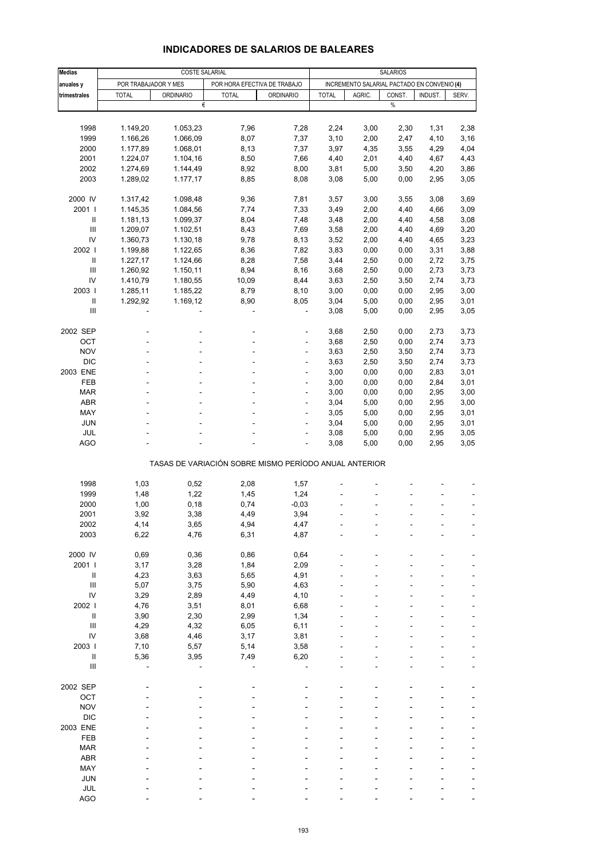| <b>Medias</b>                      | <b>COSTE SALARIAL</b> |                  |                                                       |                          |                                             | <b>SALARIOS</b> |        |         |       |  |
|------------------------------------|-----------------------|------------------|-------------------------------------------------------|--------------------------|---------------------------------------------|-----------------|--------|---------|-------|--|
|                                    | POR TRABAJADOR Y MES  |                  |                                                       |                          | INCREMENTO SALARIAL PACTADO EN CONVENIO (4) |                 |        |         |       |  |
| anuales y<br>trimestrales          | <b>TOTAL</b>          | <b>ORDINARIO</b> | POR HORA EFECTIVA DE TRABAJO<br><b>TOTAL</b>          | <b>ORDINARIO</b>         | <b>TOTAL</b>                                | AGRIC.          | CONST. | INDUST. | SERV. |  |
|                                    |                       | €                |                                                       |                          |                                             |                 | $\%$   |         |       |  |
|                                    |                       |                  |                                                       |                          |                                             |                 |        |         |       |  |
| 1998                               | 1.149,20              | 1.053,23         | 7,96                                                  | 7,28                     | 2,24                                        | 3,00            | 2,30   | 1,31    | 2,38  |  |
| 1999                               | 1.166,26              | 1.066,09         | 8,07                                                  | 7,37                     | 3,10                                        | 2,00            | 2,47   | 4,10    | 3,16  |  |
| 2000                               | 1.177,89              | 1.068,01         | 8,13                                                  | 7,37                     | 3,97                                        | 4,35            | 3,55   | 4,29    | 4,04  |  |
| 2001                               | 1.224,07              | 1.104,16         | 8,50                                                  | 7,66                     | 4,40                                        | 2,01            | 4,40   | 4,67    | 4,43  |  |
| 2002                               | 1.274,69              | 1.144,49         | 8,92                                                  | 8,00                     | 3,81                                        | 5,00            | 3,50   | 4,20    | 3,86  |  |
| 2003                               | 1.289,02              | 1.177,17         | 8,85                                                  | 8,08                     | 3,08                                        | 5,00            | 0,00   | 2,95    | 3,05  |  |
|                                    |                       |                  |                                                       |                          |                                             |                 |        |         |       |  |
| 2000 IV                            | 1.317,42              | 1.098,48         | 9,36                                                  | 7,81                     | 3,57                                        | 3,00            | 3,55   | 3,08    | 3,69  |  |
| 2001                               | 1.145,35              | 1.084,56         | 7,74                                                  | 7,33                     | 3,49                                        | 2,00            | 4,40   | 4,66    | 3,09  |  |
| Ш                                  | 1.181,13              | 1.099,37         | 8,04                                                  | 7,48                     | 3,48                                        | 2,00            | 4,40   | 4,58    | 3,08  |  |
| Ш                                  | 1.209,07              | 1.102,51         | 8,43                                                  | 7,69                     | 3,58                                        | 2,00            | 4,40   | 4,69    | 3,20  |  |
| IV                                 | 1.360,73              | 1.130,18         | 9,78                                                  | 8,13                     | 3,52                                        | 2,00            | 4,40   | 4,65    | 3,23  |  |
| 2002                               | 1.199,88              | 1.122,65         | 8,36                                                  | 7,82                     | 3,83                                        | 0,00            | 0,00   | 3,31    | 3,88  |  |
| Ш                                  | 1.227,17              | 1.124,66         | 8,28                                                  | 7,58                     | 3,44                                        | 2,50            | 0,00   | 2,72    | 3,75  |  |
| Ш                                  | 1.260,92              | 1.150,11         | 8,94                                                  | 8,16                     | 3,68                                        | 2,50            | 0,00   | 2,73    | 3,73  |  |
| IV                                 | 1.410,79              | 1.180,55         | 10,09                                                 | 8,44                     | 3,63                                        | 2,50            | 3,50   | 2,74    | 3,73  |  |
| 2003                               | 1.285,11              | 1.185,22         | 8,79                                                  | 8,10                     | 3,00                                        | 0,00            | 0,00   | 2,95    | 3,00  |  |
| $\mathbf{II}$                      | 1.292,92              | 1.169,12         | 8,90                                                  | 8,05                     | 3,04                                        | 5,00            | 0,00   | 2,95    | 3,01  |  |
| Ш                                  |                       |                  |                                                       |                          | 3,08                                        | 5,00            | 0,00   | 2,95    | 3,05  |  |
|                                    |                       |                  |                                                       |                          |                                             |                 |        |         |       |  |
| 2002 SEP                           |                       |                  |                                                       | ÷,                       | 3,68                                        | 2,50            | 0,00   | 2,73    | 3,73  |  |
| OCT                                |                       |                  |                                                       |                          | 3,68                                        | 2,50            | 0,00   | 2,74    | 3,73  |  |
| <b>NOV</b>                         |                       |                  | ÷.                                                    | $\overline{a}$           | 3,63                                        | 2,50            | 3,50   | 2,74    | 3,73  |  |
| <b>DIC</b>                         |                       |                  |                                                       | ÷,                       | 3,63                                        | 2,50            | 3,50   | 2,74    | 3,73  |  |
| 2003 ENE                           |                       |                  |                                                       |                          | 3,00                                        | 0,00            | 0,00   | 2,83    | 3,01  |  |
| FEB                                |                       |                  | ٠                                                     | $\overline{\phantom{a}}$ | 3,00                                        | 0,00            | 0,00   | 2,84    | 3,01  |  |
| <b>MAR</b>                         |                       |                  |                                                       | ä,                       | 3,00                                        | 0,00            | 0,00   | 2,95    | 3,00  |  |
| ABR                                |                       |                  |                                                       |                          | 3,04                                        | 5,00            | 0,00   | 2,95    | 3,00  |  |
| MAY                                |                       |                  | ٠                                                     | ÷,                       | 3,05                                        | 5,00            | 0,00   | 2,95    | 3,01  |  |
| <b>JUN</b>                         |                       |                  |                                                       | ä,                       | 3,04                                        | 5,00            | 0,00   | 2,95    | 3,01  |  |
| JUL                                |                       |                  |                                                       | ÷,                       | 3,08                                        | 5,00            | 0,00   | 2,95    | 3,05  |  |
| <b>AGO</b>                         |                       |                  |                                                       | ÷,                       | 3,08                                        | 5,00            | 0,00   | 2,95    | 3,05  |  |
|                                    |                       |                  |                                                       |                          |                                             |                 |        |         |       |  |
|                                    |                       |                  | TASAS DE VARIACIÓN SOBRE MISMO PERÍODO ANUAL ANTERIOR |                          |                                             |                 |        |         |       |  |
|                                    |                       |                  |                                                       |                          |                                             |                 |        |         |       |  |
| 1998                               | 1,03                  | 0,52             | 2,08                                                  | 1,57                     |                                             |                 |        |         |       |  |
| 1999                               | 1,48                  | 1,22             | 1,45                                                  | 1,24                     |                                             |                 |        |         |       |  |
| 2000                               | 1,00                  | 0,18             | 0,74                                                  | $-0,03$                  |                                             |                 |        |         |       |  |
| 2001                               | 3,92                  | 3,38             | 4,49                                                  | 3,94                     |                                             |                 |        |         |       |  |
| 2002                               | 4,14                  | 3,65             | 4,94                                                  | 4,47                     |                                             |                 |        |         |       |  |
| 2003                               | 6,22                  | 4,76             | 6,31                                                  | 4,87                     |                                             |                 |        |         |       |  |
| 2000 IV                            |                       |                  |                                                       |                          |                                             |                 |        |         |       |  |
| 2001 l                             | 0,69                  | 0,36             | 0,86                                                  | 0,64                     |                                             |                 |        |         |       |  |
| $\sf II$                           | 3,17<br>4,23          | 3,28             | 1,84<br>5,65                                          | 2,09<br>4,91             |                                             |                 |        |         |       |  |
| $\ensuremath{\mathsf{III}}\xspace$ | 5,07                  | 3,63<br>3,75     | 5,90                                                  | 4,63                     |                                             |                 |        |         |       |  |
| IV                                 | 3,29                  | 2,89             | 4,49                                                  | 4,10                     |                                             |                 |        |         |       |  |
| 2002                               | 4,76                  | 3,51             | 8,01                                                  | 6,68                     |                                             |                 |        |         |       |  |
| Ш                                  | 3,90                  | 2,30             | 2,99                                                  | 1,34                     |                                             |                 |        |         |       |  |
| $\ensuremath{\mathsf{III}}\xspace$ | 4,29                  | 4,32             | 6,05                                                  | 6,11                     |                                             |                 |        |         |       |  |
| ${\sf IV}$                         | 3,68                  | 4,46             | 3,17                                                  | 3,81                     |                                             |                 |        |         |       |  |
| 2003                               | 7,10                  | 5,57             | 5,14                                                  | 3,58                     |                                             |                 |        |         |       |  |
| Ш                                  | 5,36                  | 3,95             | 7,49                                                  | 6,20                     |                                             |                 |        |         |       |  |
| $\ensuremath{\mathsf{III}}\xspace$ |                       |                  |                                                       |                          |                                             |                 |        |         |       |  |
|                                    |                       |                  |                                                       |                          |                                             |                 |        |         |       |  |
| 2002 SEP                           |                       |                  |                                                       |                          |                                             |                 |        |         |       |  |
| OCT                                |                       |                  |                                                       |                          |                                             |                 |        |         |       |  |
| <b>NOV</b>                         |                       |                  |                                                       |                          |                                             |                 |        |         |       |  |
| <b>DIC</b>                         |                       |                  |                                                       |                          |                                             |                 |        |         |       |  |
| 2003 ENE                           |                       |                  |                                                       |                          |                                             |                 |        |         |       |  |
| FEB                                |                       |                  |                                                       |                          |                                             |                 |        |         |       |  |
| <b>MAR</b>                         |                       |                  |                                                       |                          |                                             |                 |        |         |       |  |
| ABR                                |                       |                  |                                                       |                          |                                             |                 |        |         |       |  |
| MAY                                |                       |                  |                                                       |                          |                                             |                 |        |         |       |  |
| <b>JUN</b>                         |                       |                  |                                                       |                          |                                             |                 |        |         |       |  |
| <b>JUL</b>                         |                       |                  |                                                       |                          |                                             |                 |        |         |       |  |

#### **INDICADORES DE SALARIOS DE BALEARES**

AGO - - - - - - ---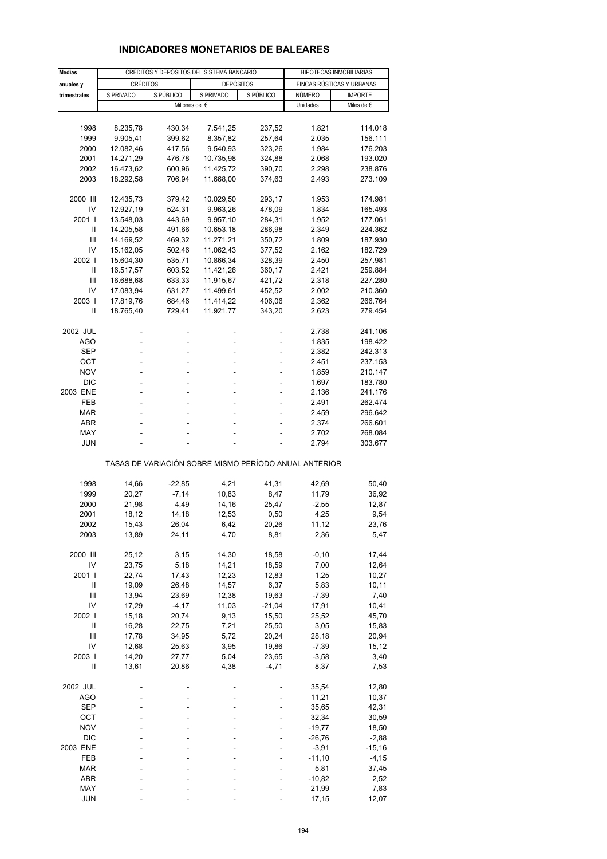## **INDICADORES MONETARIOS DE BALEARES**

| <b>Medias</b>  |                 | CRÉDITOS Y DEPÓSITOS DEL SISTEMA BANCARIO | HIPOTECAS INMOBILIARIAS                               |           |          |                           |
|----------------|-----------------|-------------------------------------------|-------------------------------------------------------|-----------|----------|---------------------------|
| anuales y      | <b>CRÉDITOS</b> |                                           | <b>DEPÓSITOS</b>                                      |           |          | FINCAS RÚSTICAS Y URBANAS |
| trimestrales   | S.PRIVADO       | S.PÚBLICO                                 | S.PRIVADO                                             | S.PÚBLICO | NÚMERO   | <b>IMPORTE</b>            |
|                |                 | Millones de €                             |                                                       |           | Unidades | Miles de $\epsilon$       |
|                |                 |                                           |                                                       |           |          |                           |
| 1998           | 8.235,78        | 430,34                                    | 7.541,25                                              | 237,52    | 1.821    | 114.018                   |
| 1999           | 9.905,41        | 399,62                                    | 8.357,82                                              | 257,64    | 2.035    | 156.111                   |
| 2000           | 12.082,46       | 417,56                                    | 9.540,93                                              | 323,26    | 1.984    | 176.203                   |
| 2001           | 14.271,29       | 476,78                                    | 10.735,98                                             | 324,88    | 2.068    | 193.020                   |
| 2002           | 16.473,62       | 600,96                                    | 11.425,72                                             | 390,70    | 2.298    | 238.876                   |
| 2003           | 18.292,58       | 706,94                                    | 11.668,00                                             | 374,63    | 2.493    | 273.109                   |
|                |                 |                                           |                                                       |           |          |                           |
| 2000 III       | 12.435,73       | 379,42                                    | 10.029,50                                             | 293,17    | 1.953    | 174.981                   |
| IV             | 12.927,19       | 524,31                                    | 9.963,26                                              | 478,09    | 1.834    | 165.493                   |
| 2001 l         | 13.548,03       | 443,69                                    | 9.957,10                                              | 284,31    | 1.952    | 177.061                   |
| Ш              | 14.205,58       | 491,66                                    | 10.653,18                                             | 286,98    | 2.349    | 224.362                   |
| Ш              | 14.169,52       | 469,32                                    | 11.271,21                                             | 350,72    | 1.809    | 187.930                   |
| IV             | 15.162,05       | 502,46                                    | 11.062,43                                             | 377,52    | 2.162    | 182.729                   |
| 2002           | 15.604,30       | 535,71                                    | 10.866,34                                             | 328,39    | 2.450    | 257.981                   |
| Ш              | 16.517,57       | 603,52                                    | 11.421,26                                             | 360,17    | 2.421    | 259.884                   |
| Ш              | 16.688,68       | 633,33                                    | 11.915,67                                             | 421,72    | 2.318    | 227.280                   |
| IV             | 17.083,94       | 631,27                                    | 11.499,61                                             | 452,52    | 2.002    | 210.360                   |
| 2003           | 17.819,76       |                                           | 11.414,22                                             | 406,06    | 2.362    | 266.764                   |
| Ш              |                 | 684,46                                    |                                                       |           |          |                           |
|                | 18.765,40       | 729,41                                    | 11.921,77                                             | 343,20    | 2.623    | 279.454                   |
| 2002 JUL       |                 | ÷,                                        |                                                       |           | 2.738    |                           |
| AGO            |                 | L,                                        |                                                       |           | 1.835    | 241.106                   |
|                |                 |                                           |                                                       |           |          | 198.422                   |
| SEP            |                 |                                           |                                                       |           | 2.382    | 242.313                   |
| ОСТ            | ä,              | ä,                                        | ä,                                                    | ٠         | 2.451    | 237.153                   |
| <b>NOV</b>     |                 |                                           |                                                       | ä,        | 1.859    | 210.147                   |
| <b>DIC</b>     |                 | ä,                                        |                                                       | ÷         | 1.697    | 183.780                   |
| 2003 ENE       | ä,              | ÷,                                        | ä,                                                    | ٠         | 2.136    | 241.176                   |
| FEB            |                 |                                           |                                                       |           | 2.491    | 262.474                   |
| <b>MAR</b>     |                 | L.                                        |                                                       |           | 2.459    | 296.642                   |
| <b>ABR</b>     |                 | ä,                                        | ä,                                                    | ٠         | 2.374    | 266.601                   |
| MAY            |                 |                                           |                                                       |           | 2.702    | 268.084                   |
| <b>JUN</b>     |                 |                                           |                                                       |           | 2.794    | 303.677                   |
|                |                 |                                           | TASAS DE VARIACIÓN SOBRE MISMO PERÍODO ANUAL ANTERIOR |           |          |                           |
|                |                 |                                           |                                                       |           |          |                           |
| 1998           | 14,66           | $-22,85$                                  | 4,21                                                  | 41,31     | 42,69    | 50,40                     |
| 1999           | 20,27           | $-7,14$                                   | 10,83                                                 | 8,47      | 11,79    | 36,92                     |
| 2000           | 21,98           | 4,49                                      | 14,16                                                 | 25,47     | $-2,55$  | 12,87                     |
| 2001           | 18,12           | 14,18                                     | 12,53                                                 | 0,50      | 4,25     | 9,54                      |
| 2002           | 15,43           | 26,04                                     | 6,42                                                  | 20,26     | 11,12    | 23,76                     |
| 2003           | 13,89           | 24,11                                     | 4,70                                                  | 8,81      | 2,36     | 5,47                      |
|                |                 |                                           |                                                       |           |          |                           |
| 2000 III       | 25,12           | 3,15                                      | 14,30                                                 | 18,58     | $-0, 10$ | 17,44                     |
| IV             | 23,75           | 5,18                                      | 14,21                                                 | 18,59     | 7,00     | 12,64                     |
| 2001           | 22,74           | 17,43                                     | 12,23                                                 | 12,83     | 1,25     | 10,27                     |
| Ш              | 19,09           | 26,48                                     | 14,57                                                 | 6,37      | 5,83     | 10,11                     |
| $\mathbf{III}$ | 13,94           | 23,69                                     | 12,38                                                 | 19,63     | $-7,39$  | 7,40                      |
| IV             | 17,29           | $-4, 17$                                  | 11,03                                                 | $-21,04$  | 17,91    | 10,41                     |
| 2002 l         | 15,18           | 20,74                                     | 9,13                                                  | 15,50     | 25,52    | 45,70                     |
| $\sf II$       | 16,28           | 22,75                                     | 7,21                                                  | 25,50     | 3,05     | 15,83                     |
| Ш              | 17,78           | 34,95                                     | 5,72                                                  | 20,24     | 28,18    | 20,94                     |
| IV             | 12,68           | 25,63                                     | 3,95                                                  | 19,86     | $-7,39$  | 15,12                     |
| 2003           | 14,20           | 27,77                                     | 5,04                                                  | 23,65     | $-3,58$  | 3,40                      |
| Ш              | 13,61           | 20,86                                     | 4,38                                                  | $-4,71$   | 8,37     | 7,53                      |
|                |                 |                                           |                                                       |           |          |                           |
| 2002 JUL       |                 |                                           |                                                       |           | 35,54    | 12,80                     |
| <b>AGO</b>     |                 |                                           |                                                       |           | 11,21    | 10,37                     |
| <b>SEP</b>     |                 |                                           |                                                       |           | 35,65    | 42,31                     |
| OCT            |                 |                                           |                                                       |           | 32,34    | 30,59                     |
| <b>NOV</b>     |                 |                                           |                                                       |           | $-19,77$ | 18,50                     |
| <b>DIC</b>     |                 |                                           |                                                       |           | $-26,76$ | $-2,88$                   |
| 2003 ENE       |                 |                                           |                                                       |           | $-3,91$  | $-15,16$                  |
| FEB            |                 |                                           |                                                       |           | $-11,10$ | $-4, 15$                  |
| <b>MAR</b>     |                 |                                           |                                                       |           | 5,81     | 37,45                     |
| <b>ABR</b>     |                 |                                           |                                                       |           | $-10,82$ | 2,52                      |
| MAY            |                 |                                           |                                                       |           | 21,99    | 7,83                      |
| <b>JUN</b>     |                 |                                           |                                                       |           | 17,15    | 12,07                     |